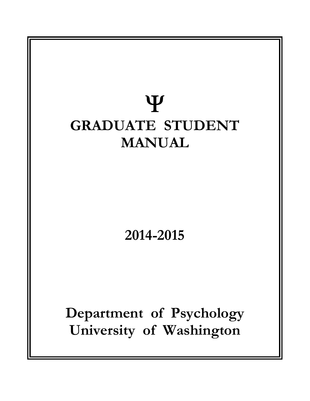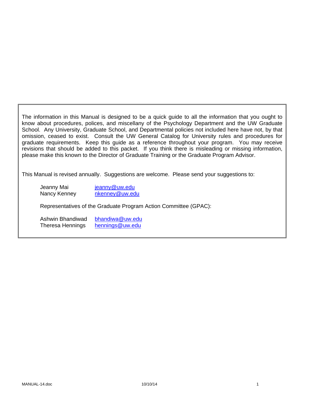The information in this Manual is designed to be a quick guide to all the information that you ought to know about procedures, polices, and miscellany of the Psychology Department and the UW Graduate School. Any University, Graduate School, and Departmental policies not included here have not, by that omission, ceased to exist. Consult the UW General Catalog for University rules and procedures for graduate requirements. Keep this guide as a reference throughout your program. You may receive revisions that should be added to this packet. If you think there is misleading or missing information, please make this known to the Director of Graduate Training or the Graduate Program Advisor.

This Manual is revised annually. Suggestions are welcome. Please send your suggestions to:

Jeanny Mai **jeanny@uw.edu** Nancy Kenney nkenney@uw.edu

Representatives of the Graduate Program Action Committee (GPAC):

Ashwin Bhandiwad bhandiwa@uw.edu Theresa Hennings hennings@uw.edu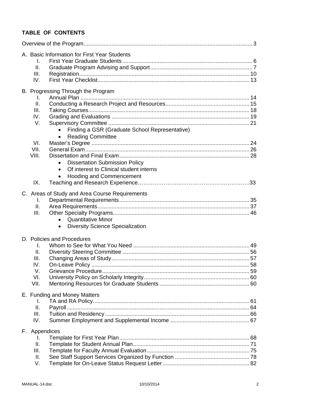# **TABLE OF CONTENTS**

| A. Basic Information for First Year Students<br>I.<br>II.<br>III.<br>IV.                                                                                                                |  |
|-----------------------------------------------------------------------------------------------------------------------------------------------------------------------------------------|--|
| B. Progressing Through the Program<br>Τ.<br>II.<br>III.<br>IV.<br>V.<br>Finding a GSR (Graduate School Representative)<br><b>Reading Committee</b><br>$\bullet$<br>VI.<br>VII.<br>VIII. |  |
| <b>Dissertation Submission Policy</b><br>$\bullet$<br>Of interest to Clinical student interns<br>$\bullet$<br><b>Hooding and Commencement</b><br>$\bullet$<br>IX.                       |  |
| C. Areas of Study and Area Course Requirements<br>L.<br>Ⅱ.<br>III.<br><b>Quantitative Minor</b><br><b>Diversity Science Specialization</b><br>$\bullet$                                 |  |
| D. Policies and Procedures<br>I.<br>II.<br>III.<br>IV.<br>V.<br>VI.<br>VII.                                                                                                             |  |
| E. Funding and Money Matters<br>I.<br>ΙΙ.<br>Payroll.<br>III.<br>IV.                                                                                                                    |  |
| F. Appendices<br>I.<br>ΙΙ.<br>Ш.<br>Ш.<br>V.                                                                                                                                            |  |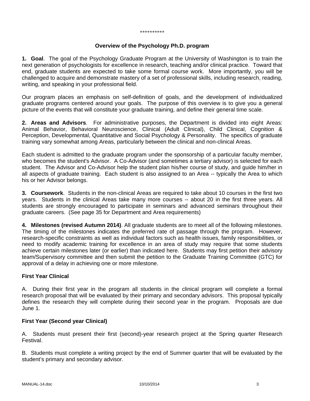#### \*\*\*\*\*\*\*\*\*\*

### **Overview of the Psychology Ph.D. program**

**1. Goal**. The goal of the Psychology Graduate Program at the University of Washington is to train the next generation of psychologists for excellence in research, teaching and/or clinical practice. Toward that end, graduate students are expected to take some formal course work. More importantly, you will be challenged to acquire and demonstrate mastery of a set of professional skills, including research, reading, writing, and speaking in your professional field.

Our program places an emphasis on self-definition of goals, and the development of individualized graduate programs centered around your goals. The purpose of this overview is to give you a general picture of the events that will constitute your graduate training, and define their general time scale.

**2. Areas and Advisors**. For administrative purposes, the Department is divided into eight Areas: Animal Behavior, Behavioral Neuroscience, Clinical (Adult Clinical), Child Clinical, Cognition & Perception, Developmental, Quantitative and Social Psychology & Personality. The specifics of graduate training vary somewhat among Areas, particularly between the clinical and non-clinical Areas.

Each student is admitted to the graduate program under the sponsorship of a particular faculty member, who becomes the student's Advisor. A Co-Advisor (and sometimes a tertiary advisor) is selected for each student. The Advisor and Co-Advisor help the student plan his/her course of study, and guide him/her in all aspects of graduate training. Each student is also assigned to an Area -- typically the Area to which his or her Advisor belongs.

**3. Coursework**. Students in the non-clinical Areas are required to take about 10 courses in the first two years. Students in the clinical Areas take many more courses -- about 20 in the first three years. All students are strongly encouraged to participate in seminars and advanced seminars throughout their graduate careers. (See page 35 for Department and Area requirements)

**4. Milestones (revised Autumn 2014)**. All graduate students are to meet all of the following milestones. The timing of the milestones indicates the preferred rate of passage through the program. However, research-specific constraints as well as individual factors such as health issues, family responsibilities, or need to modify academic training for excellence in an area of study may require that some students achieve certain milestones later (or earlier) than indicated here. Students may first petition their advisory team/Supervisory committee and then submit the petition to the Graduate Training Committee (GTC) for approval of a delay in achieving one or more milestone.

## **First Year Clinical**

A. During their first year in the program all students in the clinical program will complete a formal research proposal that will be evaluated by their primary and secondary advisors. This proposal typically defines the research they will complete during their second year in the program. Proposals are due June 1.

## **First Year (Second year Clinical)**

A. Students must present their first (second)-year research project at the Spring quarter Research Festival.

B. Students must complete a writing project by the end of Summer quarter that will be evaluated by the student's primary and secondary advisor.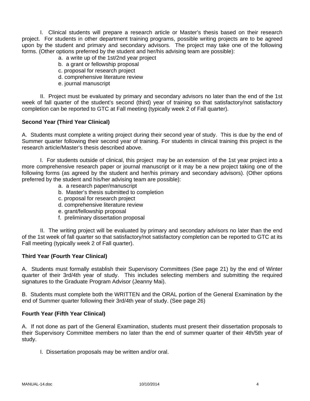I. Clinical students will prepare a research article or Master's thesis based on their research project. For students in other department training programs, possible writing projects are to be agreed upon by the student and primary and secondary advisors. The project may take one of the following forms. (Other options preferred by the student and her/his advising team are possible):

- a. a write up of the 1st/2nd year project
- b. a grant or fellowship proposal
- c. proposal for research project
- d. comprehensive literature review
- e. journal manuscript

 II. Project must be evaluated by primary and secondary advisors no later than the end of the 1st week of fall quarter of the student's second (third) year of training so that satisfactory/not satisfactory completion can be reported to GTC at Fall meeting (typically week 2 of Fall quarter).

## **Second Year (Third Year Clinical)**

A. Students must complete a writing project during their second year of study. This is due by the end of Summer quarter following their second year of training. For students in clinical training this project is the research article/Master's thesis described above.

 I. For students outside of clinical, this project may be an extension of the 1st year project into a more comprehensive research paper or journal manuscript or it may be a new project taking one of the following forms (as agreed by the student and her/his primary and secondary advisors). (Other options preferred by the student and his/her advising team are possible):

- a. a research paper/manuscript
- b. Master's thesis submitted to completion
- c. proposal for research project
- d. comprehensive literature review
- e. grant/fellowship proposal
- f. preliminary dissertation proposal

 II. The writing project will be evaluated by primary and secondary advisors no later than the end of the 1st week of fall quarter so that satisfactory/not satisfactory completion can be reported to GTC at its Fall meeting (typically week 2 of Fall quarter).

#### **Third Year (Fourth Year Clinical)**

A. Students must formally establish their Supervisory Committees (See page 21) by the end of Winter quarter of their 3rd/4th year of study. This includes selecting members and submitting the required signatures to the Graduate Program Advisor (Jeanny Mai).

B. Students must complete both the WRITTEN and the ORAL portion of the General Examination by the end of Summer quarter following their 3rd/4th year of study. (See page 26)

#### **Fourth Year (Fifth Year Clinical)**

A. If not done as part of the General Examination, students must present their dissertation proposals to their Supervisory Committee members no later than the end of summer quarter of their 4th/5th year of study.

I. Dissertation proposals may be written and/or oral.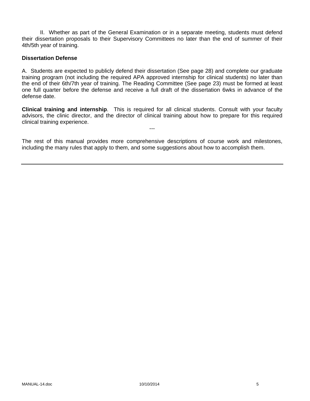II. Whether as part of the General Examination or in a separate meeting, students must defend their dissertation proposals to their Supervisory Committees no later than the end of summer of their 4th/5th year of training.

#### **Dissertation Defense**

A. Students are expected to publicly defend their dissertation (See page 28) and complete our graduate training program (not including the required APA approved internship for clinical students) no later than the end of their 6th/7th year of training. The Reading Committee (See page 23) must be formed at least one full quarter before the defense and receive a full draft of the dissertation 6wks in advance of the defense date.

**Clinical training and internship**. This is required for all clinical students. Consult with your faculty advisors, the clinic director, and the director of clinical training about how to prepare for this required clinical training experience.

---

The rest of this manual provides more comprehensive descriptions of course work and milestones, including the many rules that apply to them, and some suggestions about how to accomplish them.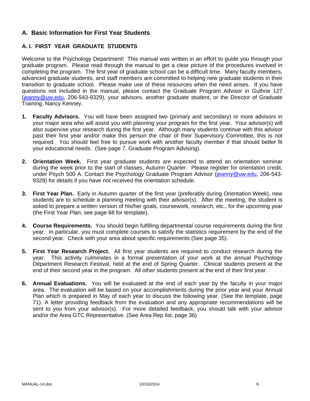## **A. Basic Information for First Year Students**

## **A. I. FIRST YEAR GRADUATE STUDENTS**

Welcome to the Psychology Department! This manual was written in an effort to guide you through your graduate program. Please read through the manual to get a clear picture of the procedures involved in completing the program. The first year of graduate school can be a difficult time. Many faculty members, advanced graduate students, and staff members are committed to helping new graduate students in their transition to graduate school. Please make use of these resources when the need arises. If you have questions not included in the manual, please contact the Graduate Program Advisor in Guthrie 127 (jeanny@uw.edu, 206-543-9329), your advisors, another graduate student, or the Director of Graduate Training, Nancy Kenney.

- **1. Faculty Advisors.** You will have been assigned two (primary and secondary) or more advisors in your major area who will assist you with planning your program for the first year. Your advisor(s) will also supervise your research during the first year. Although many students continue with this advisor past their first year and/or make this person the chair of their Supervisory Committee, this is not required. You should feel free to pursue work with another faculty member if that should better fit your educational needs. (See page 7, Graduate Program Advising).
- **2. Orientation Week.** First year graduate students are expected to attend an orientation seminar during the week prior to the start of classes, Autumn Quarter. Please register for orientation credit, under Psych 500 A. Contact the Psychology Graduate Program Advisor (jeanny@uw.edu, 206-543-9329) for details if you have not received the orientation schedule.
- **3. First Year Plan.** Early in Autumn quarter of the first year (preferably during Orientation Week), new students are to schedule a planning meeting with their advisor(s). After the meeting, the student is asked to prepare a written version of his/her goals, coursework, research, etc., for the upcoming year (the First Year Plan, see page 68 for template).
- **4. Course Requirements.** You should begin fulfilling departmental course requirements during the first year. In particular, you must complete courses to satisfy the statistics requirement by the end of the second year. Check with your area about specific requirements (See page 35).
- **5. First Year Research Project.** All first year students are required to conduct research during the year. This activity culminates in a formal presentation of your work at the annual Psychology Department Research Festival, held at the end of Spring Quarter. Clinical students present at the end of their second year in the program. All other students present at the end of their first year.
- **6. Annual Evaluations.** You will be evaluated at the end of each year by the faculty in your major area. The evaluation will be based on your accomplishments during the prior year and your Annual Plan which is prepared in May of each year to discuss the following year. (See the template, page 71). A letter providing feedback from the evaluation and any appropriate recommendations will be sent to you from your advisor(s). For more detailed feedback, you should talk with your advisor and/or the Area GTC Representative. (See Area Rep list, page 36)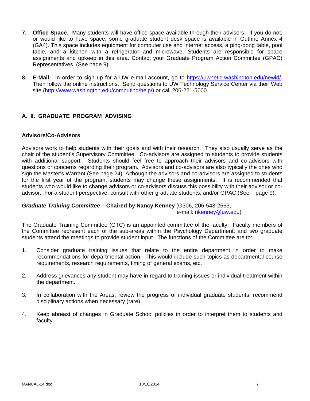- **7. Office Space.** Many students will have office space available through their advisors. If you do not, or would like to have space, some graduate student desk space is available in Guthrie Annex 4 (GA4). This space includes equipment for computer use and internet access, a ping-pong table, pool table, and a kitchen with a refrigerator and microwave. Students are responsible for space assignments and upkeep in this area. Contact your Graduate Program Action Committee (GPAC) Representatives (See page 9).
- **8. E-Mail.** In order to sign up for a UW e-mail account, go to https://uwnetid.washington.edu/newid/. Then follow the online instructions. Send questions to UW Technology Service Center via their Web site (http://www.washington.edu/computing/help/) or call 206-221-5000.

## **A. II. GRADUATE PROGRAM ADVISING**

## **Advisors/Co-Advisors**

Advisors work to help students with their goals and with their research. They also usually serve as the chair of the student's Supervisory Committee. Co-advisors are assigned to students to provide students with additional support. Students should feel free to approach their advisors and co-advisors with questions or concerns regarding their program. Advisors and co-advisors are also typically the ones who sign the Master's Warrant (See page 24). Although the advisors and co-advisors are assigned to students for the first year of the program, students may change these assignments. It is recommended that students who would like to change advisors or co-advisors discuss this possibility with their advisor or coadvisor. For a student perspective, consult with other graduate students, and/or GPAC (See page 9).

# *Graduate Training Committee –* **Chaired by Nancy Kenney** (G306, 206-543-2563,

e-mail: nkenney@uw.edu)

The Graduate Training Committee (GTC) is an appointed committee of the faculty. Faculty members of the Committee represent each of the sub-areas within the Psychology Department, and two graduate students attend the meetings to provide student input. The functions of the Committee are to:

- 1. Consider graduate training issues that relate to the entire department in order to make recommendations for departmental action. This would include such topics as departmental course requirements, research requirements, timing of general exams, etc.
- 2. Address grievances any student may have in regard to training issues or individual treatment within the department.
- 3. In collaboration with the Areas, review the progress of individual graduate students, recommend disciplinary actions when necessary (rare).
- 4. Keep abreast of changes in Graduate School policies in order to interpret them to students and faculty.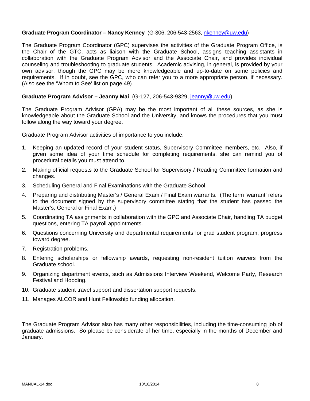## Graduate Program Coordinator - Nancy Kenney (G-306, 206-543-2563, nkenney@uw.edu)

The Graduate Program Coordinator (GPC) supervises the activities of the Graduate Program Office, is the Chair of the GTC, acts as liaison with the Graduate School, assigns teaching assistants in collaboration with the Graduate Program Advisor and the Associate Chair, and provides individual counseling and troubleshooting to graduate students. Academic advising, in general, is provided by your own advisor, though the GPC may be more knowledgeable and up-to-date on some policies and requirements. If in doubt, see the GPC, who can refer you to a more appropriate person, if necessary. (Also see the 'Whom to See' list on page 49)

#### **Graduate Program Advisor – Jeanny Mai** (G-127, 206-543-9329, jeanny@uw.edu)

The Graduate Program Advisor (GPA) may be the most important of all these sources, as she is knowledgeable about the Graduate School and the University, and knows the procedures that you must follow along the way toward your degree.

Graduate Program Advisor activities of importance to you include:

- 1. Keeping an updated record of your student status, Supervisory Committee members, etc. Also, if given some idea of your time schedule for completing requirements, she can remind you of procedural details you must attend to.
- 2. Making official requests to the Graduate School for Supervisory / Reading Committee formation and changes.
- 3. Scheduling General and Final Examinations with the Graduate School.
- 4. Preparing and distributing Master's / General Exam / Final Exam warrants. (The term 'warrant' refers to the document signed by the supervisory committee stating that the student has passed the Master's, General or Final Exam.)
- 5. Coordinating TA assignments in collaboration with the GPC and Associate Chair, handling TA budget questions, entering TA payroll appointments.
- 6. Questions concerning University and departmental requirements for grad student program, progress toward degree.
- 7. Registration problems.
- 8. Entering scholarships or fellowship awards, requesting non-resident tuition waivers from the Graduate school.
- 9. Organizing department events, such as Admissions Interview Weekend, Welcome Party, Research Festival and Hooding.
- 10. Graduate student travel support and dissertation support requests.
- 11. Manages ALCOR and Hunt Fellowship funding allocation.

The Graduate Program Advisor also has many other responsibilities, including the time-consuming job of graduate admissions. So please be considerate of her time, especially in the months of December and January.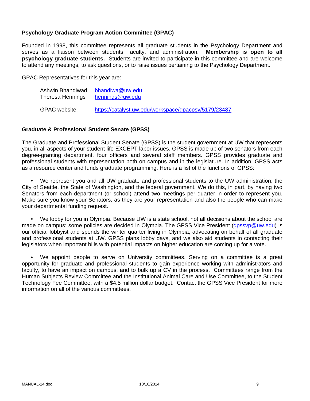## **Psychology Graduate Program Action Committee (GPAC)**

Founded in 1998, this committee represents all graduate students in the Psychology Department and serves as a liaison between students, faculty, and administration. **Membership is open to all psychology graduate students.** Students are invited to participate in this committee and are welcome to attend any meetings, to ask questions, or to raise issues pertaining to the Psychology Department.

GPAC Representatives for this year are:

| Ashwin Bhandiwad | bhandiwa@uw.edu                                      |  |
|------------------|------------------------------------------------------|--|
| Theresa Hennings | hennings@uw.edu                                      |  |
| GPAC website:    | https://catalyst.uw.edu/workspace/gpacpsy/5179/23487 |  |

#### **Graduate & Professional Student Senate (GPSS)**

The Graduate and Professional Student Senate (GPSS) is the student government at UW that represents you, in all aspects of your student life EXCEPT labor issues. GPSS is made up of two senators from each degree-granting department, four officers and several staff members. GPSS provides graduate and professional students with representation both on campus and in the legislature. In addition, GPSS acts as a resource center and funds graduate programming. Here is a list of the functions of GPSS:

 • We represent you and all UW graduate and professional students to the UW administration, the City of Seattle, the State of Washington, and the federal government. We do this, in part, by having two Senators from each department (or school) attend two meetings per quarter in order to represent you. Make sure you know your Senators, as they are your representation and also the people who can make your departmental funding request.

 • We lobby for you in Olympia. Because UW is a state school, not all decisions about the school are made on campus; some policies are decided in Olympia. The GPSS Vice President (gpssvp@uw.edu) is our official lobbyist and spends the winter quarter living in Olympia, advocating on behalf of all graduate and professional students at UW. GPSS plans lobby days, and we also aid students in contacting their legislators when important bills with potential impacts on higher education are coming up for a vote.

 • We appoint people to serve on University committees. Serving on a committee is a great opportunity for graduate and professional students to gain experience working with administrators and faculty, to have an impact on campus, and to bulk up a CV in the process. Committees range from the Human Subjects Review Committee and the Institutional Animal Care and Use Committee, to the Student Technology Fee Committee, with a \$4.5 million dollar budget. Contact the GPSS Vice President for more information on all of the various committees.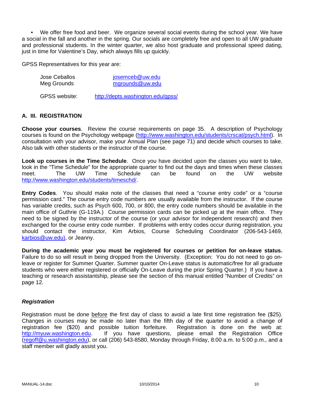• We offer free food and beer. We organize several social events during the school year. We have a social in the fall and another in the spring. Our socials are completely free and open to all UW graduate and professional students. In the winter quarter, we also host graduate and professional speed dating, just in time for Valentine's Day, which always fills up quickly.

GPSS Representatives for this year are:

| Jose Ceballos | josemceb@uw.edu                   |
|---------------|-----------------------------------|
| Meg Grounds   | mgrounds@uw.edu                   |
| GPSS website: | http://depts.washington.edu/gpss/ |

## **A. III. REGISTRATION**

**Choose your courses**. Review the course requirements on page 35. A description of Psychology courses is found on the Psychology webpage (http://www.washington.edu/students/crscat/psych.html). In consultation with your advisor, make your Annual Plan (see page 71) and decide which courses to take. Also talk with other students or the instructor of the course.

**Look up courses in the Time Schedule**. Once you have decided upon the classes you want to take, look in the "Time Schedule" for the appropriate quarter to find out the days and times when these classes<br>meet. The UW Time Schedule can be found on the UW website meet. The UW Time Schedule can be found on the UW website http://www.washington.edu/students/timeschd/.

**Entry Codes**. You should make note of the classes that need a "course entry code" or a "course permission card." The course entry code numbers are usually available from the instructor. If the course has variable credits, such as Psych 600, 700, or 800, the entry code numbers should be available in the main office of Guthrie (G-119A.) Course permission cards can be picked up at the main office. They need to be signed by the instructor of the course (or your advisor for independent research) and then exchanged for the course entry code number. If problems with entry codes occur during registration, you should contact the instructor, Kim Arbios, Course Scheduling Coordinator (206-543-1469, karbios@uw.edu), or Jeanny.

**During the academic year you must be registered for courses or petition for on-leave status.**  Failure to do so will result in being dropped from the University. (Exception: You do not need to go onleave or register for Summer Quarter. Summer quarter On-Leave status is automatic/free for all graduate students who were either registered or officially On-Leave during the prior Spring Quarter.) If you have a teaching or research assistantship, please see the section of this manual entitled "Number of Credits" on page 12.

#### *Registration*

Registration must be done before the first day of class to avoid a late first time registration fee (\$25). Changes in courses may be made no later than the fifth day of the quarter to avoid a change of registration fee (\$20) and possible tuition forfeiture. Registration is done on the web at: http://myuw.washington.edu. If you have questions, please email the Registration Office (regoff@u.washington.edu), or call (206) 543-8580, Monday through Friday, 8:00 a.m. to 5:00 p.m., and a staff member will gladly assist you.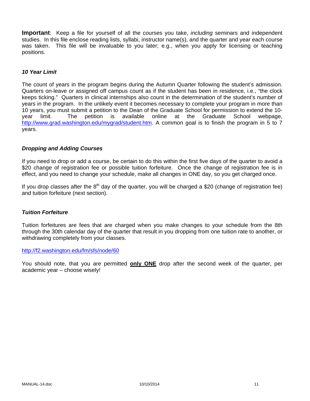**Important**: Keep a file for yourself of all the courses you take, *including* seminars and independent studies. In this file enclose reading lists, syllabi, instructor name(s), and the quarter and year each course was taken. This file will be invaluable to you later; e.g., when you apply for licensing or teaching positions.

#### *10 Year Limit*

The count of years in the program begins during the Autumn Quarter following the student's admission. Quarters on-leave or assigned off campus count as if the student has been in residence, i.e., "the clock keeps ticking." Quarters in clinical internships also count in the determination of the student's number of years in the program. In the unlikely event it becomes necessary to complete your program in more than 10 years, you must submit a petition to the Dean of the Graduate School for permission to extend the 10 year limit. The petition is available online at the Graduate School webpage, http://www.grad.washington.edu/mygrad/student.htm. A common goal is to finish the program in 5 to 7 years.

#### *Dropping and Adding Courses*

If you need to drop or add a course, be certain to do this within the first five days of the quarter to avoid a \$20 change of registration fee or possible tuition forfeiture. Once the change of registration fee is in effect, and you need to change your schedule, make all changes in ONE day, so you get charged once.

If you drop classes after the  $8<sup>th</sup>$  day of the quarter, you will be charged a \$20 (change of registration fee) and tuition forfeiture (next section).

#### *Tuition Forfeiture*

Tuition forfeitures are fees that are charged when you make changes to your schedule from the 8th through the 30th calendar day of the quarter that result in you dropping from one tuition rate to another, or withdrawing completely from your classes.

### http://f2.washington.edu/fm/sfs/node/60

You should note, that you are permitted **only ONE** drop after the second week of the quarter, per academic year – choose wisely!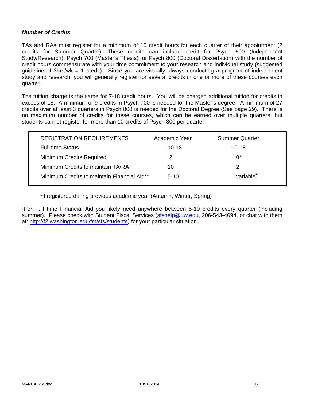#### *Number of Credits*

TAs and RAs must register for a minimum of 10 credit hours for each quarter of their appointment (2 credits for Summer Quarter). These credits can include credit for Psych 600 (Independent Study/Research), Psych 700 (Master's Thesis), or Psych 800 (Doctoral Dissertation) with the number of credit hours commensurate with your time commitment to your research and individual study (suggested guideline of 3hrs/wk = 1 credit). Since you are virtually always conducting a program of independent study and research, you will generally register for several credits in one or more of these courses each quarter.

The tuition charge is the same for 7-18 credit hours. You will be charged additional tuition for credits in excess of 18. A minimum of 9 credits in Psych 700 is needed for the Master's degree. A minimum of 27 credits over at least 3 quarters in Psych 800 is needed for the Doctoral Degree (See page 29). There is no maximum number of credits for these courses, which can be earned over multiple quarters, but students cannot register for more than 10 credits of Psych 800 per quarter.

| <b>REGISTRATION REQUIREMENTS</b>            | Academic Year | <b>Summer Quarter</b> |
|---------------------------------------------|---------------|-----------------------|
| <b>Full time Status</b>                     | $10 - 18$     | $10 - 18$             |
| <b>Minimum Credits Required</b>             | 2             | $0^*$                 |
| Minimum Credits to maintain TA/RA           | 10            | 2                     |
| Minimum Credits to maintain Financial Aid** | $5-10$        | variable <sup>+</sup> |

\*If registered during previous academic year (Autumn, Winter, Spring)

+ For Full time Financial Aid you likely need anywhere between 5-10 credits every quarter (including summer). Please check with Student Fiscal Services (sfshelp@uw.edu, 206-543-4694, or chat with them at: http://f2.washington.edu/fm/sfs/students) for your particular situation.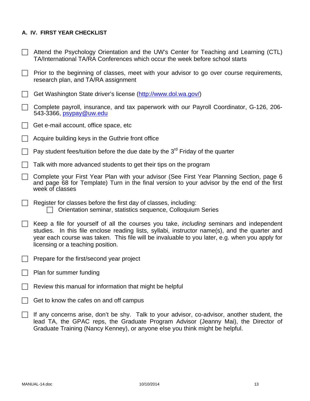## **A. IV. FIRST YEAR CHECKLIST**

- $\Box$  Attend the Psychology Orientation and the UW's Center for Teaching and Learning (CTL) TA/International TA/RA Conferences which occur the week before school starts
- $\Box$  Prior to the beginning of classes, meet with your advisor to go over course requirements, research plan, and TA/RA assignment
- Get Washington State driver's license (http://www.dol.wa.gov/)
- Complete payroll, insurance, and tax paperwork with our Payroll Coordinator, G-126, 206- 543-3366, psypay@uw.edu
- $\Box$  Get e-mail account, office space, etc
- $\Box$  Acquire building keys in the Guthrie front office
- Pay student fees/tuition before the due date by the  $3^{rd}$  Friday of the quarter
- $\Box$  Talk with more advanced students to get their tips on the program
- Complete your First Year Plan with your advisor (See First Year Planning Section, page 6 and page 68 for Template) Turn in the final version to your advisor by the end of the first week of classes
- $\Box$  Register for classes before the first day of classes, including: Orientation seminar, statistics sequence, Colloquium Series
- Keep a file for yourself of all the courses you take, *including* seminars and independent studies. In this file enclose reading lists, syllabi, instructor name(s), and the quarter and year each course was taken. This file will be invaluable to you later, e.g. when you apply for licensing or a teaching position.
- $\Box$  Prepare for the first/second year project
- $\Box$  Plan for summer funding
- $\Box$  Review this manual for information that might be helpful
- $\Box$  Get to know the cafes on and off campus
- $\Box$  If any concerns arise, don't be shy. Talk to your advisor, co-advisor, another student, the lead TA, the GPAC reps, the Graduate Program Advisor (Jeanny Mai), the Director of Graduate Training (Nancy Kenney), or anyone else you think might be helpful.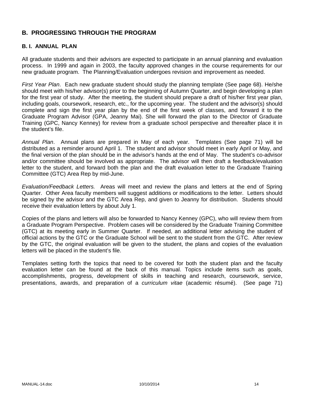## **B. PROGRESSING THROUGH THE PROGRAM**

## **B. I. ANNUAL PLAN**

All graduate students and their advisors are expected to participate in an annual planning and evaluation process. In 1999 and again in 2003, the faculty approved changes in the course requirements for our new graduate program. The Planning/Evaluation undergoes revision and improvement as needed.

*First Year Plan*. Each new graduate student should study the planning template (See page 68). He/she should meet with his/her advisor(s) prior to the beginning of Autumn Quarter, and begin developing a plan for the first year of study. After the meeting, the student should prepare a draft of his/her first year plan, including goals, coursework, research, etc., for the upcoming year. The student and the advisor(s) should complete and sign the first year plan by the end of the first week of classes, and forward it to the Graduate Program Advisor (GPA, Jeanny Mai). She will forward the plan to the Director of Graduate Training (GPC, Nancy Kenney) for review from a graduate school perspective and thereafter place it in the student's file.

*Annual Plan*. Annual plans are prepared in May of each year. Templates (See page 71) will be distributed as a reminder around April 1. The student and advisor should meet in early April or May, and the final version of the plan should be in the advisor's hands at the end of May. The student's co-advisor and/or committee should be involved as appropriate. The advisor will then draft a feedback/evaluation letter to the student, and forward both the plan and the draft evaluation letter to the Graduate Training Committee (GTC) Area Rep by mid-June.

*Evaluation/Feedback Letters.* Areas will meet and review the plans and letters at the end of Spring Quarter. Other Area faculty members will suggest additions or modifications to the letter. Letters should be signed by the advisor and the GTC Area Rep, and given to Jeanny for distribution. Students should receive their evaluation letters by about July 1.

Copies of the plans and letters will also be forwarded to Nancy Kenney (GPC), who will review them from a Graduate Program Perspective. Problem cases will be considered by the Graduate Training Committee (GTC) at its meeting early in Summer Quarter. If needed, an additional letter advising the student of official actions by the GTC or the Graduate School will be sent to the student from the GTC. After review by the GTC, the original evaluation will be given to the student, the plans and copies of the evaluation letters will be placed in the student's file.

Templates setting forth the topics that need to be covered for both the student plan and the faculty evaluation letter can be found at the back of this manual. Topics include items such as goals, accomplishments, progress, development of skills in teaching and research, coursework, service, presentations, awards, and preparation of a *curriculum vitae* (academic résumé). (See page 71)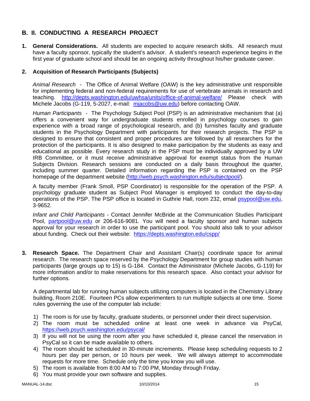## **B. II. CONDUCTING A RESEARCH PROJECT**

**1. General Considerations.** All students are expected to acquire research skills. All research must have a faculty sponsor, typically the student's advisor. A student's research experience begins in the first year of graduate school and should be an ongoing activity throughout his/her graduate career.

## **2. Acquisition of Research Participants (Subjects)**

*Animal Research* - The Office of Animal Welfare (OAW) is the key administrative unit responsible for implementing federal and non-federal requirements for use of vertebrate animals in research and teaching. http://depts.washington.edu/uwhsa/units/office-of-animal-welfare/ Please check with Michele Jacobs (G-119, 5-2027, e-mail: mjacobs@uw.edu) before contacting OAW.

*Human Participants -* The Psychology Subject Pool (PSP) is an administrative mechanism that (a) offers a convenient way for undergraduate students enrolled in psychology courses to gain experience with a broad range of psychological research, and (b) furnishes faculty and graduate students in the Psychology Department with participants for their research projects. The PSP is designed to ensure that consistent and proper procedures are followed by all researchers for the protection of the participants. It is also designed to make participation by the students as easy and educational as possible. Every research study in the PSP must be individually approved by a UW IRB Committee, or it must receive administrative approval for exempt status from the Human Subjects Division. Research sessions are conducted on a daily basis throughout the quarter, including summer quarter. Detailed information regarding the PSP is contained on the PSP homepage of the department website (http://web.psych.washington.edu/subjectpool/).

A faculty member (Frank Smoll, PSP Coordinator) is responsible for the operation of the PSP. A psychology graduate student as Subject Pool Manager is employed to conduct the day-to-day operations of the PSP. The PSP office is located in Guthrie Hall, room 232, email psypool@uw.edu, 3-9652.

*Infant and Child Participants* - Contact Jennifer McBride at the Communication Studies Participant Pool, partpool@uw.edu or 206-616-9081. You will need a faculty sponsor and human subjects approval for your research in order to use the participant pool. You should also talk to your advisor about funding. Check out their website: https://depts.washington.edu/cspp/

**3. Research Space.** The Department Chair and Assistant Chair(s) coordinate space for animal research. The research space reserved by the Psychology Department for group studies with human participants (large groups up to 15) is G-184. Contact the Administrator (Michele Jacobs, G-119) for more information and/or to make reservations for this research space. Also contact your advisor for further options.

A departmental lab for running human subjects utilizing computers is located in the Chemistry Library building, Room 210E. Fourteen PCs allow experimenters to run multiple subjects at one time. Some rules governing the use of the computer lab include:

- 1) The room is for use by faculty, graduate students, or personnel under their direct supervision.
- 2) The room must be scheduled online at least one week in advance via PsyCal, https://web.psych.washington.edu/psycal/
- 3) If you will not be using the room after you have scheduled it, please cancel the reservation in PsyCal so it can be made available to others.
- 4) The room should be scheduled in 30-minute increments. Please keep scheduling requests to 2 hours per day per person, or 10 hours per week. We will always attempt to accommodate requests for more time. Schedule only the time you know you will use.
- 5) The room is available from 8:00 AM to 7:00 PM, Monday through Friday.
- 6) You must provide your own software and supplies.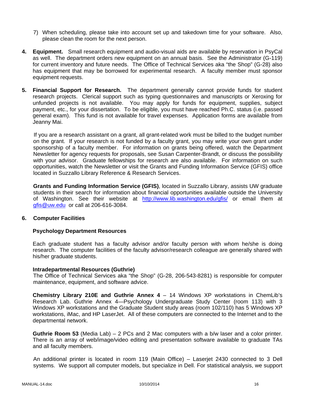- 7) When scheduling, please take into account set up and takedown time for your software. Also, please clean the room for the next person.
- **4. Equipment.** Small research equipment and audio-visual aids are available by reservation in PsyCal as well. The department orders new equipment on an annual basis. See the Administrator (G-119) for current inventory and future needs. The Office of Technical Services aka "the Shop" (G-28) also has equipment that may be borrowed for experimental research. A faculty member must sponsor equipment requests.
- **5. Financial Support for Research.** The department generally cannot provide funds for student research projects. Clerical support such as typing questionnaires and manuscripts or Xeroxing for unfunded projects is not available. You may apply for funds for equipment, supplies, subject payment, etc., for your dissertation. To be eligible, you must have reached Ph.C. status (i.e. passed general exam). This fund is not available for travel expenses. Application forms are available from Jeanny Mai.

If you are a research assistant on a grant, all grant-related work must be billed to the budget number on the grant. If your research is not funded by a faculty grant, you may write your own grant under sponsorship of a faculty member. For information on grants being offered, watch the Department Newsletter for agency requests for proposals, see Susan Carpenter-Brandt, or discuss the possibility with your advisor. Graduate fellowships for research are also available. For information on such opportunities, watch the Newsletter or visit the Grants and Funding Information Service (GFIS) office located in Suzzallo Library Reference & Research Services.

**Grants and Funding Information Service (GFIS)**, located in Suzzallo Library, assists UW graduate students in their search for information about financial opportunities available outside the University of Washington. See their website at http://www.lib.washington.edu/gfis/ or email them at gfis@uw.edu or call at 206-616-3084.

#### **6. Computer Facilities**

#### **Psychology Department Resources**

Each graduate student has a faculty advisor and/or faculty person with whom he/she is doing research. The computer facilities of the faculty advisor/research colleague are generally shared with his/her graduate students.

#### **Intradepartmental Resources (Guthrie)**

The Office of Technical Services aka "the Shop" (G-28, 206-543-8281) is responsible for computer maintenance, equipment, and software advice.

**Chemistry Library 210E and Guthrie Annex 4** – 14 Windows XP workstations in ChemLib's Research Lab. Guthrie Annex 4—Psychology Undergraduate Study Center (room 113) with 3 Windows XP workstations and the Graduate Student study areas (room 102/110) has 5 Windows XP workstations, iMac, and HP LaserJet. All of these computers are connected to the Internet and to the departmental network.

**Guthrie Room 53** (Media Lab) – 2 PCs and 2 Mac computers with a b/w laser and a color printer. There is an array of web/image/video editing and presentation software available to graduate TAs and all faculty members.

An additional printer is located in room 119 (Main Office) – Laserjet 2430 connected to 3 Dell systems. We support all computer models, but specialize in Dell. For statistical analysis, we support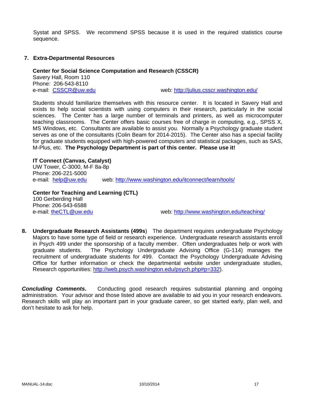Systat and SPSS. We recommend SPSS because it is used in the required statistics course sequence.

#### **7. Extra-Departmental Resources**

#### **Center for Social Science Computation and Research (CSSCR)**

Savery Hall, Room 110 Phone: 206-543-8110

e-mail: CSSCR@uw.edu example web: http://julius.csscr.washington.edu/

Students should familiarize themselves with this resource center. It is located in Savery Hall and exists to help social scientists with using computers in their research, particularly in the social sciences. The Center has a large number of terminals and printers, as well as microcomputer teaching classrooms. The Center offers basic courses free of charge in computing, e.g., SPSS X, MS Windows, etc. Consultants are available to assist you. Normally a Psychology graduate student serves as one of the consultants (Colin Beam for 2014-2015). The Center also has a special facility for graduate students equipped with high-powered computers and statistical packages, such as SAS, M-Plus, etc. **The Psychology Department is part of this center. Please use it!**

**IT Connect (Canvas, Catalyst)**  UW Tower, C-3000, M-F 8a-8p Phone: 206-221-5000 e-mail: help@uw.edu web: http://www.washington.edu/itconnect/learn/tools/

**Center for Teaching and Learning (CTL)**  100 Gerberding Hall Phone: 206-543-6588 e-mail: theCTL@uw.edu web: http://www.washington.edu/teaching/

**8. Undergraduate Research Assistants (499s**) The department requires undergraduate Psychology Majors to have some type of field or research experience. Undergraduate research assistants enroll in Psych 499 under the sponsorship of a faculty member. Often undergraduates help or work with graduate students. The Psychology Undergraduate Advising Office (G-114) manages the recruitment of undergraduate students for 499. Contact the Psychology Undergraduate Advising Office for further information or check the departmental website under undergraduate studies, Research opportunities: http://web.psych.washington.edu/psych.php#p=332).

**Concluding Comments.** Conducting good research requires substantial planning and ongoing administration. Your advisor and those listed above are available to aid you in your research endeavors. Research skills will play an important part in your graduate career, so get started early, plan well, and don't hesitate to ask for help.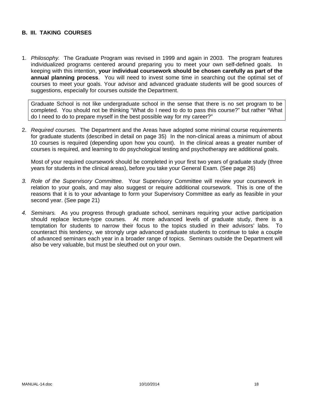### **B. III. TAKING COURSES**

1. *Philosophy.* The Graduate Program was revised in 1999 and again in 2003. The program features individualized programs centered around preparing you to meet your own self-defined goals. In keeping with this intention, **your individual coursework should be chosen carefully as part of the annual planning process**. You will need to invest some time in searching out the optimal set of courses to meet your goals. Your advisor and advanced graduate students will be good sources of suggestions, especially for courses outside the Department.

Graduate School is not like undergraduate school in the sense that there is no set program to be completed. You should not be thinking "What do I need to do to pass this course?" but rather "What do I need to do to prepare myself in the best possible way for my career?"

2. *Required courses.* The Department and the Areas have adopted some minimal course requirements for graduate students (described in detail on page 35) In the non-clinical areas a minimum of about 10 courses is required (depending upon how you count). In the clinical areas a greater number of courses is required, and learning to do psychological testing and psychotherapy are additional goals.

Most of your required coursework should be completed in your first two years of graduate study (three years for students in the clinical areas), before you take your General Exam. (See page 26)

- *3. Role of the Supervisory Committee.* Your Supervisory Committee will review your coursework in relation to your goals, and may also suggest or require additional coursework. This is one of the reasons that it is to your advantage to form your Supervisory Committee as early as feasible in your second year. (See page 21)
- *4. Seminars.* As you progress through graduate school, seminars requiring your active participation should replace lecture-type courses. At more advanced levels of graduate study, there is a temptation for students to narrow their focus to the topics studied in their advisors' labs. To counteract this tendency, we strongly urge advanced graduate students to continue to take a couple of advanced seminars each year in a broader range of topics. Seminars outside the Department will also be very valuable, but must be sleuthed out on your own.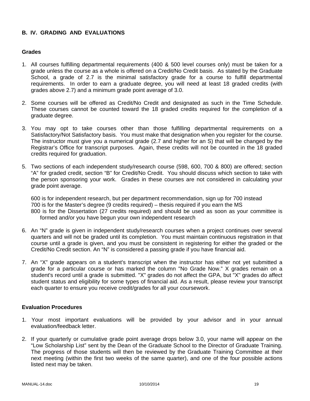## **B. IV. GRADING AND EVALUATIONS**

#### **Grades**

- 1. All courses fulfilling departmental requirements (400 & 500 level courses only) must be taken for a grade unless the course as a whole is offered on a Credit/No Credit basis. As stated by the Graduate School, a grade of 2.7 is the minimal satisfactory grade for a course to fulfill departmental requirements. In order to earn a graduate degree, you will need at least 18 graded credits (with grades above 2.7) and a minimum grade point average of 3.0.
- 2. Some courses will be offered as Credit/No Credit and designated as such in the Time Schedule. These courses cannot be counted toward the 18 graded credits required for the completion of a graduate degree.
- 3. You may opt to take courses other than those fulfilling departmental requirements on a Satisfactory/Not Satisfactory basis. You must make that designation when you register for the course. The instructor must give you a numerical grade (2.7 and higher for an S) that will be changed by the Registrar's Office for transcript purposes. Again, these credits will not be counted in the 18 graded credits required for graduation.
- 5. Two sections of each independent study/research course (598, 600, 700 & 800) are offered; section "A" for graded credit, section "B" for Credit/No Credit. You should discuss which section to take with the person sponsoring your work. Grades in these courses are not considered in calculating your grade point average.

600 is for independent research, but per department recommendation, sign up for 700 instead 700 is for the Master's degree (9 credits required) – thesis required if you earn the MS 800 is for the Dissertation (27 credits required) and should be used as soon as your committee is formed and/or you have begun your own independent research

- 6. An "N" grade is given in independent study/research courses when a project continues over several quarters and will not be graded until its completion. You must maintain continuous registration in that course until a grade is given, and you must be consistent in registering for either the graded or the Credit/No Credit section. An "N" is considered a passing grade if you have financial aid.
- 7. An "X" grade appears on a student's transcript when the instructor has either not yet submitted a grade for a particular course or has marked the column "No Grade Now." X grades remain on a student's record until a grade is submitted. "X" grades do not affect the GPA, but "X" grades do affect student status and eligibility for some types of financial aid. As a result, please review your transcript each quarter to ensure you receive credit/grades for all your coursework.

#### **Evaluation Procedures**

- 1. Your most important evaluations will be provided by your advisor and in your annual evaluation/feedback letter.
- 2. If your quarterly or cumulative grade point average drops below 3.0, your name will appear on the "Low Scholarship List" sent by the Dean of the Graduate School to the Director of Graduate Training. The progress of those students will then be reviewed by the Graduate Training Committee at their next meeting (within the first two weeks of the same quarter), and one of the four possible actions listed next may be taken.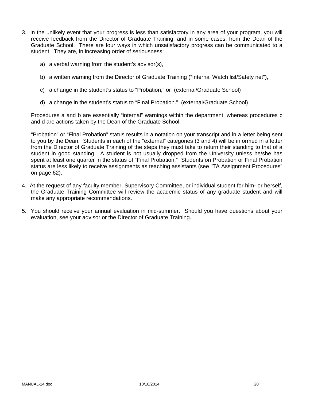- 3. In the unlikely event that your progress is less than satisfactory in any area of your program, you will receive feedback from the Director of Graduate Training, and in some cases, from the Dean of the Graduate School. There are four ways in which unsatisfactory progress can be communicated to a student. They are, in increasing order of seriousness:
	- a) a verbal warning from the student's advisor(s),
	- b) a written warning from the Director of Graduate Training ("Internal Watch list/Safety net"),
	- c) a change in the student's status to "Probation," or (external/Graduate School)
	- d) a change in the student's status to "Final Probation." (external/Graduate School)

Procedures a and b are essentially "internal" warnings within the department, whereas procedures c and d are actions taken by the Dean of the Graduate School.

"Probation" or "Final Probation" status results in a notation on your transcript and in a letter being sent to you by the Dean. Students in each of the "external" categories (3 and 4) will be informed in a letter from the Director of Graduate Training of the steps they must take to return their standing to that of a student in good standing. A student is not usually dropped from the University unless he/she has spent at least one quarter in the status of "Final Probation." Students on Probation or Final Probation status are less likely to receive assignments as teaching assistants (see "TA Assignment Procedures" on page 62).

- 4. At the request of any faculty member, Supervisory Committee, or individual student for him- or herself, the Graduate Training Committee will review the academic status of any graduate student and will make any appropriate recommendations.
- 5. You should receive your annual evaluation in mid-summer. Should you have questions about your evaluation, see your advisor or the Director of Graduate Training.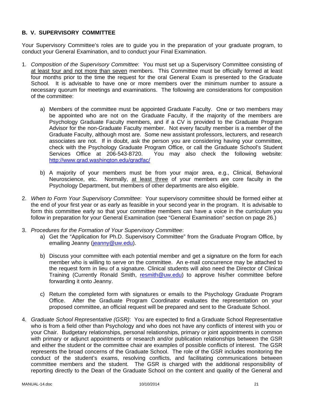## **B. V. SUPERVISORY COMMITTEE**

Your Supervisory Committee's roles are to guide you in the preparation of your graduate program, to conduct your General Examination, and to conduct your Final Examination.

- 1. *Composition of the Supervisory Committee*: You must set up a Supervisory Committee consisting of at least four and not more than seven members. This Committee must be officially formed at least four months prior to the time the request for the oral General Exam is presented to the Graduate School. It is advisable to have one or more members over the minimum number to assure a necessary quorum for meetings and examinations. The following are considerations for composition of the committee:
	- a) Members of the committee must be appointed Graduate Faculty. One or two members may be appointed who are not on the Graduate Faculty, if the majority of the members are Psychology Graduate Faculty members, and if a CV is provided to the Graduate Program Advisor for the non-Graduate Faculty member. Not every faculty member is a member of the Graduate Faculty, although most are. Some new assistant professors, lecturers, and research associates are not. If in doubt, ask the person you are considering having your committee, check with the Psychology Graduate Program Office, or call the Graduate School's Student Services Office at 206-543-8720. You may also check the following website: http://www.grad.washington.edu/gradfac/
	- b) A majority of your members must be from your major area, e.g., Clinical, Behavioral Neuroscience, etc. Normally, at least three of your members are core faculty in the Psychology Department, but members of other departments are also eligible.
- 2. *When to Form Your Supervisory Committee*: Your supervisory committee should be formed either at the end of your first year or as early as feasible in your second year in the program. It is advisable to form this committee early so that your committee members can have a voice in the curriculum you follow in preparation for your General Examination (see "General Examination" section on page 26.)
- 3. *Procedures for the Formation of Your Supervisory Committee*:
	- a) Get the "Application for Ph.D. Supervisory Committee" from the Graduate Program Office, by emailing Jeanny (jeanny@uw.edu).
	- b) Discuss your committee with each potential member and get a signature on the form for each member who is willing to serve on the committee. An e-mail concurrence may be attached to the request form in lieu of a signature. Clinical students will also need the Director of Clinical Training (Currently Ronald Smith, resmith@uw.edu) to approve his/her committee before forwarding it onto Jeanny.
	- c) Return the completed form with signatures or emails to the Psychology Graduate Program Office. After the Graduate Program Coordinator evaluates the representation on your proposed committee, an official request will be prepared and sent to the Graduate School.
- 4. *Graduate School Representative (GSR)*: You are expected to find a Graduate School Representative who is from a field other than Psychology and who does not have any conflicts of interest with you or your Chair. Budgetary relationships, personal relationships, primary or joint appointments in common with primary or adjunct appointments or research and/or publication relationships between the GSR and either the student or the committee chair are examples of possible conflicts of interest. The GSR represents the broad concerns of the Graduate School. The role of the GSR includes monitoring the conduct of the student's exams, resolving conflicts, and facilitating communications between committee members and the student. The GSR is charged with the additional responsibility of reporting directly to the Dean of the Graduate School on the content and quality of the General and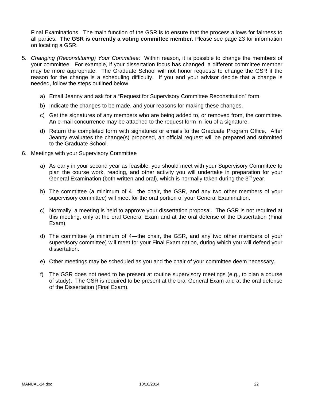Final Examinations. The main function of the GSR is to ensure that the process allows for fairness to all parties. **The GSR is currently a voting committee member**. Please see page 23 for information on locating a GSR.

- 5. *Changing (Reconstituting) Your Committee*: Within reason, it is possible to change the members of your committee. For example, if your dissertation focus has changed, a different committee member may be more appropriate. The Graduate School will not honor requests to change the GSR if the reason for the change is a scheduling difficulty. If you and your advisor decide that a change is needed, follow the steps outlined below.
	- a) Email Jeanny and ask for a "Request for Supervisory Committee Reconstitution" form.
	- b) Indicate the changes to be made, and your reasons for making these changes.
	- c) Get the signatures of any members who are being added to, or removed from, the committee. An e-mail concurrence may be attached to the request form in lieu of a signature.
	- d) Return the completed form with signatures or emails to the Graduate Program Office. After Jeanny evaluates the change(s) proposed, an official request will be prepared and submitted to the Graduate School.
- 6. Meetings with your Supervisory Committee
	- a) As early in your second year as feasible, you should meet with your Supervisory Committee to plan the course work, reading, and other activity you will undertake in preparation for your General Examination (both written and oral), which is normally taken during the  $3<sup>rd</sup>$  year.
	- b) The committee (a minimum of 4—the chair, the GSR, and any two other members of your supervisory committee) will meet for the oral portion of your General Examination.
	- c) Normally, a meeting is held to approve your dissertation proposal. The GSR is not required at this meeting, only at the oral General Exam and at the oral defense of the Dissertation (Final Exam).
	- d) The committee (a minimum of 4—the chair, the GSR, and any two other members of your supervisory committee) will meet for your Final Examination, during which you will defend your dissertation.
	- e) Other meetings may be scheduled as you and the chair of your committee deem necessary.
	- f) The GSR does not need to be present at routine supervisory meetings (e.g., to plan a course of study). The GSR is required to be present at the oral General Exam and at the oral defense of the Dissertation (Final Exam).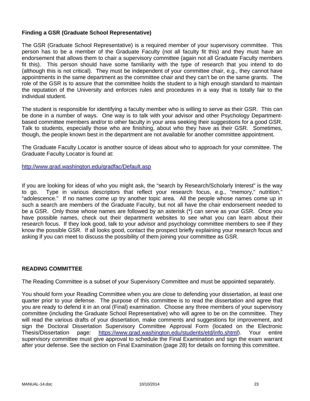## **Finding a GSR (Graduate School Representative)**

The GSR (Graduate School Representative) is a required member of your supervisory committee. This person has to be a member of the Graduate Faculty (not all faculty fit this) and they must have an endorsement that allows them to chair a supervisory committee (again not all Graduate Faculty members fit this). This person should have some familiarity with the type of research that you intend to do (although this is not critical). They must be independent of your committee chair, e.g., they cannot have appointments in the same department as the committee chair and they can't be on the same grants. The role of the GSR is to assure that the committee holds the student to a high enough standard to maintain the reputation of the University and enforces rules and procedures in a way that is totally fair to the individual student.

The student is responsible for identifying a faculty member who is willing to serve as their GSR. This can be done in a number of ways. One way is to talk with your advisor and other Psychology Departmentbased committee members and/or to other faculty in your area seeking their suggestions for a good GSR. Talk to students, especially those who are finishing, about who they have as their GSR. Sometimes, though, the people known best in the department are not available for another committee appointment.

The Graduate Faculty Locator is another source of ideas about who to approach for your committee. The Graduate Faculty Locator is found at:

http://www.grad.washington.edu/gradfac/Default.asp

If you are looking for ideas of who you might ask, the "search by Research/Scholarly Interest" is the way to go. Type in various descriptors that reflect your research focus, e.g., "memory," nutrition," "adolescence." If no names come up try another topic area. All the people whose names come up in such a search are members of the Graduate Faculty, but not all have the chair endorsement needed to be a GSR. Only those whose names are followed by an asterisk (\*) can serve as your GSR. Once you have possible names, check out their department websites to see what you can learn about their research focus. If they look good, talk to your advisor and psychology committee members to see if they know the possible GSR. If all looks good, contact the prospect briefly explaining your research focus and asking if you can meet to discuss the possibility of them joining your committee as GSR.

#### **READING COMMITTEE**

The Reading Committee is a subset of your Supervisory Committee and must be appointed separately.

You should form your Reading Committee when you are close to defending your dissertation, at least one quarter prior to your defense. The purpose of this committee is to read the dissertation and agree that you are ready to defend it in an oral (Final) examination. Choose any three members of your supervisory committee (including the Graduate School Representative) who will agree to be on the committee. They will read the various drafts of your dissertation, make comments and suggestions for improvement, and sign the Doctoral Dissertation Supervisory Committee Approval Form (located on the Electronic Thesis/Dissertation page: https://www.grad.washington.edu/students/etd/info.shtml). Your entire supervisory committee must give approval to schedule the Final Examination and sign the exam warrant after your defense. See the section on Final Examination (page 28) for details on forming this committee.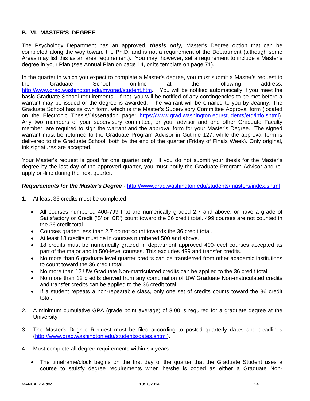## **B. VI. MASTER'S DEGREE**

The Psychology Department has an approved, *thesis only,* Master's Degree option that can be completed along the way toward the Ph.D. and is not a requirement of the Department (although some Areas may list this as an area requirement). You may, however, set a requirement to include a Master's degree in your Plan (see Annual Plan on page 14, or its template on page 71).

In the quarter in which you expect to complete a Master's degree, you must submit a Master's request to the Graduate School on-line at the following address: http://www.grad.washington.edu/mygrad/student.htm. You will be notified automatically if you meet the basic Graduate School requirements. If not, you will be notified of any contingencies to be met before a warrant may be issued or the degree is awarded. The warrant will be emailed to you by Jeanny. The Graduate School has its own form, which is the Master's Supervisory Committee Approval form (located on the Electronic Thesis/Dissertation page: https://www.grad.washington.edu/students/etd/info.shtml). Any two members of your supervisory committee, or your advisor and one other Graduate Faculty member, are required to sign the warrant and the approval form for your Master's Degree. The signed warrant must be returned to the Graduate Program Advisor in Guthrie 127, while the approval form is delivered to the Graduate School, both by the end of the quarter (Friday of Finals Week). Only original, ink signatures are accepted.

Your Master's request is good for one quarter only. If you do not submit your thesis for the Master's degree by the last day of the approved quarter, you must notify the Graduate Program Advisor and reapply on-line during the next quarter.

#### *Requirements for the Master's Degree* - http://www.grad.washington.edu/students/masters/index.shtml

- 1. At least 36 credits must be completed
	- All courses numbered 400-799 that are numerically graded 2.7 and above, or have a grade of Satisfactory or Credit ('S' or 'CR') count toward the 36 credit total. 499 courses are not counted in the 36 credit total.
	- Courses graded less than 2.7 do not count towards the 36 credit total.
	- At least 18 credits must be in courses numbered 500 and above.
	- 18 credits must be numerically graded in department approved 400-level courses accepted as part of the major and in 500-level courses. This excludes 499 and transfer credits.
	- No more than 6 graduate level quarter credits can be transferred from other academic institutions to count toward the 36 credit total.
	- No more than 12 UW Graduate Non-matriculated credits can be applied to the 36 credit total.
	- No more than 12 credits derived from any combination of UW Graduate Non-matriculated credits and transfer credits can be applied to the 36 credit total.
	- If a student repeats a non-repeatable class, only one set of credits counts toward the 36 credit total.
- 2. A minimum cumulative GPA (grade point average) of 3.00 is required for a graduate degree at the **University**
- 3. The Master's Degree Request must be filed according to posted quarterly dates and deadlines (http://www.grad.washington.edu/students/dates.shtml).
- 4. Must complete all degree requirements within six years
	- The timeframe/clock begins on the first day of the quarter that the Graduate Student uses a course to satisfy degree requirements when he/she is coded as either a Graduate Non-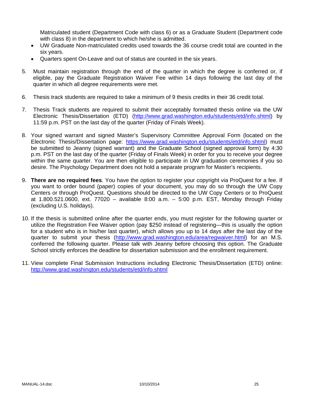Matriculated student (Department Code with class 6) or as a Graduate Student (Department code with class 8) in the department to which he/she is admitted.

- UW Graduate Non-matriculated credits used towards the 36 course credit total are counted in the six years.
- Quarters spent On-Leave and out of status are counted in the six years.
- 5. Must maintain registration through the end of the quarter in which the degree is conferred or, if eligible, pay the Graduate Registration Waiver Fee within 14 days following the last day of the quarter in which all degree requirements were met.
- 6. Thesis track students are required to take a minimum of 9 thesis credits in their 36 credit total.
- 7. Thesis Track students are required to submit their acceptably formatted thesis online via the UW Electronic Thesis/Dissertation (ETD) (http://www.grad.washington.edu/students/etd/info.shtml) by 11:59 p.m. PST on the last day of the quarter (Friday of Finals Week).
- 8. Your signed warrant and signed Master's Supervisory Committee Approval Form (located on the Electronic Thesis/Dissertation page: https://www.grad.washington.edu/students/etd/info.shtml) must be submitted to Jeanny (signed warrant) and the Graduate School (signed approval form) by 4:30 p.m. PST on the last day of the quarter (Friday of Finals Week) in order for you to receive your degree within the same quarter. You are then eligible to participate in UW graduation ceremonies if you so desire. The Psychology Department does not hold a separate program for Master's recipients.
- 9. **There are no required fees**. You have the option to register your copyright via ProQuest for a fee. If you want to order bound (paper) copies of your document, you may do so through the UW Copy Centers or through ProQuest. Questions should be directed to the UW Copy Centers or to ProQuest at 1.800.521.0600, ext. 77020 – available 8:00 a.m. – 5:00 p.m. EST, Monday through Friday (excluding U.S. holidays).
- 10. If the thesis is submitted online after the quarter ends, you must register for the following quarter or utilize the Registration Fee Waiver option (pay \$250 instead of registering—this is usually the option for a student who is in his/her last quarter), which allows you up to 14 days after the last day of the quarter to submit your thesis (http://www.grad.washington.edu/area/regwaiver.html) for an M.S. conferred the following quarter. Please talk with Jeanny before choosing this option. The Graduate School strictly enforces the deadline for dissertation submission and the enrollment requirement.
- 11. View complete Final Submission Instructions including Electronic Thesis/Dissertation (ETD) online: http://www.grad.washington.edu/students/etd/info.shtml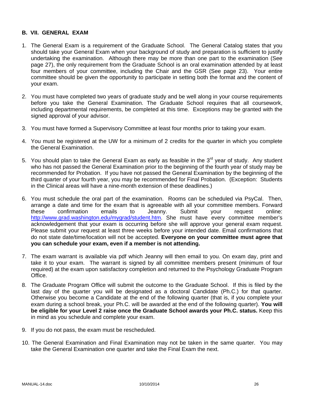#### **B. VII. GENERAL EXAM**

- 1. The General Exam is a requirement of the Graduate School. The General Catalog states that you should take your General Exam when your background of study and preparation is sufficient to justify undertaking the examination. Although there may be more than one part to the examination (See page 27), the only requirement from the Graduate School is an oral examination attended by at least four members of your committee, including the Chair and the GSR (See page 23). Your entire committee should be given the opportunity to participate in setting both the format and the content of your exam.
- 2. You must have completed two years of graduate study and be well along in your course requirements before you take the General Examination. The Graduate School requires that all coursework, including departmental requirements, be completed at this time. Exceptions may be granted with the signed approval of your advisor.
- 3. You must have formed a Supervisory Committee at least four months prior to taking your exam.
- 4. You must be registered at the UW for a minimum of 2 credits for the quarter in which you complete the General Examination.
- 5. You should plan to take the General Exam as early as feasible in the  $3<sup>rd</sup>$  year of study. Any student who has not passed the General Examination prior to the beginning of the fourth year of study may be recommended for Probation. If you have not passed the General Examination by the beginning of the third quarter of your fourth year, you may be recommended for Final Probation. (Exception: Students in the Clinical areas will have a nine-month extension of these deadlines.)
- 6. You must schedule the oral part of the examination. Rooms can be scheduled via PsyCal. Then, arrange a date and time for the exam that is agreeable with all your committee members. Forward these confirmation emails to Jeanny. Submit your request online: http://www.grad.washington.edu/mygrad/student.htm. She must have every committee member's acknowledgement that your exam is occurring before she will approve your general exam request. Please submit your request at least three weeks before your intended date. Email confirmations that do not state date/time/location will not be accepted. **Everyone on your committee must agree that you can schedule your exam, even if a member is not attending.**
- 7. The exam warrant is available via pdf which Jeanny will then email to you. On exam day, print and take it to your exam. The warrant is signed by all committee members present (minimum of four required) at the exam upon satisfactory completion and returned to the Psychology Graduate Program Office.
- 8. The Graduate Program Office will submit the outcome to the Graduate School. If this is filed by the last day of the quarter you will be designated as a doctoral Candidate (Ph.C.) for that quarter. Otherwise you become a Candidate at the end of the following quarter (that is, if you complete your exam during a school break, your Ph.C. will be awarded at the end of the following quarter). **You will be eligible for your Level 2 raise once the Graduate School awards your Ph.C. status.** Keep this in mind as you schedule and complete your exam.
- 9. If you do not pass, the exam must be rescheduled.
- 10. The General Examination and Final Examination may not be taken in the same quarter. You may take the General Examination one quarter and take the Final Exam the next.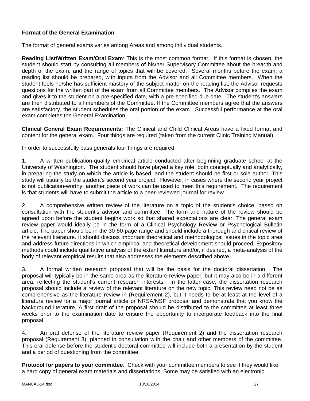## **Format of the General Examination**

The format of general exams varies among Areas and among individual students.

**Reading List/Written Exam/Oral Exam**: This is the most common format. If this format is chosen, the student should start by consulting all members of his/her Supervisory Committee about the breadth and depth of the exam, and the range of topics that will be covered. Several months before the exam, a reading list should be prepared, with inputs from the Advisor and all Committee members. When the student feels he/she has sufficient mastery of the subject matter on the reading list, the Advisor requests questions for the written part of the exam from all Committee members. The Advisor compiles the exam and gives it to the student on a pre-specified date, with a pre-specified due date. The student's answers are then distributed to all members of the Committee. If the Committee members agree that the answers are satisfactory, the student schedules the oral portion of the exam. Successful performance at the oral exam completes the General Examination.

**Clinical General Exam Requirements:** The Clinical and Child Clinical Areas have a fixed format and content for the general exam. Four things are required (taken from the current Clinic Training Manual):

In order to successfully pass generals four things are required:

1. A written publication-quality empirical article conducted after beginning graduate school at the University of Washington. The student should have played a key role, both conceptually and analytically, in preparing the study on which the article is based, and the student should be first or sole author. This study will usually be the student's second year project. However, in cases where the second year project is not publication-worthy, another piece of work can be used to meet this requirement. The requirement is that students will have to submit the article to a peer-reviewed journal for review.

2. A comprehensive written review of the literature on a topic of the student's choice, based on consultation with the student's advisor and committee. The form and nature of the review should be agreed upon before the student begins work so that shared expectations are clear. The general exam review paper would ideally be in the form of a Clinical Psychology Review or Psychological Bulletin article. The paper should be in the 30-50-page range and should include a thorough and critical review of the relevant literature. It should discuss important theoretical and methodological issues in the topic area and address future directions in which empirical and theoretical development should proceed. Expository methods could include qualitative analysis of the extant literature and/or, if desired, a meta-analysis of the body of relevant empirical results that also addresses the elements described above.

3. A formal written research proposal that will be the basis for the doctoral dissertation. The proposal will typically be in the same area as the literature review paper, but it may also be in a different area, reflecting the student's current research interests. In the latter case, the dissertation research proposal should include a review of the relevant literature on the new topic. This review need not be as comprehensive as the literature review in (Requirement 2), but it needs to be at least at the level of a literature review for a major journal article or NRSA/NSF proposal and demonstrate that you know the background literature. A first draft of the proposal should be distributed to the committee at least three weeks prior to the examination date to ensure the opportunity to incorporate feedback into the final proposal.

4. An oral defense of the literature review paper (Requirement 2) and the dissertation research proposal (Requirement 3), planned in consultation with the chair and other members of the committee. This oral defense before the student's doctoral committee will include both a presentation by the student and a period of questioning from the committee.

**Protocol for papers to your committee**: Check with your committee members to see if they would like a hard copy of general exam materials and dissertations. Some may be satisfied with an electronic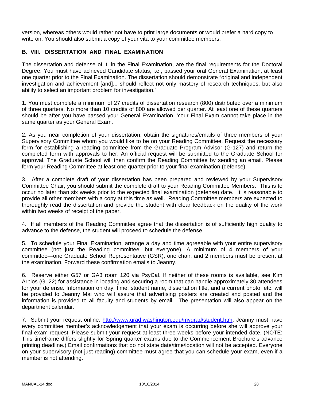version, whereas others would rather not have to print large documents or would prefer a hard copy to write on. You should also submit a copy of your vita to your committee members.

## **B. VIII. DISSERTATION AND FINAL EXAMINATION**

The dissertation and defense of it, in the Final Examination, are the final requirements for the Doctoral Degree. You must have achieved Candidate status, i.e., passed your oral General Examination, at least one quarter prior to the Final Examination. The dissertation should demonstrate "original and independent investigation and achievement [and]... should reflect not only mastery of research techniques, but also ability to select an important problem for investigation."

1. You must complete a minimum of 27 credits of dissertation research (800) distributed over a minimum of three quarters. No more than 10 credits of 800 are allowed per quarter. At least one of these quarters should be after you have passed your General Examination. Your Final Exam cannot take place in the same quarter as your General Exam.

2. As you near completion of your dissertation, obtain the signatures/emails of three members of your Supervisory Committee whom you would like to be on your Reading Committee. Request the necessary form for establishing a reading committee from the Graduate Program Advisor (G-127) and return the completed form with approvals to her. An official request will be submitted to the Graduate School for approval. The Graduate School will then confirm the Reading Committee by sending an email. Please form your Reading Committee at least one quarter prior to your final examination (defense).

3. After a complete draft of your dissertation has been prepared and reviewed by your Supervisory Committee Chair, you should submit the complete draft to your Reading Committee Members. This is to occur no later than six weeks prior to the expected final examination (defense) date. It is reasonable to provide all other members with a copy at this time as well. Reading Committee members are expected to thoroughly read the dissertation and provide the student with clear feedback on the quality of the work within two weeks of receipt of the paper.

4. If all members of the Reading Committee agree that the dissertation is of sufficiently high quality to advance to the defense, the student will proceed to schedule the defense.

5. To schedule your Final Examination, arrange a day and time agreeable with your entire supervisory committee (not just the Reading committee, but everyone). A minimum of 4 members of your committee—one Graduate School Representative (GSR), one chair, and 2 members must be present at the examination. Forward these confirmation emails to Jeanny.

6. Reserve either G57 or GA3 room 120 via PsyCal. If neither of these rooms is available, see Kim Arbios (G122) for assistance in locating and securing a room that can handle approximately 30 attendees for your defense. Information on day, time, student name, dissertation title, and a current photo, etc. will be provided to Jeanny Mai who will assure that advertising posters are created and posted and the information is provided to all faculty and students by email. The presentation will also appear on the department calendar.

7. Submit your request online: http://www.grad.washington.edu/mygrad/student.htm. Jeanny must have every committee member's acknowledgement that your exam is occurring before she will approve your final exam request. Please submit your request at least three weeks before your intended date. (NOTE: This timeframe differs slightly for Spring quarter exams due to the Commencement Brochure's advance printing deadline.) Email confirmations that do not state date/time/location will not be accepted. Everyone on your supervisory (not just reading) committee must agree that you can schedule your exam, even if a member is not attending.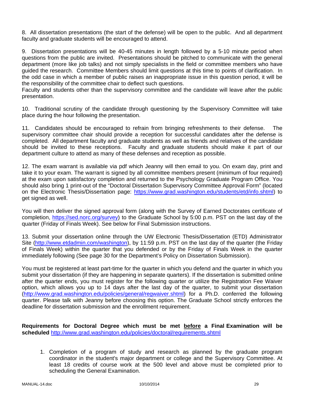8. All dissertation presentations (the start of the defense) will be open to the public. And all department faculty and graduate students will be encouraged to attend.

9. Dissertation presentations will be 40-45 minutes in length followed by a 5-10 minute period when questions from the public are invited. Presentations should be pitched to communicate with the general department (more like job talks) and not simply specialists in the field or committee members who have guided the research. Committee Members should limit questions at this time to points of clarification. In the odd case in which a member of public raises an inappropriate issue in this question period, it will be the responsibility of the committee chair to deflect such questions.

Faculty and students other than the supervisory committee and the candidate will leave after the public presentation.

10. Traditional scrutiny of the candidate through questioning by the Supervisory Committee will take place during the hour following the presentation.

11. Candidates should be encouraged to refrain from bringing refreshments to their defense. The supervisory committee chair should provide a reception for successful candidates after the defense is completed. All department faculty and graduate students as well as friends and relatives of the candidate should be invited to these receptions. Faculty and graduate students should make it part of our department culture to attend as many of these defenses and reception as possible.

12. The exam warrant is available via pdf which Jeanny will then email to you. On exam day, print and take it to your exam. The warrant is signed by all committee members present (minimum of four required) at the exam upon satisfactory completion and returned to the Psychology Graduate Program Office. You should also bring 1 print-out of the "Doctoral Dissertation Supervisory Committee Approval Form" (located on the Electronic Thesis/Dissertation page: https://www.grad.washington.edu/students/etd/info.shtml) to get signed as well.

You will then deliver the signed approval form (along with the Survey of Earned Doctorates certificate of completion, https://sed.norc.org/survey) to the Graduate School by 5:00 p.m. PST on the last day of the quarter (Friday of Finals Week). See below for Final Submission instructions.

13. Submit your dissertation online through the UW Electronic Thesis/Dissertation (ETD) Administrator Site (http://www.etdadmin.com/washington), by 11:59 p.m. PST on the last day of the quarter (the Friday of Finals Week) within the quarter that you defended or by the Friday of Finals Week in the quarter immediately following (See page 30 for the Department's Policy on Dissertation Submission).

You must be registered at least part-time for the quarter in which you defend and the quarter in which you submit your dissertation (if they are happening in separate quarters). If the dissertation is submitted online after the quarter ends, you must register for the following quarter or utilize the Registration Fee Waiver option, which allows you up to 14 days after the last day of the quarter, to submit your dissertation (http://www.grad.washington.edu/policies/general/regwaiver.shtml) for a Ph.D. conferred the following quarter. Please talk with Jeanny before choosing this option. The Graduate School strictly enforces the deadline for dissertation submission and the enrollment requirement.

**Requirements for Doctoral Degree which must be met before a Final Examination will be scheduled** http://www.grad.washington.edu/policies/doctoral/requirements.shtml

1. Completion of a program of study and research as planned by the graduate program coordinator in the student's major department or college and the Supervisory Committee. At least 18 credits of course work at the 500 level and above must be completed prior to scheduling the General Examination.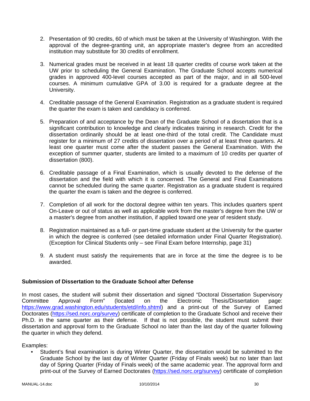- 2. Presentation of 90 credits, 60 of which must be taken at the University of Washington. With the approval of the degree-granting unit, an appropriate master's degree from an accredited institution may substitute for 30 credits of enrollment.
- 3. Numerical grades must be received in at least 18 quarter credits of course work taken at the UW prior to scheduling the General Examination. The Graduate School accepts numerical grades in approved 400-level courses accepted as part of the major, and in all 500-level courses. A minimum cumulative GPA of 3.00 is required for a graduate degree at the University.
- 4. Creditable passage of the General Examination. Registration as a graduate student is required the quarter the exam is taken and candidacy is conferred.
- 5. Preparation of and acceptance by the Dean of the Graduate School of a dissertation that is a significant contribution to knowledge and clearly indicates training in research. Credit for the dissertation ordinarily should be at least one-third of the total credit. The Candidate must register for a minimum of 27 credits of dissertation over a period of at least three quarters. At least one quarter must come after the student passes the General Examination. With the exception of summer quarter, students are limited to a maximum of 10 credits per quarter of dissertation (800).
- 6. Creditable passage of a Final Examination, which is usually devoted to the defense of the dissertation and the field with which it is concerned. The General and Final Examinations cannot be scheduled during the same quarter. Registration as a graduate student is required the quarter the exam is taken and the degree is conferred.
- 7. Completion of all work for the doctoral degree within ten years. This includes quarters spent On-Leave or out of status as well as applicable work from the master's degree from the UW or a master's degree from another institution, if applied toward one year of resident study.
- 8. Registration maintained as a full- or part-time graduate student at the University for the quarter in which the degree is conferred (see detailed information under Final Quarter Registration). (Exception for Clinical Students only – see Final Exam before Internship, page 31)
- 9. A student must satisfy the requirements that are in force at the time the degree is to be awarded.

## **Submission of Dissertation to the Graduate School after Defense**

In most cases, the student will submit their dissertation and signed "Doctoral Dissertation Supervisory Committee Approval Form" (located on the Electronic Thesis/Dissertation page: https://www.grad.washington.edu/students/etd/info.shtml) and a print-out of the Survey of Earned Doctorates (https://sed.norc.org/survey) certificate of completion to the Graduate School and receive their Ph.D. in the same quarter as their defense. If that is not possible, the student must submit their dissertation and approval form to the Graduate School no later than the last day of the quarter following the quarter in which they defend.

Examples:

• Student's final examination is during Winter Quarter, the dissertation would be submitted to the Graduate School by the last day of Winter Quarter (Friday of Finals week) but no later than last day of Spring Quarter (Friday of Finals week) of the same academic year. The approval form and print-out of the Survey of Earned Doctorates (https://sed.norc.org/survey) certificate of completion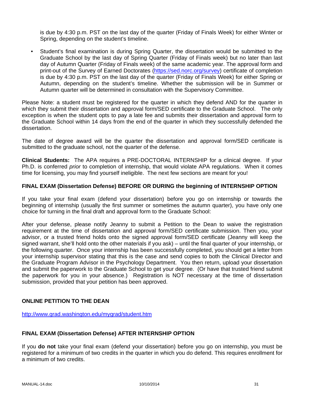is due by 4:30 p.m. PST on the last day of the quarter (Friday of Finals Week) for either Winter or Spring, depending on the student's timeline.

• Student's final examination is during Spring Quarter, the dissertation would be submitted to the Graduate School by the last day of Spring Quarter (Friday of Finals week) but no later than last day of Autumn Quarter (Friday of Finals week) of the same academic year. The approval form and print-out of the Survey of Earned Doctorates (https://sed.norc.org/survey) certificate of completion is due by 4:30 p.m. PST on the last day of the quarter (Friday of Finals Week) for either Spring or Autumn, depending on the student's timeline. Whether the submission will be in Summer or Autumn quarter will be determined in consultation with the Supervisory Committee.

Please Note: a student must be registered for the quarter in which they defend AND for the quarter in which they submit their dissertation and approval form/SED certificate to the Graduate School. The only exception is when the student opts to pay a late fee and submits their dissertation and approval form to the Graduate School within 14 days from the end of the quarter in which they successfully defended the dissertation.

The date of degree award will be the quarter the dissertation and approval form/SED certificate is submitted to the graduate school, not the quarter of the defense.

**Clinical Students:** The APA requires a PRE-DOCTORAL INTERNSHIP for a clinical degree. If your Ph.D. is conferred *prior* to completion of internship, that would violate APA regulations. When it comes time for licensing, you may find yourself ineligible. The next few sections are meant for you!

#### **FINAL EXAM (Dissertation Defense) BEFORE OR DURING the beginning of INTERNSHIP OPTION**

If you take your final exam (defend your dissertation) before you go on internship or towards the beginning of internship (usually the first summer or sometimes the autumn quarter), you have only one choice for turning in the final draft and approval form to the Graduate School:

After your defense, please notify Jeanny to submit a Petition to the Dean to waive the registration requirement at the time of dissertation and approval form/SED certificate submission. Then you, your advisor, or a trusted friend holds onto the signed approval form/SED certificate (Jeanny will keep the signed warrant, she'll hold onto the other materials if you ask) – until the final quarter of your internship, or the following quarter. Once your internship has been successfully completed, you should get a letter from your internship supervisor stating that this is the case and send copies to both the Clinical Director and the Graduate Program Advisor in the Psychology Department. You then return, upload your dissertation and submit the paperwork to the Graduate School to get your degree. (Or have that trusted friend submit the paperwork for you in your absence.) Registration is NOT necessary at the time of dissertation submission, provided that your petition has been approved.

## **ONLINE PETITION TO THE DEAN**

http://www.grad.washington.edu/mygrad/student.htm

#### **FINAL EXAM (Dissertation Defense) AFTER INTERNSHIP OPTION**

If you **do not** take your final exam (defend your dissertation) before you go on internship, you must be registered for a minimum of two credits in the quarter in which you do defend. This requires enrollment for a minimum of two credits.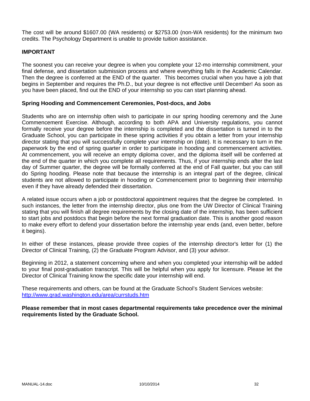The cost will be around \$1607.00 (WA residents) or \$2753.00 (non-WA residents) for the minimum two credits. The Psychology Department is unable to provide tuition assistance.

## **IMPORTANT**

The soonest you can receive your degree is when you complete your 12-mo internship commitment, your final defense, and dissertation submission process and where everything falls in the Academic Calendar. Then the degree is conferred at the END of the quarter. This becomes crucial when you have a job that begins in September and requires the Ph.D., but your degree is not effective until December! As soon as you have been placed, find out the END of your internship so you can start planning ahead.

## **Spring Hooding and Commencement Ceremonies, Post-docs, and Jobs**

Students who are on internship often wish to participate in our spring hooding ceremony and the June Commencement Exercise. Although, according to both APA and University regulations, you cannot formally receive your degree before the internship is completed and the dissertation is turned in to the Graduate School, you can participate in these spring activities if you obtain a letter from your internship director stating that you will successfully complete your internship on (date). It is necessary to turn in the paperwork by the end of spring quarter in order to participate in hooding and commencement activities. At commencement, you will receive an empty diploma cover, and the diploma itself will be conferred at the end of the quarter in which you complete all requirements. Thus, if your internship ends after the last day of Summer quarter, the degree will be formally conferred at the end of Fall quarter, but you can still do Spring hooding. Please note that because the internship is an integral part of the degree, clinical students are not allowed to participate in hooding or Commencement prior to beginning their internship even if they have already defended their dissertation.

A related issue occurs when a job or postdoctoral appointment requires that the degree be completed. In such instances, the letter from the internship director, plus one from the UW Director of Clinical Training stating that you will finish all degree requirements by the closing date of the internship, has been sufficient to start jobs and postdocs that begin before the next formal graduation date. This is another good reason to make every effort to defend your dissertation before the internship year ends (and, even better, before it begins).

In either of these instances, please provide three copies of the internship director's letter for (1) the Director of Clinical Training, (2) the Graduate Program Advisor, and (3) your advisor.

Beginning in 2012, a statement concerning where and when you completed your internship will be added to your final post-graduation transcript. This will be helpful when you apply for licensure. Please let the Director of Clinical Training know the specific date your internship will end.

These requirements and others, can be found at the Graduate School's Student Services website: http://www.grad.washington.edu/area/currstuds.htm

**Please remember that in most cases departmental requirements take precedence over the minimal requirements listed by the Graduate School.**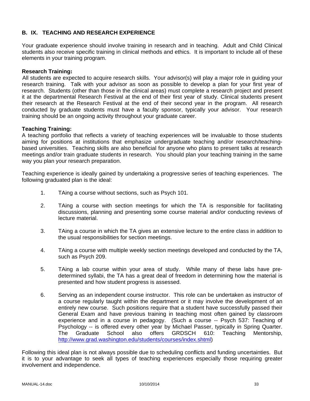## **B. IX. TEACHING AND RESEARCH EXPERIENCE**

Your graduate experience should involve training in research and in teaching. Adult and Child Clinical students also receive specific training in clinical methods and ethics. It is important to include all of these elements in your training program.

### **Research Training:**

All students are expected to acquire research skills. Your advisor(s) will play a major role in guiding your research training. Talk with your advisor as soon as possible to develop a plan for your first year of research. Students (other than those in the clinical areas) must complete a research project and present it at the departmental Research Festival at the end of their first year of study. Clinical students present their research at the Research Festival at the end of their second year in the program. All research conducted by graduate students must have a faculty sponsor, typically your advisor. Your research training should be an ongoing activity throughout your graduate career.

#### **Teaching Training:**

A teaching portfolio that reflects a variety of teaching experiences will be invaluable to those students aiming for positions at institutions that emphasize undergraduate teaching and/or research/teachingbased universities. Teaching skills are also beneficial for anyone who plans to present talks at research meetings and/or train graduate students in research. You should plan your teaching training in the same way you plan your research preparation.

Teaching experience is ideally gained by undertaking a progressive series of teaching experiences. The following graduated plan is the ideal:

- 1. TAing a course without sections, such as Psych 101.
- 2. TAing a course with section meetings for which the TA is responsible for facilitating discussions, planning and presenting some course material and/or conducting reviews of lecture material.
- 3. TAing a course in which the TA gives an extensive lecture to the entire class in addition to the usual responsibilities for section meetings.
- 4. TAing a course with multiple weekly section meetings developed and conducted by the TA, such as Psych 209.
- 5. TAing a lab course within your area of study. While many of these labs have predetermined syllabi, the TA has a great deal of freedom in determining how the material is presented and how student progress is assessed.
- 6. Serving as an independent course instructor. This role can be undertaken as instructor of a course regularly taught within the department or it may involve the development of an entirely new course. Such positions require that a student have successfully passed their General Exam and have previous training in teaching most often gained by classroom experience and in a course in pedagogy. (Such a course -- Psych 537: Teaching of Psychology -- is offered every other year by Michael Passer, typically in Spring Quarter. The Graduate School also offers GRDSCH 610: Teaching Mentorship, http://www.grad.washington.edu/students/courses/index.shtml)

Following this ideal plan is not always possible due to scheduling conflicts and funding uncertainties. But it is to your advantage to seek all types of teaching experiences especially those requiring greater involvement and independence.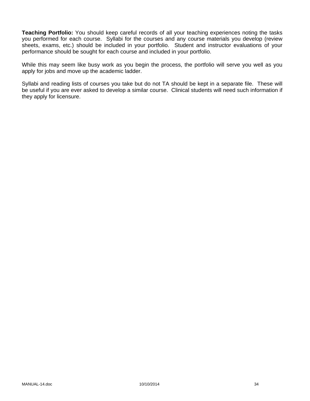**Teaching Portfolio:** You should keep careful records of all your teaching experiences noting the tasks you performed for each course. Syllabi for the courses and any course materials you develop (review sheets, exams, etc.) should be included in your portfolio. Student and instructor evaluations of your performance should be sought for each course and included in your portfolio.

While this may seem like busy work as you begin the process, the portfolio will serve you well as you apply for jobs and move up the academic ladder.

Syllabi and reading lists of courses you take but do not TA should be kept in a separate file. These will be useful if you are ever asked to develop a similar course. Clinical students will need such information if they apply for licensure.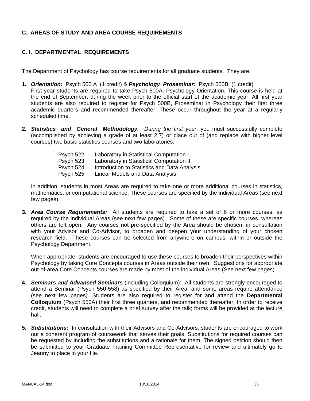## **C. AREAS OF STUDY AND AREA COURSE REQUIREMENTS**

## **C. I. DEPARTMENTAL REQUIREMENTS**

The Department of Psychology has course requirements for all graduate students. They are:

- **1.** *Orientation:* Psych 500 A (1 credit) & *Psychology Proseminar:* Psych 500B (1 credit) First year students are required to take Psych 500A, Psychology Orientation. This course is held at the end of September, during the week prior to the official start of the academic year. All first year students are also required to register for Psych 500B, Proseminar in Psychology their first three academic quarters and recommended thereafter. These occur throughout the year at a regularly scheduled time.
- **2.** *Statistics and General Methodology: During the first year*, you must successfully complete (accomplished by achieving a grade of at least 2.7) or place out of (and replace with higher level courses) two basic statistics courses and two laboratories:

| Laboratory in Statistical Computation I      |
|----------------------------------------------|
| Laboratory in Statistical Computation II     |
| Introduction to Statistics and Data Analysis |
| Linear Models and Data Analysis              |
|                                              |

In addition, students in most Areas are required to take one or more additional courses in statistics, mathematics, or computational science. These courses are specified by the individual Areas (see next few pages).

**3.** *Area Course Requirements:* All students are required to take a set of 6 or more courses, as required by the individual Areas (see next few pages). Some of these are specific courses, whereas others are left open. Any courses not pre-specified by the Area should be chosen, in consultation with your Advisor and Co-Advisor, to broaden and deepen your understanding of your chosen research field. These courses can be selected from anywhere on campus, within or outside the Psychology Department.

When appropriate, students are encouraged to use these courses to broaden their perspectives within Psychology by taking Core Concepts courses in Areas outside their own. Suggestions for appropriate out-of-area Core Concepts courses are made by most of the individual Areas (See next few pages).

- **4.** *Seminars and Advanced Seminars* (including Colloquium): All students are strongly encouraged to attend a Seminar (Psych 550-558) as specified by their Area, and some areas require attendance (see next few pages). Students are also required to register for and attend the **Departmental Colloquium** (Psych 550A) their first three quarters, and recommended thereafter. In order to receive credit, students will need to complete a brief survey after the talk; forms will be provided at the lecture hall.
- **5.** *Substitutions***:** In consultation with their Advisors and Co-Advisors, students are encouraged to work out a coherent program of coursework that serves their goals. Substitutions for required courses can be requested by including the substitutions and a rationale for them. The signed petition should then be submitted to your Graduate Training Committee Representative for review and ultimately go to Jeanny to place in your file.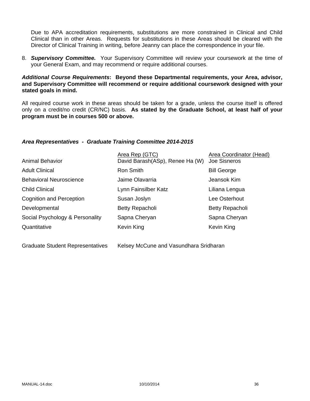Due to APA accreditation requirements, substitutions are more constrained in Clinical and Child Clinical than in other Areas. Requests for substitutions in these Areas should be cleared with the Director of Clinical Training in writing, before Jeanny can place the correspondence in your file.

8. *Supervisory Committee.* Your Supervisory Committee will review your coursework at the time of your General Exam, and may recommend or require additional courses.

### *Additional Course Requirements***: Beyond these Departmental requirements, your Area, advisor, and Supervisory Committee will recommend or require additional coursework designed with your stated goals in mind.**

All required course work in these areas should be taken for a grade, unless the course itself is offered only on a credit/no credit (CR/NC) basis. **As stated by the Graduate School, at least half of your program must be in courses 500 or above.**

### *Area Representatives - Graduate Training Committee 2014-2015*

| <b>Animal Behavior</b>          | Area Rep (GTC)<br>David Barash(ASp), Renee Ha (W) | Area Coordinator (Head)<br>Joe Sisneros |
|---------------------------------|---------------------------------------------------|-----------------------------------------|
| <b>Adult Clinical</b>           | Ron Smith                                         | <b>Bill George</b>                      |
| <b>Behavioral Neuroscience</b>  | Jaime Olavarria                                   | Jeansok Kim                             |
| <b>Child Clinical</b>           | Lynn Fainsilber Katz                              | Liliana Lengua                          |
| <b>Cognition and Perception</b> | Susan Joslyn                                      | Lee Osterhout                           |
| Developmental                   | Betty Repacholi                                   | Betty Repacholi                         |
| Social Psychology & Personality | Sapna Cheryan                                     | Sapna Cheryan                           |
| Quantitative                    | Kevin King                                        | Kevin King                              |
|                                 |                                                   |                                         |

Graduate Student Representatives Kelsey McCune and Vasundhara Sridharan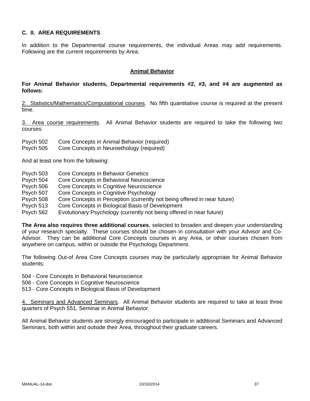### **C. II. AREA REQUIREMENTS**

In addition to the Departmental course requirements, the individual Areas may add requirements. Following are the current requirements by Area.

#### **Animal Behavior**

### **For Animal Behavior students, Departmental requirements #2, #3, and #4 are augmented as follows:**

2. Statistics/Mathematics/Computational courses. No fifth quantitative course is required at the present time.

3. Area course requirements. All Animal Behavior students are required to take the following two courses:

- Psych 502 Core Concepts in Animal Behavior (required)
- Psych 505 Core Concepts in Neuroethology (required)

And at least one from the following:

- Psych 503 Core Concepts in Behavior Genetics
- Psych 504 Core Concepts in Behavioral Neuroscience
- Psych 506 Core Concepts in Cognitive Neuroscience
- Psych 507 Core Concepts in Cognitive Psychology
- Psych 508 Core Concepts in Perception (currently not being offered in near future)
- Psych 513 Core Concepts in Biological Basis of Development
- Psych 562 Evolutionary Psychology (currently not being offered in near future)

**The Area also requires three additional courses**, selected to broaden and deepen your understanding of your research specialty. These courses should be chosen in consultation with your Advisor and Co-Advisor. They can be additional Core Concepts courses in any Area, or other courses chosen from anywhere on campus, within or outside the Psychology Department.

The following Out-of Area Core Concepts courses may be particularly appropriate for Animal Behavior students:

- 504 Core Concepts in Behavioral Neuroscience
- 506 Core Concepts in Cognitive Neuroscience
- 513 Core Concepts in Biological Basis of Development

4. Seminars and Advanced Seminars. All Animal Behavior students are required to take at least three quarters of Psych 551, Seminar in Animal Behavior.

All Animal Behavior students are strongly encouraged to participate in additional Seminars and Advanced Seminars, both within and outside their Area, throughout their graduate careers.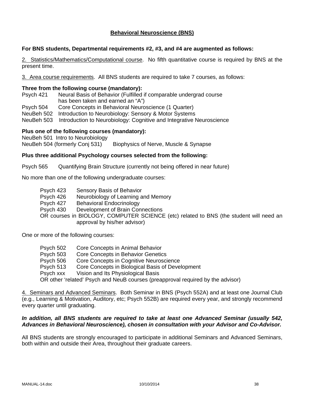### **Behavioral Neuroscience (BNS)**

### **For BNS students, Departmental requirements #2, #3, and #4 are augmented as follows:**

2. Statistics/Mathematics/Computational course. No fifth quantitative course is required by BNS at the present time.

3. Area course requirements. All BNS students are required to take 7 courses, as follows:

#### **Three from the following course (mandatory):**

Psych 421 Neural Basis of Behavior (Fulfilled if comparable undergrad course has been taken and earned an "A")

Psych 504 Core Concepts in Behavioral Neuroscience (1 Quarter)

NeuBeh 502 Introduction to Neurobiology: Sensory & Motor Systems

NeuBeh 503 Introduction to Neurobiology: Cognitive and Integrative Neuroscience

#### **Plus one of the following courses (mandatory):**

NeuBeh 501 Intro to Neurobiology NeuBeh 504 (formerly Conj 531) Biophysics of Nerve, Muscle & Synapse

#### **Plus three additional Psychology courses selected from the following:**

Psych 565 Quantifying Brain Structure (currently not being offered in near future)

No more than one of the following undergraduate courses:

 Psych 423 Sensory Basis of Behavior Psych 426 Neurobiology of Learning and Memory Psych 427 Behavioral Endocrinology Psych 430 Development of Brain Connections OR courses in BIOLOGY, COMPUTER SCIENCE (etc) related to BNS (the student will need an approval by his/her advisor)

One or more of the following courses:

 Psych 502 Core Concepts in Animal Behavior Psych 503 Core Concepts in Behavior Genetics Psych 506 Core Concepts in Cognitive Neuroscience Psych 513 Core Concepts in Biological Basis of Development Psych xxx Vision and Its Physiological Basis OR other 'related' Psych and NeuB courses (preapproval required by the advisor)

4. Seminars and Advanced Seminars. Both Seminar in BNS (Psych 552A) and at least one Journal Club (e.g., Learning & Motivation, Auditory, etc; Psych 552B) are required every year, and strongly recommend every quarter until graduating.

#### *In addition, all BNS students are required to take at least one Advanced Seminar (usually 542, Advances in Behavioral Neuroscience), chosen in consultation with your Advisor and Co-Advisor.*

All BNS students are strongly encouraged to participate in additional Seminars and Advanced Seminars, both within and outside their Area, throughout their graduate careers.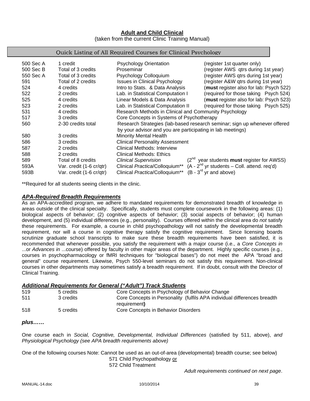# **Adult and Child Clinical**

(taken from the current Clinic Training Manual)

#### Quick Listing of All Required Courses for Clinical Psychology

| 500 Sec A | 1 credit                 | <b>Psychology Orientation</b>                                                               | (register 1st quarter only)                                               |
|-----------|--------------------------|---------------------------------------------------------------------------------------------|---------------------------------------------------------------------------|
| 500 Sec B | Total of 3 credits       | Proseminar                                                                                  | (register AWS qtrs during 1st year)                                       |
| 550 Sec A | Total of 3 credits       | Psychology Colloquium                                                                       | (register AWS gtrs during 1st year)                                       |
| 591       | Total of 2 credits       | <b>Issues in Clinical Psychology</b>                                                        | (register A&W qtrs during 1st year)                                       |
| 524       | 4 credits                | Intro to Stats. & Data Analysis                                                             | (must register also for lab: Psych 522)                                   |
| 522       | 2 credits                | Lab. in Statistical Computation I                                                           | (required for those taking Psych 524)                                     |
| 525       | 4 credits                | Linear Models & Data Analysis                                                               | (must register also for lab: Psych 523)                                   |
| 523       | 2 credits                | Lab. in Statistical Computation II                                                          | (required for those taking Psych 525)                                     |
| 531       | 4 credits                | Research Methods in Clinical and Community Psychology                                       |                                                                           |
| 517       | 3 credits                | Core Concepts in Systems of Psychotherapy                                                   |                                                                           |
| 560       | 2-30 credits total       |                                                                                             | Research Strategies (lab-based research seminar; sign up whenever offered |
|           |                          | by your advisor and you are participating in lab meetings)                                  |                                                                           |
| 580       | 3 credits                | <b>Minority Mental Health</b>                                                               |                                                                           |
| 586       | 3 credits                | <b>Clinical Personality Assessment</b>                                                      |                                                                           |
| 587       | 2 credits                | Clinical Methods: Interview                                                                 |                                                                           |
| 588       | 2 credits                | Clinical Methods: Ethics                                                                    |                                                                           |
| 589       | Total of 8 credits       | <b>Clinical Supervision</b>                                                                 | $(2^{nd}$ year students <b>must</b> register for AWSS)                    |
| 593A      | Var. credit (1-6 cr/qtr) | Clinical Practica/Colloquium <sup>**</sup> $(A - 2^{nd}$ yr students – Coll. attend. req'd) |                                                                           |
| 593B      | Var. credit (1-6 cr/qtr) | Clinical Practica/Colloquium**                                                              | $(B - 3rd$ yr and above)                                                  |

\*\*Required for all students seeing clients in the clinic.

#### *APA-Required Breadth Requirements*

As an APA-accredited program, we adhere to mandated requirements for demonstrated breadth of knowledge in areas outside of the clinical specialty. Specifically, students must complete coursework in the following areas: (1) biological aspects of behavior; (2) cognitive aspects of behavior; (3) social aspects of behavior; (4) human development, and (5) individual differences (e.g., personality). Courses offered within the clinical area do *not* satisfy these requirements. For example, a course in child psychopathology will not satisfy the developmental breadth requirement, nor will a course in cognitive therapy satisfy the cognitive requirement. Since licensing boards scrutinize graduate school transcripts to make sure these breadth requirements have been satisfied, it is recommended that whenever possible, you satisfy the requirement with a major course (i.e., a *Core Concepts in* ...or *Advances in* ...course) offered by faculty in other major areas of the department. Highly specific courses (e.g., courses in psychopharmacology or fMRI techniques for "biological bases") do not meet the APA "broad and general" course requirement. Likewise, Psych 550-level seminars do not satisfy this requirement. Non-clinical courses in other departments may sometimes satisfy a breadth requirement. If in doubt, consult with the Director of Clinical Training.

### *Additional Requirements for General ("Adult") Track Students*

| 519 | 5 credits | Core Concepts in Psychology of Behavior Change                           |
|-----|-----------|--------------------------------------------------------------------------|
| 511 | 3 credits | Core Concepts in Personality (fulfils APA individual differences breadth |
|     |           | requirement)                                                             |
| 518 | 5 credits | Core Concepts in Behavior Disorders                                      |

### *plus……*

One course each in *Social, Cognitive, Developmental, Individual Differences* (satisfied by 511, above), *and Physiological Psychology (see APA breadth requirements above)* 

One of the following courses Note: Cannot be used as an out-of-area (developmental) breadth course; see below)

571 Child Psychopathology or

572 Child Treatment

*Adult requirements continued on next page*.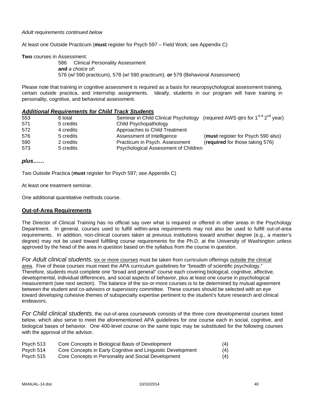#### *Adult requirements continued below*

At least one Outside Practicum (**must** register for Psych 597 – Field Work; see Appendix C)

**Two** courses in Assessment:

 586 Clinical Personality Assessment **and** *a choice of***:**  576 (w/ 590 practicum), 578 (w/ 590 practicum), **or** 579 (Behavioral Assessment)

Please note that training in cognitive assessment is required as a basis for neuropsychological assessment training, certain outside practica, and internship assignments. Ideally, students in our program will have training in personality, cognitive, and behavioral assessment.

#### *Additional Requirements for Child Track Students*

| 553 | 6 total   | Seminar in Child Clinical Psychology (required AWS qtrs for 1 <sup>st &amp;</sup> 2 <sup>nd</sup> year) |                                    |
|-----|-----------|---------------------------------------------------------------------------------------------------------|------------------------------------|
| 571 | 5 credits | Child Psychopathology                                                                                   |                                    |
| 572 | 4 credits | Approaches to Child Treatment                                                                           |                                    |
| 576 | 5 credits | Assessment of Intelligence                                                                              | (must register for Psych 590 also) |
| 590 | 2 credits | Practicum in Psych. Assessment                                                                          | (required for those taking 576)    |
| 573 | 5 credits | Psychological Assessment of Children                                                                    |                                    |

#### *plus……*

Two Outside Practica (**must** register for Psych 597; see Appendix C)

At least one treatment seminar.

One additional quantitative methods course.

### **Out-of-Area Requirements**

The Director of Clinical Training has no official say over what is required or offered in other areas in the Psychology Department. In general, courses used to fulfill within-area requirements may not also be used to fulfill out-of-area requirements. In addition, non-clinical courses taken at previous institutions toward another degree (e.g., a master's degree) may not be used toward fulfilling course requirements for the Ph.D. at the University of Washington unless approved by the head of the area in question based on the syllabus from the course in question.

*For Adult clinical students*, six or more courses must be taken from curriculum offerings outside the clinical area. Five of these courses must meet the APA curriculum guidelines for "breadth of scientific psychology." Therefore, students must complete one "broad and general" course each covering biological, cognitive, affective, developmental, individual differences, and social aspects of behavior, plus at least one course in psychological measurement (see next section). The balance of the six-or-more courses is to be determined by mutual agreement between the student and co-advisors or supervisory committee. These courses should be selected with an eye toward developing cohesive themes of subspecialty expertise pertinent to the student's future research and clinical endeavors.

*For Child clinical students*, the out-of-area coursework consists of the three core developmental courses listed below, which also serve to meet the aforementioned APA guidelines for one course each in social, cognitive, and biological bases of behavior. One 400-level course on the same topic may be substituted for the following courses with the approval of the advisor.

| Psych 513 | Core Concepts in Biological Basis of Development            | (4) |
|-----------|-------------------------------------------------------------|-----|
| Psych 514 | Core Concepts in Early Cognitive and Linguistic Development | (4) |
| Psych 515 | Core Concepts in Personality and Social Development         | (4) |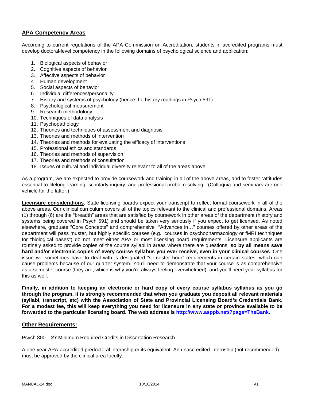### **APA Competency Areas**

According to current regulations of the APA Commission on Accreditation, students in accredited programs must develop doctoral-level competency in the following domains of psychological science and application:

- 1. Biological aspects of behavior
- 2. Cognitive aspects of behavior
- 3. Affective aspects of behavior
- 4. Human development
- 5. Social aspects of behavior
- 6. Individual differences/personality
- 7. History and systems of psychology (hence the history readings in Psych 591)
- 8. Psychological measurement
- 9. Research methodology
- 10. Techniques of data analysis
- 11. Psychopathology
- 12. Theories and techniques of assessment and diagnosis
- 13. Theories and methods of intervention
- 14. Theories and methods for evaluating the efficacy of interventions
- 15. Professional ethics and standards
- 16. Theories and methods of supervision
- 17. Theories and methods of consultation
- 18. Issues of cultural and individual diversity relevant to all of the areas above

As a program, we are expected to provide coursework and training in all of the above areas, and to foster "attitudes essential to lifelong learning, scholarly inquiry, and professional problem solving." (Colloquia and seminars are one vehicle for the latter.)

**Licensure considerations**. State licensing boards expect your transcript to reflect formal coursework in all of the above areas. Our clinical curriculum covers all of the topics relevant to the clinical and professional domains. Areas (1) through (6) are the "breadth" areas that are satisfied by coursework in other areas of the department (history and systems being covered in Psych 591) and should be taken very seriously if you expect to get licensed. As noted elsewhere, graduate "Core Concepts" and comprehensive "Advances in…" courses offered by other areas of the department will pass muster, but highly specific courses (e.g., courses in psychopharmacology or fMRI techniques for "biological bases") do not meet either APA or most licensing board requirements. Licensure applicants are routinely asked to provide copies of the course syllabi in areas where there are questions, **so by all means save hard and/or electronic copies of every course syllabus you ever receive, even in your clinical courses**. One issue we sometimes have to deal with is designated "semester hour" requirements in certain states, which can cause problems because of our quarter system. You'll need to demonstrate that your course is as comprehensive as a semester course (they are, which is why you're always feeling overwhelmed), and you'll need your syllabus for this as well.

**Finally, in addition to keeping an electronic or hard copy of every course syllabus syllabus as you go through the program, it is strongly recommended that when you graduate you deposit all relevant materials (syllabi, transcript, etc) with the Association of State and Provincial Licensing Board's Credentials Bank. For a modest fee, this will keep everything you need for licensure in any state or province available to be forwarded to the particular licensing board. The web address is http://www.asppb.net/?page=TheBank.** 

### **Other Requirements:**

Psych 800 – **27** Minimum Required Credits in Dissertation Research

A one-year APA-accredited predoctoral internship or its equivalent. An unaccredited internship (not recommended) must be approved by the clinical area faculty.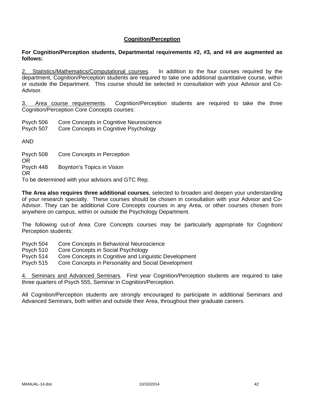### **Cognition/Perception**

### **For Cognition/Perception students, Departmental requirements #2, #3, and #4 are augmented as follows:**

2. Statistics/Mathematics/Computational courses. In addition to the four courses required by the department, Cognition/Perception students are required to take one additional quantitative course, within or outside the Department. This course should be selected in consultation with your Advisor and Co-Advisor.

3. Area course requirements. Cognition/Perception students are required to take the three Cognition/Perception Core Concepts courses:

Psych 506 Core Concepts in Cognitive Neuroscience

Psych 507 Core Concepts in Cognitive Psychology

AND

Psych 508 Core Concepts in Perception OR Psych 448 Boynton's Topics in Vision OR

To be determined with your advisors and GTC Rep.

**The Area also requires three additional courses**, selected to broaden and deepen your understanding of your research specialty. These courses should be chosen in consultation with your Advisor and Co-Advisor. They can be additional Core Concepts courses in any Area, or other courses chosen from anywhere on campus, within or outside the Psychology Department.

The following out-of Area Core Concepts courses may be particularly appropriate for Cognition/ Perception students:

- Psych 504 Core Concepts in Behavioral Neuroscience
- Psych 510 Core Concepts in Social Psychology

Psych 514 Core Concepts in Cognitive and Linguistic Development

Psych 515 Core Concepts in Personality and Social Development

4. Seminars and Advanced Seminars. First year Cognition/Perception students are required to take three quarters of Psych 555, Seminar in Cognition/Perception.

All Cognition/Perception students are strongly encouraged to participate in additional Seminars and Advanced Seminars, both within and outside their Area, throughout their graduate careers.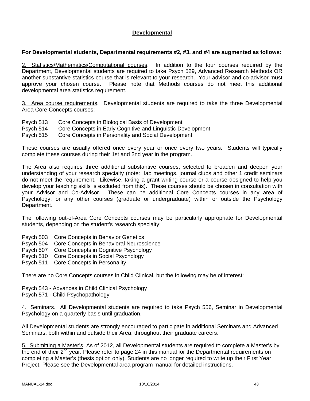### **Developmental**

### **For Developmental students, Departmental requirements #2, #3, and #4 are augmented as follows:**

2. Statistics/Mathematics/Çomputational courses. In addition to the four courses required by the Department, Developmental students are required to take Psych 529, Advanced Research Methods OR another substantive statistics course that is relevant to your research. Your advisor and co-advisor must approve your chosen course. Please note that Methods courses do not meet this additional developmental area statistics requirement.

3. Area course requirements. Developmental students are required to take the three Developmental Area Core Concepts courses:

- Psych 513 Core Concepts in Biological Basis of Development
- Psych 514 Core Concepts in Early Cognitive and Linguistic Development

Psych 515 Core Concepts in Personality and Social Development

These courses are usually offered once every year or once every two years. Students will typically complete these courses during their 1st and 2nd year in the program.

The Area also requires three additional substantive courses, selected to broaden and deepen your understanding of your research specialty (note: lab meetings, journal clubs and other 1 credit seminars do not meet the requirement. Likewise, taking a grant writing course or a course designed to help you develop your teaching skills is excluded from this). These courses should be chosen in consultation with your Advisor and Co-Advisor. These can be additional Core Concepts courses in any area of Psychology, or any other courses (graduate or undergraduate) within or outside the Psychology Department.

The following out-of-Area Core Concepts courses may be particularly appropriate for Developmental students, depending on the student's research specialty:

- Psych 503 Core Concepts in Behavior Genetics
- Psych 504 Core Concepts in Behavioral Neuroscience
- Psych 507 Core Concepts in Cognitive Psychology
- Psych 510 Core Concepts in Social Psychology
- Psych 511 Core Concepts in Personality

There are no Core Concepts courses in Child Clinical, but the following may be of interest:

Psych 543 - Advances in Child Clinical Psychology Psych 571 - Child Psychopathology

4. Seminars. All Developmental students are required to take Psych 556, Seminar in Developmental Psychology on a quarterly basis until graduation.

All Developmental students are strongly encouraged to participate in additional Seminars and Advanced Seminars, both within and outside their Area, throughout their graduate careers.

5. Submitting a Master's. As of 2012, all Developmental students are required to complete a Master's by the end of their 2<sup>nd</sup> year. Please refer to page 24 in this manual for the Departmental requirements on completing a Master's (thesis option only). Students are no longer required to write up their First Year Project. Please see the Developmental area program manual for detailed instructions.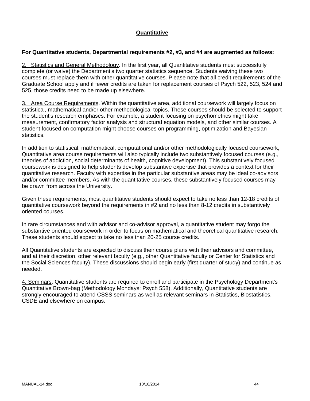### **Quantitative**

#### **For Quantitative students, Departmental requirements #2, #3, and #4 are augmented as follows:**

2. Statistics and General Methodology. In the first year, all Quantitative students must successfully complete (or waive) the Department's two quarter statistics sequence. Students waiving these two courses must replace them with other quantitative courses. Please note that all credit requirements of the Graduate School apply and if fewer credits are taken for replacement courses of Psych 522, 523, 524 and 525, those credits need to be made up elsewhere.

3. Area Course Requirements. Within the quantitative area, additional coursework will largely focus on statistical, mathematical and/or other methodological topics. These courses should be selected to support the student's research emphases. For example, a student focusing on psychometrics might take measurement, confirmatory factor analysis and structural equation models, and other similar courses. A student focused on computation might choose courses on programming, optimization and Bayesian statistics.

In addition to statistical, mathematical, computational and/or other methodologically focused coursework, Quantitative area course requirements will also typically include two substantively focused courses (e.g., theories of addiction, social determinants of health, cognitive development). This substantively focused coursework is designed to help students develop substantive expertise that provides a context for their quantitative research. Faculty with expertise in the particular substantive areas may be ideal co-advisors and/or committee members. As with the quantitative courses, these substantively focused courses may be drawn from across the University.

Given these requirements, most quantitative students should expect to take no less than 12-18 credits of quantitative coursework beyond the requirements in #2 and no less than 8-12 credits in substantively oriented courses.

In rare circumstances and with advisor and co-advisor approval, a quantitative student may forgo the substantive oriented coursework in order to focus on mathematical and theoretical quantitative research. These students should expect to take no less than 20-25 course credits.

All Quantitative students are expected to discuss their course plans with their advisors and committee, and at their discretion, other relevant faculty (e.g., other Quantitative faculty or Center for Statistics and the Social Sciences faculty). These discussions should begin early (first quarter of study) and continue as needed.

4. Seminars. Quantitative students are required to enroll and participate in the Psychology Department's Quantitative Brown-bag (Methodology Mondays; Psych 558). Additionally, Quantitative students are strongly encouraged to attend CSSS seminars as well as relevant seminars in Statistics, Biostatistics, CSDE and elsewhere on campus.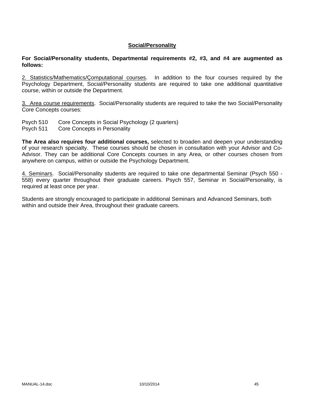### **Social/Personality**

**For Social/Personality students, Departmental requirements #2, #3, and #4 are augmented as follows:**

2. Statistics/Mathematics/Computational courses. In addition to the four courses required by the Psychology Department, Social/Personality students are required to take one additional quantitative course, within or outside the Department.

3. Area course requirements. Social/Personality students are required to take the two Social/Personality Core Concepts courses:

- Psych 510 Core Concepts in Social Psychology (2 quarters)
- Psych 511 Core Concepts in Personality

**The Area also requires four additional courses,** selected to broaden and deepen your understanding of your research specialty. These courses should be chosen in consultation with your Advisor and Co-Advisor. They can be additional Core Concepts courses in any Area, or other courses chosen from anywhere on campus, within or outside the Psychology Department.

4. Seminars. Social/Personality students are required to take one departmental Seminar (Psych 550 - 558) every quarter throughout their graduate careers. Psych 557, Seminar in Social/Personality, is required at least once per year.

Students are strongly encouraged to participate in additional Seminars and Advanced Seminars, both within and outside their Area, throughout their graduate careers.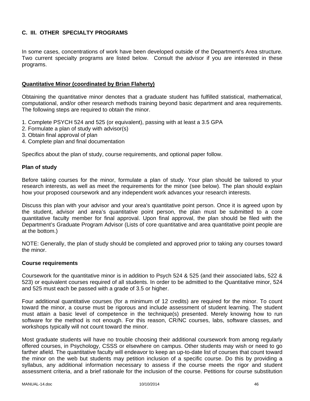### **C. III. OTHER SPECIALTY PROGRAMS**

In some cases, concentrations of work have been developed outside of the Department's Area structure. Two current specialty programs are listed below. Consult the advisor if you are interested in these programs.

### **Quantitative Minor (coordinated by Brian Flaherty)**

Obtaining the quantitative minor denotes that a graduate student has fulfilled statistical, mathematical, computational, and/or other research methods training beyond basic department and area requirements. The following steps are required to obtain the minor.

- 1. Complete PSYCH 524 and 525 (or equivalent), passing with at least a 3.5 GPA
- 2. Formulate a plan of study with advisor(s)
- 3. Obtain final approval of plan
- 4. Complete plan and final documentation

Specifics about the plan of study, course requirements, and optional paper follow.

### **Plan of study**

Before taking courses for the minor, formulate a plan of study. Your plan should be tailored to your research interests, as well as meet the requirements for the minor (see below). The plan should explain how your proposed coursework and any independent work advances your research interests.

Discuss this plan with your advisor and your area's quantitative point person. Once it is agreed upon by the student, advisor and area's quantitative point person, the plan must be submitted to a core quantitative faculty member for final approval. Upon final approval, the plan should be filed with the Department's Graduate Program Advisor (Lists of core quantitative and area quantitative point people are at the bottom.)

NOTE: Generally, the plan of study should be completed and approved prior to taking any courses toward the minor.

### **Course requirements**

Coursework for the quantitative minor is in addition to Psych 524 & 525 (and their associated labs, 522 & 523) or equivalent courses required of all students. In order to be admitted to the Quantitative minor, 524 and 525 must each be passed with a grade of 3.5 or higher.

Four additional quantitative courses (for a minimum of 12 credits) are required for the minor. To count toward the minor, a course must be rigorous and include assessment of student learning. The student must attain a basic level of competence in the technique(s) presented. Merely knowing how to run software for the method is not enough. For this reason, CR/NC courses, labs, software classes, and workshops typically will not count toward the minor.

Most graduate students will have no trouble choosing their additional coursework from among regularly offered courses, in Psychology, CSSS or elsewhere on campus. Other students may wish or need to go farther afield. The quantitative faculty will endeavor to keep an up-to-date list of courses that count toward the minor on the web but students may petition inclusion of a specific course. Do this by providing a syllabus, any additional information necessary to assess if the course meets the rigor and student assessment criteria, and a brief rationale for the inclusion of the course. Petitions for course substitution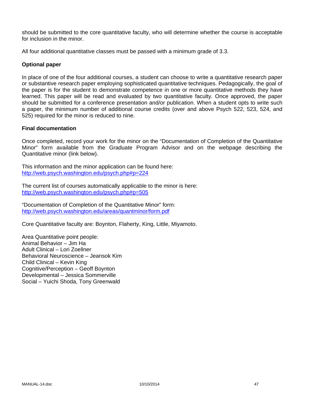should be submitted to the core quantitative faculty, who will determine whether the course is acceptable for inclusion in the minor.

All four additional quantitative classes must be passed with a minimum grade of 3.3.

### **Optional paper**

In place of one of the four additional courses, a student can choose to write a quantitative research paper or substantive research paper employing sophisticated quantitative techniques. Pedagogically, the goal of the paper is for the student to demonstrate competence in one or more quantitative methods they have learned. This paper will be read and evaluated by two quantitative faculty. Once approved, the paper should be submitted for a conference presentation and/or publication. When a student opts to write such a paper, the minimum number of additional course credits (over and above Psych 522, 523, 524, and 525) required for the minor is reduced to nine.

### **Final documentation**

Once completed, record your work for the minor on the "Documentation of Completion of the Quantitative Minor" form available from the Graduate Program Advisor and on the webpage describing the Quantitative minor (link below).

This information and the minor application can be found here: http://web.psych.washington.edu/psych.php#p=224

The current list of courses automatically applicable to the minor is here: http://web.psych.washington.edu/psych.php#p=505

"Documentation of Completion of the Quantitative Minor" form: http://web.psych.washington.edu/areas/quantminor/form.pdf

Core Quantitative faculty are: Boynton, Flaherty, King, Little, Miyamoto.

Area Quantitative point people: Animal Behavior – Jim Ha Adult Clinical – Lori Zoellner Behavioral Neuroscience – Jeansok Kim Child Clinical – Kevin King Cognitive/Perception – Geoff Boynton Developmental – Jessica Sommerville Social – Yuichi Shoda, Tony Greenwald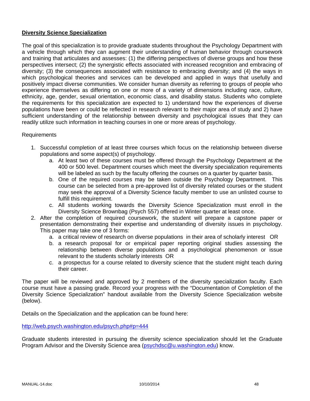### **Diversity Science Specialization**

The goal of this specialization is to provide graduate students throughout the Psychology Department with a vehicle through which they can augment their understanding of human behavior through coursework and training that articulates and assesses: (1) the differing perspectives of diverse groups and how these perspectives intersect; (2) the synergistic effects associated with increased recognition and embracing of diversity; (3) the consequences associated with resistance to embracing diversity; and (4) the ways in which psychological theories and services can be developed and applied in ways that usefully and positively impact diverse communities. We consider human diversity as referring to groups of people who experience themselves as differing on one or more of a variety of dimensions including race, culture, ethnicity, age, gender, sexual orientation, economic class, and disability status. Students who complete the requirements for this specialization are expected to 1) understand how the experiences of diverse populations have been or could be reflected in research relevant to their major area of study and 2) have sufficient understanding of the relationship between diversity and psychological issues that they can readily utilize such information in teaching courses in one or more areas of psychology.

### Requirements

- 1. Successful completion of at least three courses which focus on the relationship between diverse populations and some aspect(s) of psychology.
	- a. At least two of these courses must be offered through the Psychology Department at the 400 or 500 level. Department courses which meet the diversity specialization requirements will be labeled as such by the faculty offering the courses on a quarter by quarter basis.
	- b. One of the required courses may be taken outside the Psychology Department. This course can be selected from a pre-approved list of diversity related courses or the student may seek the approval of a Diversity Science faculty member to use an unlisted course to fulfill this requirement.
	- c. All students working towards the Diversity Science Specialization must enroll in the Diversity Science Brownbag (Psych 557) offered in Winter quarter at least once.
- 2. After the completion of required coursework, the student will prepare a capstone paper or presentation demonstrating their expertise and understanding of diversity issues in psychology. This paper may take one of 3 forms:
	- a. a critical review of research on diverse populations in their area of scholarly interest OR
	- b. a research proposal for or empirical paper reporting original studies assessing the relationship between diverse populations and a psychological phenomenon or issue relevant to the students scholarly interests OR
	- c. a prospectus for a course related to diversity science that the student might teach during their career.

The paper will be reviewed and approved by 2 members of the diversity specialization faculty. Each course must have a passing grade. Record your progress with the "Documentation of Completion of the Diversity Science Specialization" handout available from the Diversity Science Specialization website (below).

Details on the Specialization and the application can be found here:

http://web.psych.washington.edu/psych.php#p=444

Graduate students interested in pursuing the diversity science specialization should let the Graduate Program Advisor and the Diversity Science area (psychdsc@u.washington.edu) know.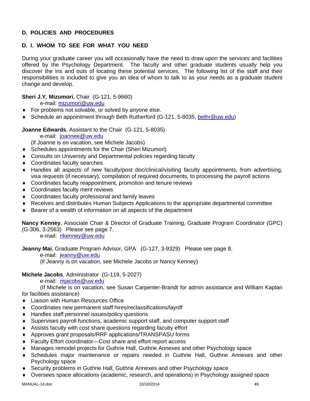### **D. POLICIES AND PROCEDURES**

# **D. I. WHOM TO SEE FOR WHAT YOU NEED**

During your graduate career you will occasionally have the need to draw upon the services and facilities offered by the Psychology Department. The faculty and other graduate students usually help you discover the ins and outs of locating these potential services. The following list of the staff and their responsibilities is included to give you an idea of whom to talk to as your needs as a graduate student change and develop.

### **Sheri J.Y. Mizumori**, Chair (G-121, 5-9660)

e-mail: mizumori@uw.edu

- ◆ For problems not solvable, or solved by anyone else.
- Schedule an appointment through Beth Rutherford (G-121, 5-8035, bethr@uw.edu)

### **Joanne Edwards**, Assistant to the Chair (G-121, 5-8035)

e-mail: joannee@uw.edu

(if Joanne is on vacation, see Michele Jacobs)

- Schedules appointments for the Chair (Sheri Mizumori)
- Consults on University and Departmental policies regarding faculty
- Coordinates faculty searches
- Handles all aspects of new faculty/post doc/clinical/visiting faculty appointments, from advertising, visa requests (if necessary), compilation of required documents, to processing the payroll actions
- Coordinates faculty reappointment, promotion and tenure reviews
- Coordinates faculty merit reviews
- Coordinates faculty professional and family leaves
- Receives and distributes Human Subjects Applications to the appropriate departmental committee
- Bearer of a wealth of information on all aspects of the department

**Nancy Kenney**, Associate Chair & Director of Graduate Training, Graduate Program Coordinator (GPC) (G-306, 3-2563) Please see page 7.

e-mail: nkenney@uw.edu

**Jeanny Mai**, Graduate Program Advisor, GPA (G-127, 3-9329) Please see page 8.

e-mail: jeanny@uw.edu

(if Jeanny is on vacation, see Michele Jacobs or Nancy Kenney)

### **Michele Jacobs**, Administrator (G-119, 5-2027)

e-mail: mjacobs@uw.edu

 (If Michele is on vacation, see Susan Carpenter-Brandt for admin assistance and William Kaplan for facilities assistance)

- Liaison with Human Resources Office
- Coordinates new permanent staff hires/reclassifications/layoff
- Handles staff personnel issues/policy questions
- Supervises payroll functions, academic support staff, and computer support staff
- Assists faculty with cost share questions regarding faculty effort
- Approves grant proposals/RRF applications/TRANSPASU forms
- Faculty Effort coordinator—Cost share and effort report access
- Manages remodel projects for Guthrie Hall, Guthrie Annexes and other Psychology space
- Schedules major maintenance or repairs needed in Guthrie Hall, Guthrie Annexes and other Psychology space
- Security problems in Guthrie Hall, Guthrie Annexes and other Psychology space
- Oversees space allocations (academic, research, and operations) in Psychology assigned space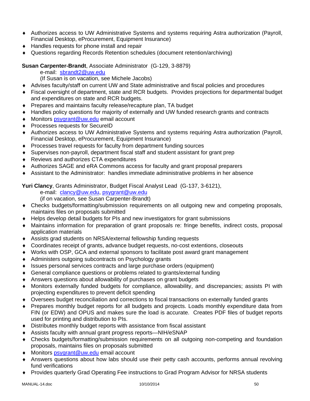- Authorizes access to UW Administrative Systems and systems requiring Astra authorization (Payroll, Financial Desktop, eProcurement, Equipment Insurance)
- Handles requests for phone install and repair
- Questions regarding Records Retention schedules (document retention/archiving)

**Susan Carpenter-Brandt**, Associate Administrator (G-129, 3-8879)

- e-mail: sbrandt2@uw.edu
- (If Susan is on vacation, see Michele Jacobs)
- Advises faculty/staff on current UW and State administrative and fiscal policies and procedures
- Fiscal oversight of department, state and RCR budgets. Provides projections for departmental budget and expenditures on state and RCR budgets.
- ◆ Prepares and maintains faculty release/recapture plan, TA budget
- Handles policy questions for majority of externally and UW funded research grants and contracts
- ◆ Monitors psygrant@uw.edu email account
- ◆ Processes requests for SecureID
- Authorizes access to UW Administrative Systems and systems requiring Astra authorization (Payroll, Financial Desktop, eProcurement, Equipment Insurance)
- Processes travel requests for faculty from department funding sources
- Supervises non-payroll, department fiscal staff and student assistant for grant prep
- ◆ Reviews and authorizes CTA expenditures
- Authorizes SAGE and eRA Commons access for faculty and grant proposal preparers
- Assistant to the Administrator: handles immediate administrative problems in her absence

**Yuri Clancy**, Grants Administrator, Budget Fiscal Analyst Lead (G-137, 3-6121), e-mail: clancy@uw.edu, psygrant@uw.edu

(if on vacation, see Susan Carpenter-Brandt)

- Checks budgets/formatting/submission requirements on all outgoing new and competing proposals, maintains files on proposals submitted
- Helps develop detail budgets for PIs and new investigators for grant submissions
- Maintains information for preparation of grant proposals re: fringe benefits, indirect costs, proposal application materials
- Assists grad students on NRSA/external fellowship funding requests
- Coordinates receipt of grants, advance budget requests, no-cost extentions, closeouts
- Works with OSP, GCA and external sponsors to facilitate post award grant management
- Administers outgoing subcontracts on Psychology grants
- Issues personal services contracts and large purchase orders (equipment)
- General compliance questions or problems related to grants/external funding
- Answers questions about allowability of purchases on grant budgets
- Monitors externally funded budgets for compliance, allowability, and discrepancies; assists PI with projecting expenditures to prevent deficit spending
- Oversees budget reconciliation and corrections to fiscal transactions on externally funded grants
- Prepares monthly budget reports for all budgets and projects. Loads monthly expenditure data from FIN (or EDW) and OPUS and makes sure the load is accurate. Creates PDF files of budget reports used for printing and distribution to PIs.
- Distributes monthly budget reports with assistance from fiscal assistant
- Assists faculty with annual grant progress reports—NIH/eSNAP
- Checks budgets/formatting/submission requirements on all outgoing non-competing and foundation proposals, maintains files on proposals submitted
- ◆ Monitors psygrant@uw.edu email account
- Answers questions about how labs should use their petty cash accounts, performs annual revolving fund verifications
- Provides quarterly Grad Operating Fee instructions to Grad Program Advisor for NRSA students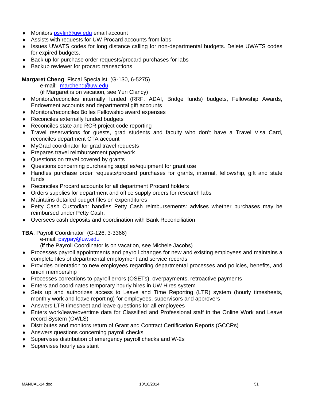- ◆ Monitors psyfin@uw.edu email account
- Assists with requests for UW Procard accounts from labs
- Issues UWATS codes for long distance calling for non-departmental budgets. Delete UWATS codes for expired budgets.
- Back up for purchase order requests/procard purchases for labs
- ◆ Backup reviewer for procard transactions

### **Margaret Cheng**, Fiscal Specialist (G-130, 6-5275)

e-mail: marcheng@uw.edu

(if Margaret is on vacation, see Yuri Clancy)

- Monitors/reconciles internally funded (RRF, ADAI, Bridge funds) budgets, Fellowship Awards, Endowment accounts and departmental gift accounts
- Monitors/reconciles Bolles Fellowship award expenses
- ◆ Reconciles externally funded budgets
- ◆ Reconciles state and RCR project code reporting
- Travel reservations for guests, grad students and faculty who don't have a Travel Visa Card, reconciles department CTA account
- MyGrad coordinator for grad travel requests
- ◆ Prepares travel reimbursement paperwork
- ◆ Questions on travel covered by grants
- Questions concerning purchasing supplies/equipment for grant use
- Handles purchase order requests/procard purchases for grants, internal, fellowship, gift and state funds
- Reconciles Procard accounts for all department Procard holders
- Orders supplies for department and office supply orders for research labs
- Maintains detailed budget files on expenditures
- Petty Cash Custodian: handles Petty Cash reimbursements: advises whether purchases may be reimbursed under Petty Cash.
- Oversees cash deposits and coordination with Bank Reconciliation

**TBA**, Payroll Coordinator (G-126, 3-3366)

e-mail: psypay@uw.edu

(if the Payroll Coordinator is on vacation, see Michele Jacobs)

- Processes payroll appointments and payroll changes for new and existing employees and maintains a complete files of departmental employment and service records
- Provides orientation to new employees regarding departmental processes and policies, benefits, and union membership
- Processes corrections to payroll errors (OSETs), overpayments, retroactive payments
- Enters and coordinates temporary hourly hires in UW Hires system
- Sets up and authorizes access to Leave and Time Reporting (LTR) system (hourly timesheets, monthly work and leave reporting) for employees, supervisors and approvers
- Answers LTR timesheet and leave questions for all employees
- Enters work/leave/overtime data for Classified and Professional staff in the Online Work and Leave record System (OWLS)
- Distributes and monitors return of Grant and Contract Certification Reports (GCCRs)
- Answers questions concerning payroll checks
- Supervises distribution of emergency payroll checks and W-2s
- ◆ Supervises hourly assistant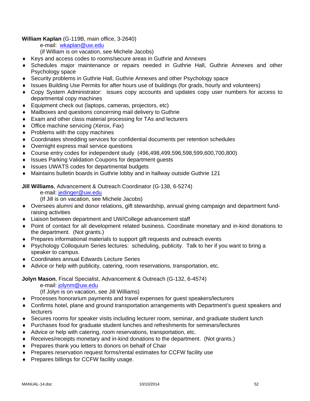### **William Kaplan** (G-119B, main office, 3-2640)

e-mail: wkaplan@uw.edu

(if William is on vacation, see Michele Jacobs)

- Keys and access codes to rooms/secure areas in Guthrie and Annexes
- Schedules major maintenance or repairs needed in Guthrie Hall, Guthrie Annexes and other Psychology space
- Security problems in Guthrie Hall, Guthrie Annexes and other Psychology space
- Issues Building Use Permits for after hours use of buildings (for grads, hourly and volunteers)
- Copy System Administrator: issues copy accounts and updates copy user numbers for access to departmental copy machines
- Equipment check out (laptops, cameras, projectors, etc)
- Mailboxes and questions concerning mail delivery to Guthrie
- Exam and other class material processing for TAs and lecturers
- ◆ Office machine servicing (Xerox, Fax)
- $\bullet$  Problems with the copy machines
- Coordinates shredding services for confidential documents per retention schedules
- Overnight express mail service questions
- Course entry codes for independent study (496,498,499,596,598,599,600,700,800)
- ◆ Issues Parking Validation Coupons for department guests
- ◆ Issues UWATS codes for departmental budgets
- Maintains bulletin boards in Guthrie lobby and in hallway outside Guthrie 121

### **Jill Williams**, Advancement & Outreach Coordinator (G-138, 6-5274)

e-mail: jedinger@uw.edu

(If Jill is on vacation, see Michele Jacobs)

- Oversees alumni and donor relations, gift stewardship, annual giving campaign and department fundraising activities
- Liaison between department and UW/College advancement staff
- Point of contact for all development related business. Coordinate monetary and in-kind donations to the department. (Not grants.)
- Prepares informational materials to support gift requests and outreach events
- Psychology Colloquium Series lectures: scheduling, publicity. Talk to her if you want to bring a speaker to campus.
- Coordinates annual Edwards Lecture Series
- Advice or help with publicity, catering, room reservations, transportation, etc.

### **Jolyn Mason**, Fiscal Specialist, Advancement & Outreach (G-132, 6-4574)

e-mail: jolynm@uw.edu

(If Jolyn is on vacation, see Jill Williams)

- Processes honorarium payments and travel expenses for guest speakers/lecturers
- Confirms hotel, plane and ground transportation arrangements with Department's guest speakers and lecturers
- Secures rooms for speaker visits including lecturer room, seminar, and graduate student lunch
- Purchases food for graduate student lunches and refreshments for seminars/lectures
- Advice or help with catering, room reservations, transportation, etc.
- Receives/receipts monetary and in-kind donations to the department. (Not grants.)
- **Prepares thank you letters to donors on behalf of Chair**
- Prepares reservation request forms/rental estimates for CCFW facility use
- ◆ Prepares billings for CCFW facility usage.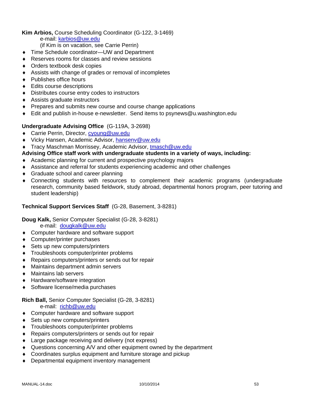### **Kim Arbios,** Course Scheduling Coordinator (G-122, 3-1469)

- e-mail: karbios@uw.edu
- (if Kim is on vacation, see Carrie Perrin)
- ◆ Time Schedule coordinator—UW and Department
- ◆ Reserves rooms for classes and review sessions
- ◆ Orders textbook desk copies
- Assists with change of grades or removal of incompletes
- ◆ Publishes office hours
- ◆ Edits course descriptions
- Distributes course entry codes to instructors
- Assists graduate instructors
- ◆ Prepares and submits new course and course change applications
- Edit and publish in-house e-newsletter. Send items to psynews@u.washington.edu

### **Undergraduate Advising Office** (G-119A, 3-2698)

- ◆ Carrie Perrin, Director, cyoung@uw.edu
- ◆ Vicky Hansen, Academic Advisor, hansenv@uw.edu
- ◆ Tracy Maschman Morrissey, Academic Advisor, tmasch@uw.edu

### **Advising Office staff work with undergraduate students in a variety of ways, including:**

- Academic planning for current and prospective psychology majors
- Assistance and referral for students experiencing academic and other challenges
- ◆ Graduate school and career planning
- Connecting students with resources to complement their academic programs (undergraduate research, community based fieldwork, study abroad, departmental honors program, peer tutoring and student leadership)

### **Technical Support Services Staff** (G-28, Basement, 3-8281)

**Doug Kalk,** Senior Computer Specialist (G-28, 3-8281)

e-mail: dougkalk@uw.edu

- ◆ Computer hardware and software support
- Computer/printer purchases
- ◆ Sets up new computers/printers
- Troubleshoots computer/printer problems
- ◆ Repairs computers/printers or sends out for repair
- Maintains department admin servers
- Maintains lab servers
- ◆ Hardware/software integration
- ◆ Software license/media purchases

### **Rich Ball,** Senior Computer Specialist (G-28, 3-8281)

e-mail: richb@uw.edu

- ◆ Computer hardware and software support
- ◆ Sets up new computers/printers
- Troubleshoots computer/printer problems
- Repairs computers/printers or sends out for repair
- ◆ Large package receiving and delivery (not express)
- Questions concerning A/V and other equipment owned by the department
- Coordinates surplus equipment and furniture storage and pickup
- Departmental equipment inventory management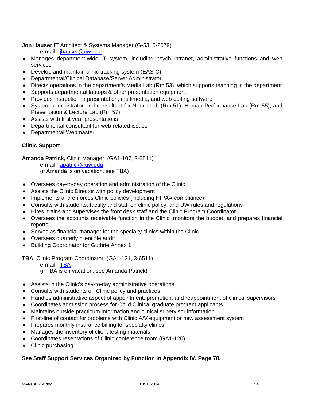### **Jon Hauser** IT Architect & Systems Manager (G-53, 5-2079)

e-mail: jhauser@uw.edu

- Manages department-wide IT system, including psych intranet, administrative functions and web services
- ◆ Develop and maintain clinic tracking system (EAS-C)
- Departmental/Clinical Database/Server Administrator
- Directs operations in the department's Media Lab (Rm 53), which supports teaching in the department
- Supports departmental laptops & other presentation equipment
- Provides instruction in presentation, multimedia, and web editing software
- System administrator and consultant for Neuro Lab (Rm 51), Human Performance Lab (Rm 55), and Presentation & Lecture Lab (Rm 57)
- Assists with first year presentations
- Departmental consultant for web-related issues
- Departmental Webmaster

### **Clinic Support**

**Amanda Patrick,** Clinic Manager (GA1-107, 3-6511)

 e-mail: apatrick@uw.edu (if Amanda is on vacation, see TBA)

- Oversees day-to-day operation and administration of the Clinic
- Assists the Clinic Director with policy development
- Implements and enforces Clinic policies (including HIPAA compliance)
- Consults with students, faculty and staff on clinic policy, and UW rules and regulations
- Hires, trains and supervises the front desk staff and the Clinic Program Coordinator
- Oversees the accounts receivable function in the Clinic, monitors the budget, and prepares financial reports
- Serves as financial manager for the specialty clinics within the Clinic
- Oversees quarterly client file audit
- ◆ Building Coordinator for Guthrie Annex 1

**TBA,** Clinic Program Coordinator (GA1-121, 3-6511)

e-mail: TBA

(if TBA is on vacation, see Amanda Patrick)

- Assists in the Clinic's day-to-day administrative operations
- ◆ Consults with students on Clinic policy and practices
- Handles administrative aspect of appointment, promotion, and reappointment of clinical supervisors
- Coordinates admission process for Child Clinical graduate program applicants
- Maintains outside practicum information and clinical supervisor information
- First-line of contact for problems with Clinic A/V equipment or new assessment system
- Prepares monthly insurance billing for specialty clinics
- Manages the inventory of client testing materials
- Coordinates reservations of Clinic conference room (GA1-120)
- Clinic purchasing

### **See Staff Support Services Organized by Function in Appendix IV, Page 78.**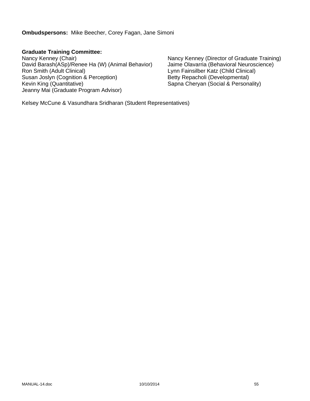**Ombudspersons:** Mike Beecher, Corey Fagan, Jane Simoni

**Graduate Training Committee:**

David Barash(ASp)/Renee Ha (W) (Animal Behavior) Ron Smith (Adult Clinical) Lynn Fainsilber Katz (Child Clinical) Susan Joslyn (Cognition & Perception) <br>
Kevin King (Quantitative) **Betty Repacholi (Developmental)**<br>
Sapna Cheryan (Social & Persona Jeanny Mai (Graduate Program Advisor)

Nancy Kenney (Chair)<br>David Barash(ASp)/Renee Ha (W) (Animal Behavior) Jaime Olavarria (Behavioral Neuroscience) Sapna Cheryan (Social & Personality)

Kelsey McCune & Vasundhara Sridharan (Student Representatives)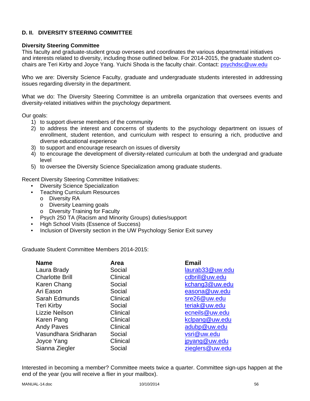### **D. II. DIVERSITY STEERING COMMITTEE**

### **Diversity Steering Committee**

This faculty and graduate-student group oversees and coordinates the various departmental initiatives and interests related to diversity, including those outlined below. For 2014-2015, the graduate student cochairs are Teri Kirby and Joyce Yang. Yuichi Shoda is the faculty chair. Contact: psychdsc@uw.edu

Who we are: Diversity Science Faculty, graduate and undergraduate students interested in addressing issues regarding diversity in the department.

What we do: The Diversity Steering Committee is an umbrella organization that oversees events and diversity-related initiatives within the psychology department.

Our goals:

- 1) to support diverse members of the community
- 2) to address the interest and concerns of students to the psychology department on issues of enrollment, student retention, and curriculum with respect to ensuring a rich, productive and diverse educational experience
- 3) to support and encourage research on issues of diversity
- 4) to encourage the development of diversity-related curriculum at both the undergrad and graduate level
- 5) to oversee the Diversity Science Specialization among graduate students.

Recent Diversity Steering Committee Initiatives:

- Diversity Science Specialization
- Teaching Curriculum Resources
	- o Diversity RA
	- o Diversity Learning goals
	- o Diversity Training for Faculty
- Psych 250 TA (Racism and Minority Groups) duties/support
- High School Visits (Essence of Success)
- Inclusion of Diversity section in the UW Psychology Senior Exit survey

Graduate Student Committee Members 2014-2015:

| Area     | <b>Email</b>    |
|----------|-----------------|
| Social   | laurab33@uw.edu |
| Clinical | cdbrill@uw.edu  |
| Social   | kchang3@uw.edu  |
| Social   | easona@uw.edu   |
| Clinical | sre26@uw.edu    |
| Social   | teriak@uw.edu   |
| Clinical | ecneils@uw.edu  |
| Clinical | kclpang@uw.edu  |
| Clinical | adubp@uw.edu    |
| Social   | vsri@uw.edu     |
| Clinical | jpyang@uw.edu   |
| Social   | zieglers@uw.edu |
|          |                 |

Interested in becoming a member? Committee meets twice a quarter. Committee sign-ups happen at the end of the year (you will receive a flier in your mailbox).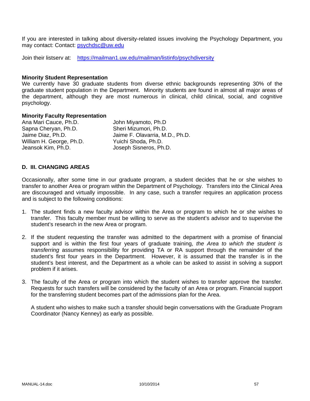If you are interested in talking about diversity-related issues involving the Psychology Department, you may contact: Contact: psychdsc@uw.edu

Join their listserv at: https://mailman1.uw.edu/mailman/listinfo/psychdiversity

#### **Minority Student Representation**

We currently have 30 graduate students from diverse ethnic backgrounds representing 30% of the graduate student population in the Department. Minority students are found in almost all major areas of the department, although they are most numerous in clinical, child clinical, social, and cognitive psychology.

#### **Minority Faculty Representation**

Ana Mari Cauce, Ph.D. John Miyamoto, Ph.D Sapna Cheryan, Ph.D. Sheri Mizumori, Ph.D. William H. George, Ph.D.<br>
Jeansok Kim. Ph.D.<br>
Joseph Sisneros. Ph

Jaime Diaz, Ph.D. Jaime F. Olavarria, M.D., Ph.D. Joseph Sisneros, Ph.D.

### **D. III. CHANGING AREAS**

Occasionally, after some time in our graduate program, a student decides that he or she wishes to transfer to another Area or program within the Department of Psychology. Transfers into the Clinical Area are discouraged and virtually impossible. In any case, such a transfer requires an application process and is subject to the following conditions:

- 1. The student finds a new faculty advisor within the Area or program to which he or she wishes to transfer. This faculty member must be willing to serve as the student's advisor and to supervise the student's research in the new Area or program.
- 2. If the student requesting the transfer was admitted to the department with a promise of financial support and is within the first four years of graduate training, *the Area to which the student is transferring* assumes responsibility for providing TA or RA support through the remainder of the student's first four years in the Department. However, it is assumed that the transfer is in the student's best interest, and the Department as a whole can be asked to assist in solving a support problem if it arises.
- 3. The faculty of the Area or program into which the student wishes to transfer approve the transfer. Requests for such transfers will be considered by the faculty of an Area or program. Financial support for the transferring student becomes part of the admissions plan for the Area.

 A student who wishes to make such a transfer should begin conversations with the Graduate Program Coordinator (Nancy Kenney) as early as possible.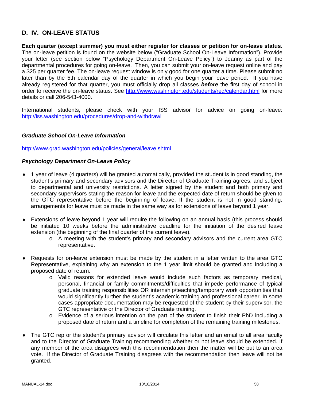### **D. IV. ON-LEAVE STATUS**

**Each quarter (except summer) you must either register for classes or petition for on-leave status.** The on-leave petition is found on the website below ("Graduate School On-Leave Information"). Provide your letter (see section below "Psychology Department On-Leave Policy") to Jeanny as part of the departmental procedures for going on-leave. Then, you can submit your on-leave request online and pay a \$25 per quarter fee. The on-leave request window is only good for one quarter a time. Please submit no later than by the 5th calendar day of the quarter in which you begin your leave period. If you have already registered for that quarter, you must officially drop all classes *before* the first day of school in order to receive the on-leave status. See http://www.washington.edu/students/reg/calendar.html for more details or call 206-543-4000.

International students, please check with your ISS advisor for advice on going on-leave: http://iss.washington.edu/procedures/drop-and-withdrawl

### *Graduate School On-Leave Information*

http://www.grad.washington.edu/policies/general/leave.shtml

### *Psychology Department On-Leave Policy*

- 1 year of leave (4 quarters) will be granted automatically, provided the student is in good standing, the student's primary and secondary advisors and the Director of Graduate Training agrees, and subject to departmental and university restrictions. A letter signed by the student and both primary and secondary supervisors stating the reason for leave and the expected date of return should be given to the GTC representative before the beginning of leave. If the student is not in good standing, arrangements for leave must be made in the same way as for extensions of leave beyond 1 year.
- Extensions of leave beyond 1 year will require the following on an annual basis (this process should be initiated 10 weeks before the administrative deadline for the initiation of the desired leave extension (the beginning of the final quarter of the current leave).
	- o A meeting with the student's primary and secondary advisors and the current area GTC representative.
- Requests for on-leave extension must be made by the student in a letter written to the area GTC Representative, explaining why an extension to the 1 year limit should be granted and including a proposed date of return.
	- o Valid reasons for extended leave would include such factors as temporary medical, personal, financial or family commitments/difficulties that impede performance of typical graduate training responsibilities OR internship/teaching/temporary work opportunities that would significantly further the student's academic training and professional career. In some cases appropriate documentation may be requested of the student by their supervisor, the GTC representative or the Director of Graduate training.
	- o Evidence of a serious intention on the part of the student to finish their PhD including a proposed date of return and a timeline for completion of the remaining training milestones.
- The GTC rep or the student's primary advisor will circulate this letter and an email to all area faculty and to the Director of Graduate Training recommending whether or not leave should be extended. If any member of the area disagrees with this recommendation then the matter will be put to an area vote. If the Director of Graduate Training disagrees with the recommendation then leave will not be granted.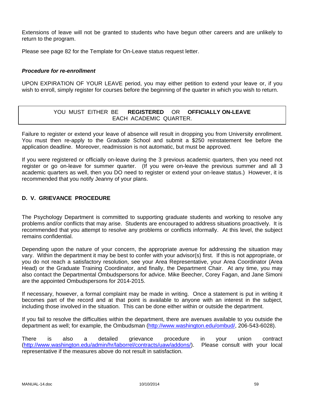Extensions of leave will not be granted to students who have begun other careers and are unlikely to return to the program.

Please see page 82 for the Template for On-Leave status request letter.

### *Procedure for re-enrollment*

UPON EXPIRATION OF YOUR LEAVE period, you may either petition to extend your leave or, if you wish to enroll, simply register for courses before the beginning of the quarter in which you wish to return.

## YOU MUST EITHER BE **REGISTERED** OR **OFFICIALLY ON-LEAVE** EACH ACADEMIC QUARTER.

Failure to register or extend your leave of absence will result in dropping you from University enrollment. You must then re-apply to the Graduate School and submit a \$250 reinstatement fee before the application deadline. Moreover, readmission is not automatic, but must be approved.

If you were registered or officially on-leave during the 3 previous academic quarters, then you need not register or go on-leave for summer quarter. (If you were on-leave the previous summer and all 3 academic quarters as well, then you DO need to register or extend your on-leave status.) However, it is recommended that you notify Jeanny of your plans.

### **D. V. GRIEVANCE PROCEDURE**

The Psychology Department is committed to supporting graduate students and working to resolve any problems and/or conflicts that may arise. Students are encouraged to address situations proactively. It is recommended that you attempt to resolve any problems or conflicts informally. At this level, the subject remains confidential.

Depending upon the nature of your concern, the appropriate avenue for addressing the situation may vary. Within the department it may be best to confer with your advisor(s) first. If this is not appropriate, or you do not reach a satisfactory resolution, see your Area Representative, your Area Coordinator (Area Head) or the Graduate Training Coordinator, and finally, the Department Chair. At any time, you may also contact the Departmental Ombudspersons for advice. Mike Beecher, Corey Fagan, and Jane Simoni are the appointed Ombudspersons for 2014-2015.

If necessary, however, a formal complaint may be made in writing. Once a statement is put in writing it becomes part of the record and at that point is available to anyone with an interest in the subject, including those involved in the situation. This can be done either within or outside the department.

If you fail to resolve the difficulties within the department, there are avenues available to you outside the department as well; for example, the Ombudsman (http://www.washington.edu/ombud/, 206-543-6028).

There is also a detailed grievance procedure in your union contract (http://www.washington.edu/admin/hr/laborrel/contracts/uaw/addons/). Please consult with your local representative if the measures above do not result in satisfaction.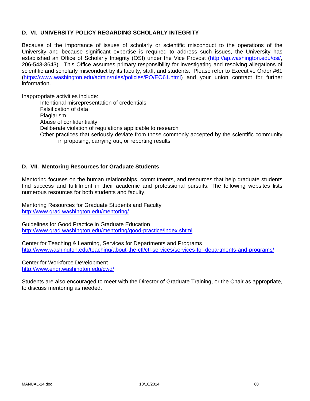### **D. VI. UNIVERSITY POLICY REGARDING SCHOLARLY INTEGRITY**

Because of the importance of issues of scholarly or scientific misconduct to the operations of the University and because significant expertise is required to address such issues, the University has established an Office of Scholarly Integrity (OSI) under the Vice Provost (http://ap.washington.edu/osi/, 206-543-3643). This Office assumes primary responsibility for investigating and resolving allegations of scientific and scholarly misconduct by its faculty, staff, and students. Please refer to Executive Order #61 (https://www.washington.edu/admin/rules/policies/PO/EO61.html) and your union contract for further information.

Inappropriate activities include:

Intentional misrepresentation of credentials Falsification of data **Plagiarism** Abuse of confidentiality Deliberate violation of regulations applicable to research Other practices that seriously deviate from those commonly accepted by the scientific community in proposing, carrying out, or reporting results

### **D. VII. Mentoring Resources for Graduate Students**

Mentoring focuses on the human relationships, commitments, and resources that help graduate students find success and fulfillment in their academic and professional pursuits. The following websites lists numerous resources for both students and faculty.

Mentoring Resources for Graduate Students and Faculty http://www.grad.washington.edu/mentoring/

Guidelines for Good Practice in Graduate Education http://www.grad.washington.edu/mentoring/good-practice/index.shtml

Center for Teaching & Learning, Services for Departments and Programs http://www.washington.edu/teaching/about-the-ctl/ctl-services/services-for-departments-and-programs/

Center for Workforce Development http://www.engr.washington.edu/cwd/

Students are also encouraged to meet with the Director of Graduate Training, or the Chair as appropriate, to discuss mentoring as needed.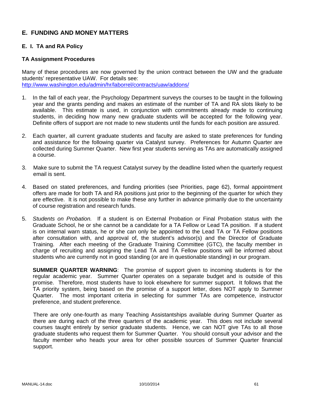### **E. FUNDING AND MONEY MATTERS**

### **E. I. TA and RA Policy**

### **TA Assignment Procedures**

Many of these procedures are now governed by the union contract between the UW and the graduate students' representative UAW. For details see: http://www.washington.edu/admin/hr/laborrel/contracts/uaw/addons/

- 1. In the fall of each year, the Psychology Department surveys the courses to be taught in the following year and the grants pending and makes an estimate of the number of TA and RA slots likely to be available. This estimate is used, in conjunction with commitments already made to continuing students, in deciding how many new graduate students will be accepted for the following year. Definite offers of support are not made to new students until the funds for each position are assured.
- 2. Each quarter, all current graduate students and faculty are asked to state preferences for funding and assistance for the following quarter via Catalyst survey. Preferences for Autumn Quarter are collected during Summer Quarter. New first year students serving as TAs are automatically assigned a course.
- 3. Make sure to submit the TA request Catalyst survey by the deadline listed when the quarterly request email is sent.
- 4. Based on stated preferences, and funding priorities (see Priorities, page 62), formal appointment offers are made for both TA and RA positions just prior to the beginning of the quarter for which they are effective. It is not possible to make these any further in advance primarily due to the uncertainty of course registration and research funds.
- 5. *Students on Probation.* If a student is on External Probation or Final Probation status with the Graduate School, he or she cannot be a candidate for a TA Fellow or Lead TA position. If a student is on internal warn status, he or she can only be appointed to the Lead TA or TA Fellow positions after consultation with, and approval of, the student's advisor(s) and the Director of Graduate Training. After each meeting of the Graduate Training Committee (GTC), the faculty member in charge of recruiting and assigning the Lead TA and TA Fellow positions will be informed about students who are currently not in good standing (or are in questionable standing) in our program.

**SUMMER QUARTER WARNING**: The promise of support given to incoming students is for the regular academic year. Summer Quarter operates on a separate budget and is outside of this promise. Therefore, most students have to look elsewhere for summer support. It follows that the TA priority system, being based on the promise of a support letter, does NOT apply to Summer Quarter. The most important criteria in selecting for summer TAs are competence, instructor preference, and student preference.

There are only one-fourth as many Teaching Assistantships available during Summer Quarter as there are during each of the three quarters of the academic year. This does not include several courses taught entirely by senior graduate students. Hence, we can NOT give TAs to all those graduate students who request them for Summer Quarter. You should consult your advisor and the faculty member who heads your area for other possible sources of Summer Quarter financial support.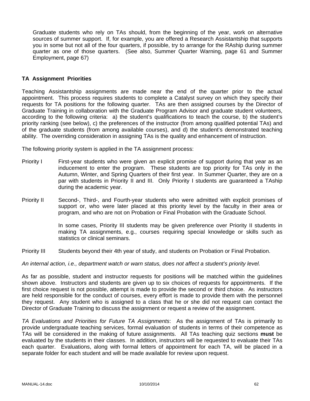Graduate students who rely on TAs should, from the beginning of the year, work on alternative sources of summer support. If, for example, you are offered a Research Assistantship that supports you in some but not all of the four quarters, if possible, try to arrange for the RAship during summer quarter as one of those quarters. (See also, Summer Quarter Warning, page 61 and Summer Employment, page 67)

### **TA Assignment Priorities**

Teaching Assistantship assignments are made near the end of the quarter prior to the actual appointment. This process requires students to complete a Catalyst survey on which they specify their requests for TA positions for the following quarter. TAs are then assigned courses by the Director of Graduate Training in collaboration with the Graduate Program Advisor and graduate student volunteers, according to the following criteria: a) the student's qualifications to teach the course, b) the student's priority ranking (see below), c) the preferences of the instructor (from among qualified potential TAs) and of the graduate students (from among available courses), and d) the student's demonstrated teaching ability. The overriding consideration in assigning TAs is the quality and enhancement of instruction.

The following priority system is applied in the TA assignment process:

- Priority I First-year students who were given an explicit promise of support during that year as an inducement to enter the program. These students are top priority for TAs only in the Autumn, Winter, and Spring Quarters of their first year. In Summer Quarter, they are on a par with students in Priority II and III. Only Priority I students are guaranteed a TAship during the academic year.
- Priority II Second-, Third-, and Fourth-year students who were admitted with explicit promises of support or, who were later placed at this priority level by the faculty in their area or program, and who are not on Probation or Final Probation with the Graduate School.

In some cases, Priority III students may be given preference over Priority II students in making TA assignments, e.g., courses requiring special knowledge or skills such as statistics or clinical seminars.

Priority III Students beyond their 4th year of study, and students on Probation or Final Probation.

*An internal action, i.e., department watch or warn status, does not affect a student's priority level.* 

As far as possible, student and instructor requests for positions will be matched within the guidelines shown above. Instructors and students are given up to six choices of requests for appointments. If the first choice request is not possible, attempt is made to provide the second or third choice. As instructors are held responsible for the conduct of courses, every effort is made to provide them with the personnel they request. Any student who is assigned to a class that he or she did not request can contact the Director of Graduate Training to discuss the assignment or request a review of the assignment.

*TA Evaluations and Priorities for Future TA Assignments*: As the assignment of TAs is primarily to provide undergraduate teaching services, formal evaluation of students in terms of their competence as TAs will be considered in the making of future assignments. All TAs teaching quiz sections **must** be evaluated by the students in their classes. In addition, instructors will be requested to evaluate their TAs each quarter. Evaluations, along with formal letters of appointment for each TA, will be placed in a separate folder for each student and will be made available for review upon request.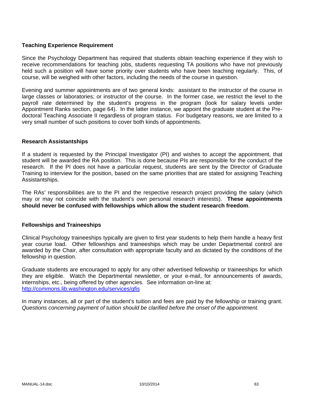### **Teaching Experience Requirement**

Since the Psychology Department has required that students obtain teaching experience if they wish to receive recommendations for teaching jobs, students requesting TA positions who have not previously held such a position will have some priority over students who have been teaching regularly. This, of course, will be weighed with other factors, including the needs of the course in question.

Evening and summer appointments are of two general kinds: assistant to the instructor of the course in large classes or laboratories; or instructor of the course. In the former case, we restrict the level to the payroll rate determined by the student's progress in the program (look for salary levels under Appointment Ranks section, page 64). In the latter instance, we appoint the graduate student at the Predoctoral Teaching Associate II regardless of program status. For budgetary reasons, we are limited to a very small number of such positions to cover both kinds of appointments.

### **Research Assistantships**

If a student is requested by the Principal Investigator (PI) and wishes to accept the appointment, that student will be awarded the RA position. This is done because PIs are responsible for the conduct of the research. If the PI does not have a particular request, students are sent by the Director of Graduate Training to interview for the position, based on the same priorities that are stated for assigning Teaching Assistantships.

The RAs' responsibilities are to the PI and the respective research project providing the salary (which may or may not coincide with the student's own personal research interests). **These appointments should never be confused with fellowships which allow the student research freedom**.

### **Fellowships and Traineeships**

Clinical Psychology traineeships typically are given to first year students to help them handle a heavy first year course load. Other fellowships and traineeships which may be under Departmental control are awarded by the Chair, after consultation with appropriate faculty and as dictated by the conditions of the fellowship in question.

Graduate students are encouraged to apply for any other advertised fellowship or traineeships for which they are eligible. Watch the Departmental newsletter, or your e-mail, for announcements of awards, internships, etc., being offered by other agencies. See information on-line at: http://commons.lib.washington.edu/services/gfis

In many instances, all or part of the student's tuition and fees are paid by the fellowship or training grant. *Questions concerning payment of tuition should be clarified before the onset of the appointment.*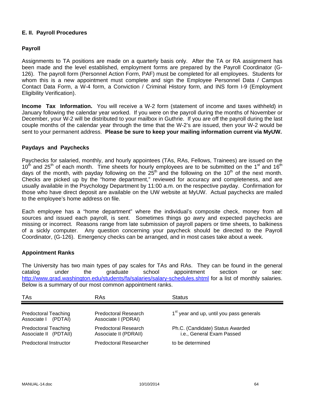### **E. II. Payroll Procedures**

### **Payroll**

Assignments to TA positions are made on a quarterly basis only. After the TA or RA assignment has been made and the level established, employment forms are prepared by the Payroll Coordinator (G-126). The payroll form (Personnel Action Form, PAF) must be completed for all employees. Students for whom this is a new appointment must complete and sign the Employee Personnel Data / Campus Contact Data Form, a W-4 form, a Conviction / Criminal History form, and INS form I-9 (Employment Eligibility Verification).

**Income Tax Information.** You will receive a W-2 form (statement of income and taxes withheld) in January following the calendar year worked. If you were on the payroll during the months of November or December, your W-2 will be distributed to your mailbox in Guthrie. If you are off the payroll during the last couple months of the calendar year through the time that the W-2's are issued, then your W-2 would be sent to your permanent address. **Please be sure to keep your mailing information current via MyUW.**

### **Paydays and Paychecks**

Paychecks for salaried, monthly, and hourly appointees (TAs, RAs, Fellows, Trainees) are issued on the  $10<sup>th</sup>$  and 25<sup>th</sup> of each month. Time sheets for hourly employees are to be submitted on the 1<sup>st</sup> and 16<sup>th</sup> days of the month, with payday following on the  $25<sup>th</sup>$  and the following on the 10<sup>th</sup> of the next month. Checks are picked up by the "home department," reviewed for accuracy and completeness, and are usually available in the Psychology Department by 11:00 a.m. on the respective payday. Confirmation for those who have direct deposit are available on the UW website at MyUW. Actual paychecks are mailed to the employee's home address on file.

Each employee has a "home department" where the individual's composite check, money from all sources and issued each payroll, is sent. Sometimes things go awry and expected paychecks are missing or incorrect. Reasons range from late submission of payroll papers or time sheets, to balkiness of a sickly computer. Any question concerning your paycheck should be directed to the Payroll Coordinator, (G-126). Emergency checks can be arranged, and in most cases take about a week.

### **Appointment Ranks**

The University has two main types of pay scales for TAs and RAs. They can be found in the general catalog under the graduate school appointment section or see: http://www.grad.washington.edu/students/fa/salaries/salary-schedules.shtml for a list of monthly salaries. Below is a summary of our most common appointment ranks.

| <b>TAs</b>                                           | RAs                                                  | <b>Status</b>                                                 |
|------------------------------------------------------|------------------------------------------------------|---------------------------------------------------------------|
| <b>Predoctoral Teaching</b><br>Associate   (PDTAI)   | <b>Predoctoral Research</b><br>Associate I (PDRAI)   | 1 <sup>st</sup> year and up, until you pass generals          |
| <b>Predoctoral Teaching</b><br>Associate II (PDTAII) | <b>Predoctoral Research</b><br>Associate II (PDRAII) | Ph.C. (Candidate) Status Awarded<br>i.e., General Exam Passed |
| Predoctoral Instructor                               | Predoctoral Researcher                               | to be determined                                              |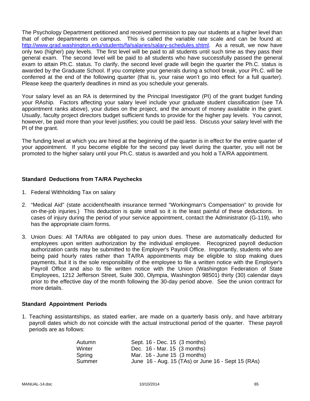The Psychology Department petitioned and received permission to pay our students at a higher level than that of other departments on campus. This is called the variable rate scale and can be found at: http://www.grad.washington.edu/students/fa/salaries/salary-schedules.shtml. As a result, we now have only two (higher) pay levels. The first level will be paid to all students until such time as they pass their general exam. The second level will be paid to all students who have successfully passed the general exam to attain Ph.C. status. To clarify, the second level grade will begin the quarter the Ph.C. status is awarded by the Graduate School. If you complete your generals during a school break, your Ph.C. will be conferred at the end of the following quarter (that is, your raise won't go into effect for a full quarter). Please keep the quarterly deadlines in mind as you schedule your generals.

Your salary level as an RA is determined by the Principal Investigator (PI) of the grant budget funding your RAship. Factors affecting your salary level include your graduate student classification (see TA appointment ranks above), your duties on the project, and the amount of money available in the grant. Usually, faculty project directors budget sufficient funds to provide for the higher pay levels. You cannot, however, be paid more than your level justifies; you could be paid less. Discuss your salary level with the PI of the grant.

The funding level at which you are hired at the beginning of the quarter is in effect for the entire quarter of your appointment. If you become eligible for the second pay level during the quarter, you will not be promoted to the higher salary until your Ph.C. status is awarded and you hold a TA/RA appointment.

### **Standard Deductions from TA/RA Paychecks**

- 1. Federal Withholding Tax on salary
- 2. "Medical Aid" (state accident/health insurance termed "Workingman's Compensation" to provide for on-the-job injuries.) This deduction is quite small so it is the least painful of these deductions. In cases of injury during the period of your service appointment, contact the Administrator (G-119), who has the appropriate claim forms.
- 3. Union Dues: All TA/RAs are obligated to pay union dues. These are automatically deducted for employees upon written authorization by the individual employee. Recognized payroll deduction authorization cards may be submitted to the Employer's Payroll Office. Importantly, students who are being paid hourly rates rather than TA/RA appointments may be eligible to stop making dues payments, but it is the sole responsibility of the employee to file a written notice with the Employer's Payroll Office and also to file written notice with the Union (Washington Federation of State Employees, 1212 Jefferson Street, Suite 300, Olympia, Washington 98501) thirty (30) calendar days prior to the effective day of the month following the 30-day period above. See the union contract for more details.

### **Standard Appointment Periods**

1. Teaching assistantships, as stated earlier, are made on a quarterly basis only, and have arbitrary payroll dates which do not coincide with the actual instructional period of the quarter. These payroll periods are as follows:

| Autumn | Sept. 16 - Dec. 15 (3 months)                      |
|--------|----------------------------------------------------|
| Winter | Dec. 16 - Mar. 15 (3 months)                       |
| Spring | Mar. $16$ - June 15 $(3 \text{ months})$           |
| Summer | June 16 - Aug. 15 (TAs) or June 16 - Sept 15 (RAs) |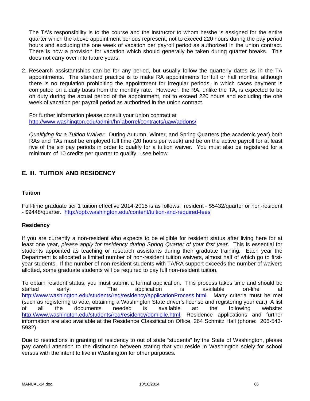The TA's responsibility is to the course and the instructor to whom he/she is assigned for the entire quarter which the above appointment periods represent, not to exceed 220 hours during the pay period hours and excluding the one week of vacation per payroll period as authorized in the union contract. There is now a provision for vacation which should generally be taken during quarter breaks. This does not carry over into future years.

2. Research assistantships can be for any period, but usually follow the quarterly dates as in the TA appointments. The standard practice is to make RA appointments for full or half months, although there is no regulation prohibiting the appointment for irregular periods, in which cases payment is computed on a daily basis from the monthly rate. However, the RA, unlike the TA, is expected to be on duty during the actual period of the appointment, not to exceed 220 hours and excluding the one week of vacation per payroll period as authorized in the union contract.

For further information please consult your union contract at http://www.washington.edu/admin/hr/laborrel/contracts/uaw/addons/

*Qualifying for a Tuition Waiver*: During Autumn, Winter, and Spring Quarters (the academic year) both RAs and TAs must be employed full time (20 hours per week) and be on the active payroll for at least five of the six pay periods in order to qualify for a tuition waiver. You must also be registered for a minimum of 10 credits per quarter to qualify – see below.

# **E. III. TUITION AND RESIDENCY**

### **Tuition**

Full-time graduate tier 1 tuition effective 2014-2015 is as follows: resident - \$5432/quarter or non-resident - \$9448/quarter. http://opb.washington.edu/content/tuition-and-required-fees

### **Residency**

If you are currently a non-resident who expects to be eligible for resident status after living here for at least one year, *please apply for residency during Spring Quarter of your first year*. This is essential for students appointed as teaching or research assistants during their graduate training. Each year the Department is allocated a limited number of non-resident tuition waivers, almost half of which go to firstyear students. If the number of non-resident students with TA/RA support exceeds the number of waivers allotted, some graduate students will be required to pay full non-resident tuition.

To obtain resident status, you must submit a formal application. This process takes time and should be started early. The application is available on-line at http://www.washington.edu/students/reg/residency/applicationProcess.html. Many criteria must be met (such as registering to vote, obtaining a Washington State driver's license and registering your car.) A list of all the documents needed is available at: the following website: http://www.washington.edu/students/reg/residency/domicile.html. Residence applications and further information are also available at the Residence Classification Office, 264 Schmitz Hall (phone: 206-543- 5932).

Due to restrictions in granting of residency to out of state "students" by the State of Washington, please pay careful attention to the distinction between stating that you reside in Washington solely for school versus with the intent to live in Washington for other purposes.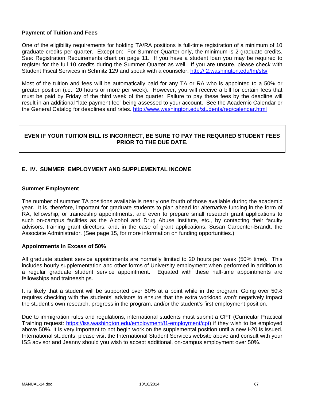### **Payment of Tuition and Fees**

One of the eligibility requirements for holding TA/RA positions is full-time registration of a minimum of 10 graduate credits per quarter. Exception: For Summer Quarter only, the minimum is 2 graduate credits. See: Registration Requirements chart on page 11. If you have a student loan you may be required to register for the full 10 credits during the Summer Quarter as well. If you are unsure, please check with Student Fiscal Services in Schmitz 129 and speak with a counselor. http://f2.washington.edu/fm/sfs/

Most of the tuition and fees will be automatically paid for any TA or RA who is appointed to a 50% or greater position (i.e., 20 hours or more per week). However, you will receive a bill for certain fees that must be paid by Friday of the third week of the quarter. Failure to pay these fees by the deadline will result in an additional "late payment fee" being assessed to your account. See the Academic Calendar or the General Catalog for deadlines and rates. http://www.washington.edu/students/reg/calendar.html

### **EVEN IF YOUR TUITION BILL IS INCORRECT, BE SURE TO PAY THE REQUIRED STUDENT FEES PRIOR TO THE DUE DATE.**

### **E. IV. SUMMER EMPLOYMENT AND SUPPLEMENTAL INCOME**

### **Summer Employment**

The number of summer TA positions available is nearly one fourth of those available during the academic year. It is, therefore, important for graduate students to plan ahead for alternative funding in the form of RA, fellowship, or traineeship appointments, and even to prepare small research grant applications to such on-campus facilities as the Alcohol and Drug Abuse Institute, etc., by contacting their faculty advisors, training grant directors, and, in the case of grant applications, Susan Carpenter-Brandt, the Associate Administrator. (See page 15, for more information on funding opportunities.)

### **Appointments in Excess of 50%**

All graduate student service appointments are normally limited to 20 hours per week (50% time). This includes hourly supplementation and other forms of University employment when performed in addition to a regular graduate student service appointment. Equated with these half-time appointments are fellowships and traineeships.

It is likely that a student will be supported over 50% at a point while in the program. Going over 50% requires checking with the students' advisors to ensure that the extra workload won't negatively impact the student's own research, progress in the program, and/or the student's first employment position.

Due to immigration rules and regulations, international students must submit a CPT (Curricular Practical Training request: https://iss.washington.edu/employment/f1-employment/cpt) if they wish to be employed above 50%. It is very important to not begin work on the supplemental position until a new I-20 is issued. International students, please visit the International Student Services website above and consult with your ISS advisor and Jeanny should you wish to accept additional, on-campus employment over 50%.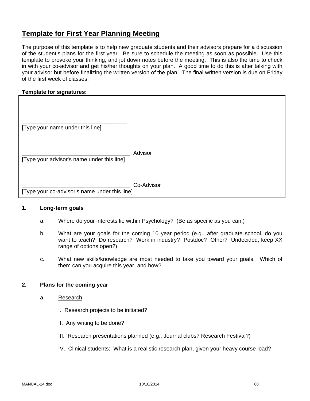# **Template for First Year Planning Meeting**

The purpose of this template is to help new graduate students and their advisors prepare for a discussion of the student's plans for the first year. Be sure to schedule the meeting as soon as possible. Use this template to provoke your thinking, and jot down notes before the meeting. This is also the time to check in with your co-advisor and get his/her thoughts on your plan. A good time to do this is after talking with your advisor but before finalizing the written version of the plan. The final written version is due on Friday of the first week of classes.

### **Template for signatures:**

| [Type your name under this line]              |            |
|-----------------------------------------------|------------|
| [Type your advisor's name under this line]    | Advisor    |
| [Type your co-advisor's name under this line] | Co-Advisor |

### **1. Long-term goals**

- a. Where do your interests lie within Psychology? (Be as specific as you can.)
- b. What are your goals for the coming 10 year period (e.g., after graduate school, do you want to teach? Do research? Work in industry? Postdoc? Other? Undecided, keep XX range of options open?)
- c. What new skills/knowledge are most needed to take you toward your goals. Which of them can you acquire this year, and how?

### **2. Plans for the coming year**

- a. Research
	- I. Research projects to be initiated?
	- II. Any writing to be done?
	- III. Research presentations planned (e.g., Journal clubs? Research Festival?)
	- IV. Clinical students: What is a realistic research plan, given your heavy course load?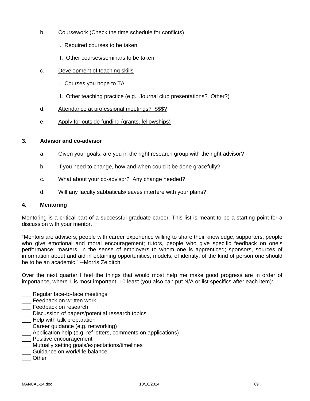- b. Coursework (Check the time schedule for conflicts)
	- I. Required courses to be taken
	- II. Other courses/seminars to be taken
- c. Development of teaching skills
	- I. Courses you hope to TA
	- II. Other teaching practice (e.g., Journal club presentations? Other?)
- d. Attendance at professional meetings? \$\$\$?
- e. Apply for outside funding (grants, fellowships)

### **3. Advisor and co-advisor**

- a. Given your goals, are you in the right research group with the right advisor?
- b. If you need to change, how and when could it be done gracefully?
- c. What about your co-advisor? Any change needed?
- d. Will any faculty sabbaticals/leaves interfere with your plans?

### **4. Mentoring**

Mentoring is a critical part of a successful graduate career. This list is meant to be a starting point for a discussion with your mentor.

"Mentors are advisers, people with career experience willing to share their knowledge; supporters, people who give emotional and moral encouragement; tutors, people who give specific feedback on one's performance; masters, in the sense of employers to whom one is apprenticed; sponsors, sources of information about and aid in obtaining opportunities; models, of identity, of the kind of person one should be to be an academic." --Morris Zelditch

Over the next quarter I feel the things that would most help me make good progress are in order of importance, where 1 is most important, 10 least (you also can put N/A or list specifics after each item):

- \_\_\_ Regular face-to-face meetings
- \_\_\_ Feedback on written work
- **\_\_\_** Feedback on research
- \_\_\_ Discussion of papers/potential research topics
- **\_\_\_** Help with talk preparation
- \_\_\_ Career guidance (e.g. networking)
- \_\_\_ Application help (e.g. ref letters, comments on applications)
- \_\_\_ Positive encouragement
- \_\_\_ Mutually setting goals/expectations/timelines
- Guidance on work/life balance
- \_\_\_ Other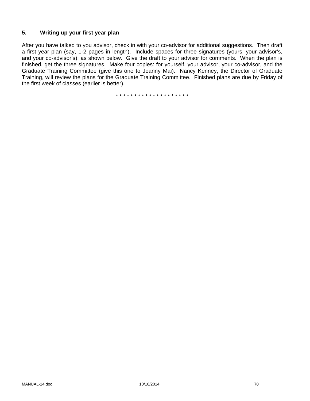### **5. Writing up your first year plan**

After you have talked to you advisor, check in with your co-advisor for additional suggestions. Then draft a first year plan (say, 1-2 pages in length). Include spaces for three signatures (yours, your advisor's, and your co-advisor's), as shown below. Give the draft to your advisor for comments. When the plan is finished, get the three signatures. Make four copies: for yourself, your advisor, your co-advisor, and the Graduate Training Committee (give this one to Jeanny Mai). Nancy Kenney, the Director of Graduate Training, will review the plans for the Graduate Training Committee. Finished plans are due by Friday of the first week of classes (earlier is better).

\* \* \* \* \* \* \* \* \* \* \* \* \* \* \* \* \* \* \* \*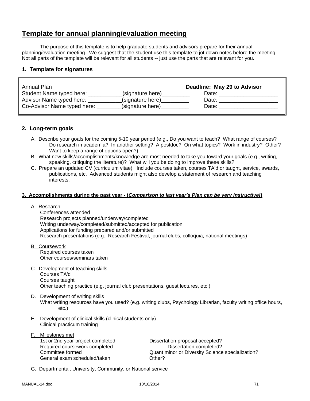# **Template for annual planning/evaluation meeting**

The purpose of this template is to help graduate students and advisors prepare for their annual planning/evaluation meeting. We suggest that the student use this template to jot down notes before the meeting. Not all parts of the template will be relevant for all students -- just use the parts that are relevant for you.

### **1. Template for signatures**

| Annual Plan                 |                  | Deadline: May 29 to Advisor |
|-----------------------------|------------------|-----------------------------|
| Student Name typed here:    | (signature here) | Date:                       |
| Advisor Name typed here:    | (signature here) | Date:                       |
| Co-Advisor Name typed here: | (signature here) | Date:                       |

### **2. Long-term goals**

- A. Describe your goals for the coming 5-10 year period (e.g., Do you want to teach? What range of courses? Do research in academia? In another setting? A postdoc? On what topics? Work in industry? Other? Want to keep a range of options open?)
- B. What new skills/accomplishments/knowledge are most needed to take you toward your goals (e.g., writing, speaking, critiquing the literature)? What will you be doing to improve these skills?
- C. Prepare an updated CV (curriculum vitae). Include courses taken, courses TA'd or taught, service, awards, publications, etc. Advanced students might also develop a statement of research and teaching interests.

#### **3. Accomplishments during the past year - (***Comparison to last year's Plan can be very instructive!***)**

A. Research

 Conferences attended Research projects planned/underway/completed Writing underway/completed/submitted/accepted for publication Applications for funding prepared and/or submitted Research presentations (e.g., Research Festival; journal clubs; colloquia; national meetings)

- B. Coursework Required courses taken Other courses/seminars taken
- C. Development of teaching skills

 Courses TA'd Courses taught Other teaching practice (e.g. journal club presentations, guest lectures, etc.)

### D. Development of writing skills

What writing resources have you used? (e.g. writing clubs, Psychology Librarian, faculty writing office hours, etc.)

- E. Development of clinical skills (clinical students only) Clinical practicum training
- F. Milestones met 1st or 2nd year project completed Dissertation proposal accepted? Required coursework completed Dissertation completed? General exam scheduled/taken **CHACCOUNGER** Other?

Committee formed Quant minor or Diversity Science specialization?

G. Departmental, University, Community, or National service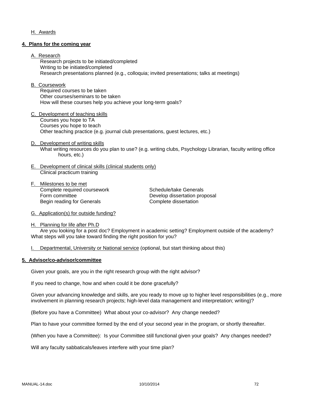### H. Awards

#### **4. Plans for the coming year**

#### A. Research

 Research projects to be initiated/completed Writing to be initiated/completed Research presentations planned (e.g., colloquia; invited presentations; talks at meetings)

#### B. Coursework

 Required courses to be taken Other courses/seminars to be taken How will these courses help you achieve your long-term goals?

- C. Development of teaching skills Courses you hope to TA Courses you hope to teach Other teaching practice (e.g. journal club presentations, guest lectures, etc.)
- D. Development of writing skills What writing resources do you plan to use? (e.g. writing clubs, Psychology Librarian, faculty writing office hours, etc.)
- E. Development of clinical skills (clinical students only) Clinical practicum training
- F. Milestones to be met Complete required coursework Schedule/take Generals Form committee **Develop** dissertation proposal Begin reading for Generals **Complete** dissertation

G. Application(s) for outside funding?

H. Planning for life after Ph.D Are you looking for a post doc? Employment in academic setting? Employment outside of the academy? What steps will you take toward finding the right position for you?

I. Departmental, University or National service (optional, but start thinking about this)

#### **5. Advisor/co-advisor/committee**

Given your goals, are you in the right research group with the right advisor?

If you need to change, how and when could it be done gracefully?

Given your advancing knowledge and skills, are you ready to move up to higher level responsibilities (e.g., more involvement in planning research projects; high-level data management and interpretation; writing)?

(Before you have a Committee) What about your co-advisor? Any change needed?

Plan to have your committee formed by the end of your second year in the program, or shortly thereafter.

(When you have a Committee): Is your Committee still functional given your goals? Any changes needed?

Will any faculty sabbaticals/leaves interfere with your time plan?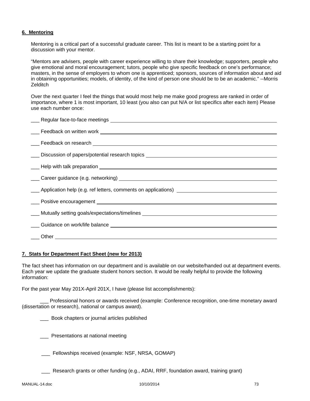### **6. Mentoring**

Mentoring is a critical part of a successful graduate career. This list is meant to be a starting point for a discussion with your mentor.

"Mentors are advisers, people with career experience willing to share their knowledge; supporters, people who give emotional and moral encouragement; tutors, people who give specific feedback on one's performance; masters, in the sense of employers to whom one is apprenticed; sponsors, sources of information about and aid in obtaining opportunities; models, of identity, of the kind of person one should be to be an academic." --Morris **Zelditch** 

Over the next quarter I feel the things that would most help me make good progress are ranked in order of importance, where 1 is most important, 10 least (you also can put N/A or list specifics after each item) Please use each number once:

| Let Feedback on research Letter and The Teacher and Teacher and Teacher and Teacher and Teacher and Teacher and                                                                                                                           |
|-------------------------------------------------------------------------------------------------------------------------------------------------------------------------------------------------------------------------------------------|
| ___ Discussion of papers/potential research topics _____________________________                                                                                                                                                          |
| Leap with talk preparation Leap Content Content Content Content Content Content Content Content Content Content                                                                                                                           |
|                                                                                                                                                                                                                                           |
|                                                                                                                                                                                                                                           |
|                                                                                                                                                                                                                                           |
|                                                                                                                                                                                                                                           |
| <b>Multiple 10</b> Multiple setting goals/expectations/timelines <b>with a matter of the control of the control of the control of the control of the control of the control of the control of the control of the control of the contr</b> |
|                                                                                                                                                                                                                                           |
|                                                                                                                                                                                                                                           |
|                                                                                                                                                                                                                                           |

#### **7. Stats for Department Fact Sheet (new for 2013)**

The fact sheet has information on our department and is available on our website/handed out at department events. Each year we update the graduate student honors section. It would be really helpful to provide the following information:

For the past year May 201X-April 201X, I have (please list accomplishments):

Professional honors or awards received (example: Conference recognition, one-time monetary award (dissertation or research), national or campus award).

**EXECO** Book chapters or journal articles published

**EXECUTE:** Presentations at national meeting

\_\_\_ Fellowships received (example: NSF, NRSA, GOMAP)

Research grants or other funding (e.g., ADAI, RRF, foundation award, training grant)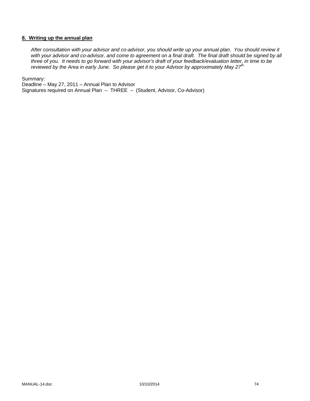## **8. Writing up the annual plan**

*After consultation with your advisor and co-advisor, you should write up your annual plan. You should review it*  with your advisor and co-advisor, and come to agreement on a final draft. The final draft should be signed by all *three of you. It needs to go forward with your advisor's draft of your feedback/evaluation letter, in time to be reviewed by the Area in early June. So please get it to your Advisor by approximately May 27th* 

Summary:

Deadline – May 27, 2011 – Annual Plan to Advisor Signatures required on Annual Plan – THREE – (Student, Advisor, Co-Advisor)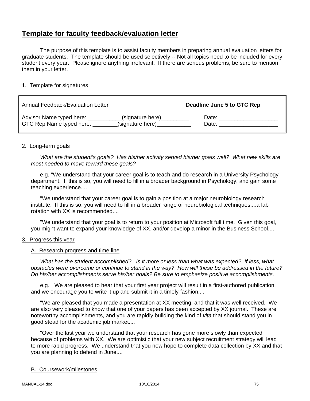# **Template for faculty feedback/evaluation letter**

 The purpose of this template is to assist faculty members in preparing annual evaluation letters for graduate students. The template should be used selectively -- Not all topics need to be included for every student every year. Please ignore anything irrelevant. If there are serious problems, be sure to mention them in your letter.

# 1. Template for signatures

| Annual Feedback/Evaluation Letter |                  | Deadline June 5 to GTC Rep |
|-----------------------------------|------------------|----------------------------|
| Advisor Name typed here:          | (signature here) | Date:                      |
| GTC Rep Name typed here:          | (signature here) | Date:                      |

# 2. Long-term goals

 *What are the student's goals? Has his/her activity served his/her goals well? What new skills are most needed to move toward these goals?*

e.g. "We understand that your career goal is to teach and do research in a University Psychology department. If this is so, you will need to fill in a broader background in Psychology, and gain some teaching experience....

 "We understand that your career goal is to gain a position at a major neurobiology research institute. If this is so, you will need to fill in a broader range of neurobiological techniques....a lab rotation with XX is recommended....

 "We understand that your goal is to return to your position at Microsoft full time. Given this goal, you might want to expand your knowledge of XX, and/or develop a minor in the Business School....

# 3. Progress this year

# A. Research progress and time line

 *What has the student accomplished? Is it more or less than what was expected? If less, what obstacles were overcome or continue to stand in the way? How will these be addressed in the future? Do his/her accomplishments serve his/her goals? Be sure to emphasize positive accomplishments.*

 e.g. "We are pleased to hear that your first year project will result in a first-authored publication, and we encourage you to write it up and submit it in a timely fashion....

 "We are pleased that you made a presentation at XX meeting, and that it was well received. We are also very pleased to know that one of your papers has been accepted by XX journal. These are noteworthy accomplishments, and you are rapidly building the kind of *vita* that should stand you in good stead for the academic job market....

 "Over the last year we understand that your research has gone more slowly than expected because of problems with XX. We are optimistic that your new subject recruitment strategy will lead to more rapid progress. We understand that you now hope to complete data collection by XX and that you are planning to defend in June....

# B. Coursework/milestones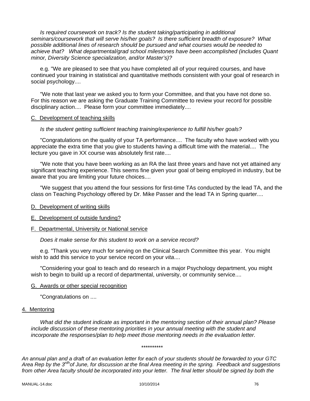*Is required coursework on track? Is the student taking/participating in additional seminars/coursework that will serve his/her goals? Is there sufficient breadth of exposure? What possible additional lines of research should be pursued and what courses would be needed to achieve that? What departmental/grad school milestones have been accomplished (includes Quant minor, Diversity Science specialization, and/or Master's)?*

 e.g. "We are pleased to see that you have completed all of your required courses, and have continued your training in statistical and quantitative methods consistent with your goal of research in social psychology....

 "We note that last year we asked you to form your Committee, and that you have not done so. For this reason we are asking the Graduate Training Committee to review your record for possible disciplinary action.... Please form your committee immediately....

#### C. Development of teaching skills

# *Is the student getting sufficient teaching training/experience to fulfill his/her goals?*

 "Congratulations on the quality of your TA performance.... The faculty who have worked with you appreciate the extra time that you give to students having a difficult time with the material.... The lecture you gave in XX course was absolutely first rate....

 "We note that you have been working as an RA the last three years and have not yet attained any significant teaching experience. This seems fine given your goal of being employed in industry, but be aware that you are limiting your future choices....

 "We suggest that you attend the four sessions for first-time TAs conducted by the lead TA, and the class on Teaching Psychology offered by Dr. Mike Passer and the lead TA in Spring quarter....

# D. Development of writing skills

# E. Development of outside funding?

# F. Departmental, University or National service

 *Does it make sense for this student to work on a service record?*

 e.g. "Thank you very much for serving on the Clinical Search Committee this year. You might wish to add this service to your service record on your *vita*....

 "Considering your goal to teach and do research in a major Psychology department, you might wish to begin to build up a record of departmental, university, or community service....

#### G. Awards or other special recognition

"Congratulations on ....

#### 4. Mentoring

*What did the student indicate as important in the mentoring section of their annual plan? Please include discussion of these mentoring priorities in your annual meeting with the student and incorporate the responses/plan to help meet those mentoring needs in the evaluation letter.* 

#### \*\*\*\*\*\*\*\*\*\*

*An annual plan and a draft of an evaluation letter for each of your students should be forwarded to your GTC Area Rep by the 3rdhof June, for discussion at the final Area meeting in the spring. Feedback and suggestions from other Area faculty should be incorporated into your letter. The final letter should be signed by both the*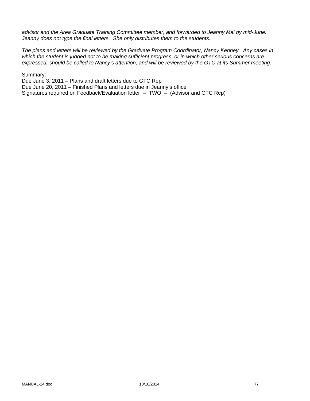*advisor and the Area Graduate Training Committee member, and forwarded to Jeanny Mai by mid-June. Jeanny does not type the final letters. She only distributes them to the students.* 

*The plans and letters will be reviewed by the Graduate Program Coordinator, Nancy Kenney. Any cases in which the student is judged not to be making sufficient progress, or in which other serious concerns are expressed, should be called to Nancy's attention, and will be reviewed by the GTC at its Summer meeting.* 

Summary:

Due June 3, 2011 – Plans and draft letters due to GTC Rep Due June 20, 2011 – Finished Plans and letters due in Jeanny's office Signatures required on Feedback/Evaluation letter – TWO – (Advisor and GTC Rep)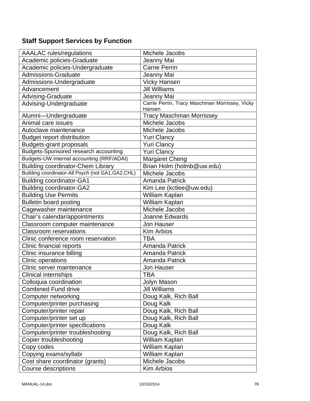# **Staff Support Services by Function**

| <b>AAALAC</b> rules/regulations                    | Michele Jacobs                                 |
|----------------------------------------------------|------------------------------------------------|
| Academic policies-Graduate                         | Jeanny Mai                                     |
| Academic policies-Undergraduate                    | <b>Carrie Perrin</b>                           |
| <b>Admissions-Graduate</b>                         | Jeanny Mai                                     |
| Admissions-Undergraduate                           | <b>Vicky Hansen</b>                            |
| Advancement                                        | <b>Jill Williams</b>                           |
| Advising-Graduate                                  | Jeanny Mai                                     |
| Advising-Undergraduate                             | Carrie Perrin, Tracy Maschman Morrissey, Vicky |
|                                                    | Hansen                                         |
| Alumni-Undergraduate                               | <b>Tracy Maschman Morrissey</b>                |
| Animal care issues                                 | Michele Jacobs                                 |
| Autoclave maintenance                              | Michele Jacobs                                 |
| <b>Budget report distribution</b>                  | <b>Yuri Clancy</b>                             |
| <b>Budgets-grant proposals</b>                     | <b>Yuri Clancy</b>                             |
| <b>Budgets-Sponsored research accounting</b>       | <b>Yuri Clancy</b>                             |
| Budgets-UW internal accounting (RRF/ADAI)          | <b>Margaret Cheng</b>                          |
| <b>Building coordinator-Chem Library</b>           | Brian Holm (holmb@uw.edu)                      |
| Building coordinator-All Psych (not GA1, GA2, CHL) | Michele Jacobs                                 |
| <b>Building coordinator-GA1</b>                    | Amanda Patrick                                 |
| <b>Building coordinator-GA2</b>                    | Kim Lee (kctlee@uw.edu)                        |
| <b>Building Use Permits</b>                        | William Kaplan                                 |
| <b>Bulletin board posting</b>                      | William Kaplan                                 |
| Cagewasher maintenance                             | Michele Jacobs                                 |
| Chair's calendar/appointments                      | Joanne Edwards                                 |
| Classroom computer maintenance                     | Jon Hauser                                     |
| <b>Classroom reservations</b>                      | <b>Kim Arbios</b>                              |
| Clinic conference room reservation                 | TBA                                            |
| Clinic financial reports                           | <b>Amanda Patrick</b>                          |
| Clinic insurance billing                           | <b>Amanda Patrick</b>                          |
| <b>Clinic operations</b>                           | <b>Amanda Patrick</b>                          |
| Clinic server maintenance                          | <b>Jon Hauser</b>                              |
| Clinical internships                               | <b>TBA</b>                                     |
| Colloquia coordination                             | Jolyn Mason                                    |
| <b>Combined Fund drive</b>                         | <b>Jill Williams</b>                           |
| Computer networking                                | Doug Kalk, Rich Ball                           |
| Computer/printer purchasing                        | Doug Kalk                                      |
| Computer/printer repair                            | Doug Kalk, Rich Ball                           |
| Computer/printer set up                            | Doug Kalk, Rich Ball                           |
| Computer/printer specifications                    | Doug Kalk                                      |
| Computer/printer troubleshooting                   | Doug Kalk, Rich Ball                           |
| <b>Copier troubleshooting</b>                      | William Kaplan                                 |
| Copy codes                                         | William Kaplan                                 |
| Copying exams/syllabi                              | William Kaplan                                 |
| Cost share coordinator (grants)                    | Michele Jacobs                                 |
| <b>Course descriptions</b>                         | <b>Kim Arbios</b>                              |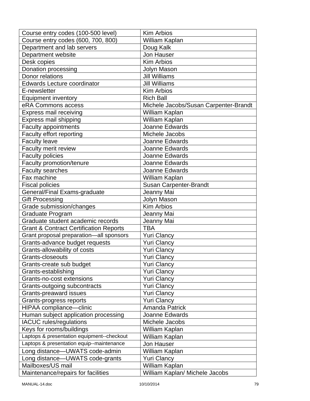| Course entry codes (100-500 level)                | <b>Kim Arbios</b>                     |
|---------------------------------------------------|---------------------------------------|
| Course entry codes (600, 700, 800)                | William Kaplan                        |
| Department and lab servers                        | Doug Kalk                             |
| Department website                                | Jon Hauser                            |
| Desk copies                                       | <b>Kim Arbios</b>                     |
| Donation processing                               | Jolyn Mason                           |
| Donor relations                                   | <b>Jill Williams</b>                  |
| <b>Edwards Lecture coordinator</b>                | <b>Jill Williams</b>                  |
| E-newsletter                                      | <b>Kim Arbios</b>                     |
| <b>Equipment inventory</b>                        | <b>Rich Ball</b>                      |
| eRA Commons access                                | Michele Jacobs/Susan Carpenter-Brandt |
| <b>Express mail receiving</b>                     | William Kaplan                        |
| Express mail shipping                             | William Kaplan                        |
| <b>Faculty appointments</b>                       | Joanne Edwards                        |
| Faculty effort reporting                          | Michele Jacobs                        |
| <b>Faculty leave</b>                              | Joanne Edwards                        |
| Faculty merit review                              | Joanne Edwards                        |
| <b>Faculty policies</b>                           | Joanne Edwards                        |
| Faculty promotion/tenure                          | Joanne Edwards                        |
| <b>Faculty searches</b>                           | Joanne Edwards                        |
| Fax machine                                       | William Kaplan                        |
| <b>Fiscal policies</b>                            | <b>Susan Carpenter-Brandt</b>         |
| General/Final Exams-graduate                      | Jeanny Mai                            |
| <b>Gift Processing</b>                            | <b>Jolyn Mason</b>                    |
| Grade submission/changes                          | Kim Arbios                            |
| Graduate Program                                  | Jeanny Mai                            |
| Graduate student academic records                 | Jeanny Mai                            |
| <b>Grant &amp; Contract Certification Reports</b> | <b>TBA</b>                            |
| Grant proposal preparation-all sponsors           | <b>Yuri Clancy</b>                    |
| Grants-advance budget requests                    | <b>Yuri Clancy</b>                    |
| Grants-allowability of costs                      | <b>Yuri Clancy</b>                    |
| Grants-closeouts                                  | <b>Yuri Clancy</b>                    |
| Grants-create sub budget                          | <b>Yuri Clancy</b>                    |
| Grants-establishing                               | <b>Yuri Clancy</b>                    |
| Grants-no-cost extensions                         | <b>Yuri Clancy</b>                    |
| Grants-outgoing subcontracts                      | <b>Yuri Clancy</b>                    |
| <b>Grants-preaward issues</b>                     | <b>Yuri Clancy</b>                    |
| Grants-progress reports                           | <b>Yuri Clancy</b>                    |
| HIPAA compliance-clinic                           | <b>Amanda Patrick</b>                 |
| Human subject application processing              | Joanne Edwards                        |
| <b>IACUC</b> rules/regulations                    | Michele Jacobs                        |
| Keys for rooms/buildings                          | William Kaplan                        |
| Laptops & presentation equipment--checkout        | William Kaplan                        |
| Laptops & presentation equip--maintenance         | <b>Jon Hauser</b>                     |
| Long distance-UWATS code-admin                    | William Kaplan                        |
| Long distance-UWATS code-grants                   | <b>Yuri Clancy</b>                    |
| Mailboxes/US mail                                 | William Kaplan                        |
| Maintenance/repairs for facilities                | William Kaplan/ Michele Jacobs        |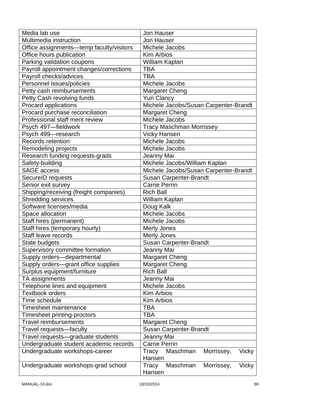| Media lab use                            | <b>Jon Hauser</b>                        |
|------------------------------------------|------------------------------------------|
| Multimedia instruction                   | Jon Hauser                               |
| Office assignments—temp faculty/visitors | Michele Jacobs                           |
| Office hours publication                 | <b>Kim Arbios</b>                        |
| Parking validation coupons               | William Kaplan                           |
| Payroll appointment changes/corrections  | <b>TBA</b>                               |
| Payroll checks/advices                   | <b>TBA</b>                               |
| Personnel issues/policies                | Michele Jacobs                           |
| Petty cash reimbursements                | <b>Margaret Cheng</b>                    |
| Petty Cash revolving funds               | <b>Yuri Clancy</b>                       |
| Procard applications                     | Michele Jacobs/Susan Carpenter-Brandt    |
| Procard purchase reconciliation          | <b>Margaret Cheng</b>                    |
| Professional staff merit review          | Michele Jacobs                           |
| Psych 497-fieldwork                      | <b>Tracy Maschman Morrissey</b>          |
| Psych 499-research                       | <b>Vicky Hansen</b>                      |
| Records retention                        | Michele Jacobs                           |
| Remodeling projects                      | Michele Jacobs                           |
| Research funding requests-grads          | Jeanny Mai                               |
| Safety-building                          | Michele Jacobs/William Kaplan            |
| <b>SAGE access</b>                       | Michele Jacobs/Susan Carpenter-Brandt    |
| SecureID requests                        | <b>Susan Carpenter-Brandt</b>            |
| Senior exit survey                       | <b>Carrie Perrin</b>                     |
| Shipping/receiving (freight companies)   | <b>Rich Ball</b>                         |
| <b>Shredding services</b>                | William Kaplan                           |
| Software licenses/media                  | Doug Kalk                                |
| Space allocation                         | Michele Jacobs                           |
| Staff hires (permanent)                  | Michele Jacobs                           |
| Staff hires (temporary hourly)           | <b>Merly Jones</b>                       |
| Staff leave records                      | <b>Merly Jones</b>                       |
| State budgets                            | Susan Carpenter-Brandt                   |
| Supervisory committee formation          | Jeanny Mai                               |
| Supply orders-departmental               | Margaret Cheng                           |
| Supply orders-grant office supplies      | <b>Margaret Cheng</b>                    |
| Surplus equipment/furniture              | <b>Rich Ball</b>                         |
| TA assignments                           | Jeanny Mai                               |
| Telephone lines and equipment            | Michele Jacobs                           |
| <b>Textbook orders</b>                   | <b>Kim Arbios</b>                        |
| Time schedule                            | Kim Arbios                               |
| <b>Timesheet maintenance</b>             | TBA                                      |
| Timesheet printing-proctors              | TBA                                      |
| <b>Travel reimbursements</b>             | <b>Margaret Cheng</b>                    |
| Travel requests-faculty                  | Susan Carpenter-Brandt                   |
| Travel requests-graduate students        | Jeanny Mai                               |
| Undergraduate student academic records   | <b>Carrie Perrin</b>                     |
| Undergraduate workshops-career           | Maschman<br>Morrissey,<br>Vicky<br>Tracy |
|                                          | Hansen                                   |
| Undergraduate workshops-grad school      | Tracy<br>Maschman<br>Morrissey,<br>Vicky |
|                                          | Hansen                                   |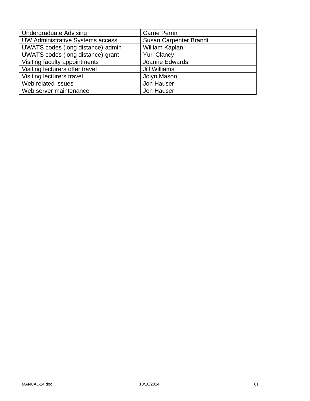| <b>Undergraduate Advising</b>           | <b>Carrie Perrin</b>          |
|-----------------------------------------|-------------------------------|
| <b>UW Administrative Systems access</b> | <b>Susan Carpenter Brandt</b> |
| UWATS codes (long distance)-admin       | William Kaplan                |
| UWATS codes (long distance)-grant       | <b>Yuri Clancy</b>            |
| Visiting faculty appointments           | Joanne Edwards                |
| Visiting lecturers offer travel         | <b>Jill Williams</b>          |
| Visiting lecturers travel               | Jolyn Mason                   |
| Web related issues                      | Jon Hauser                    |
| Web server maintenance                  | Jon Hauser                    |